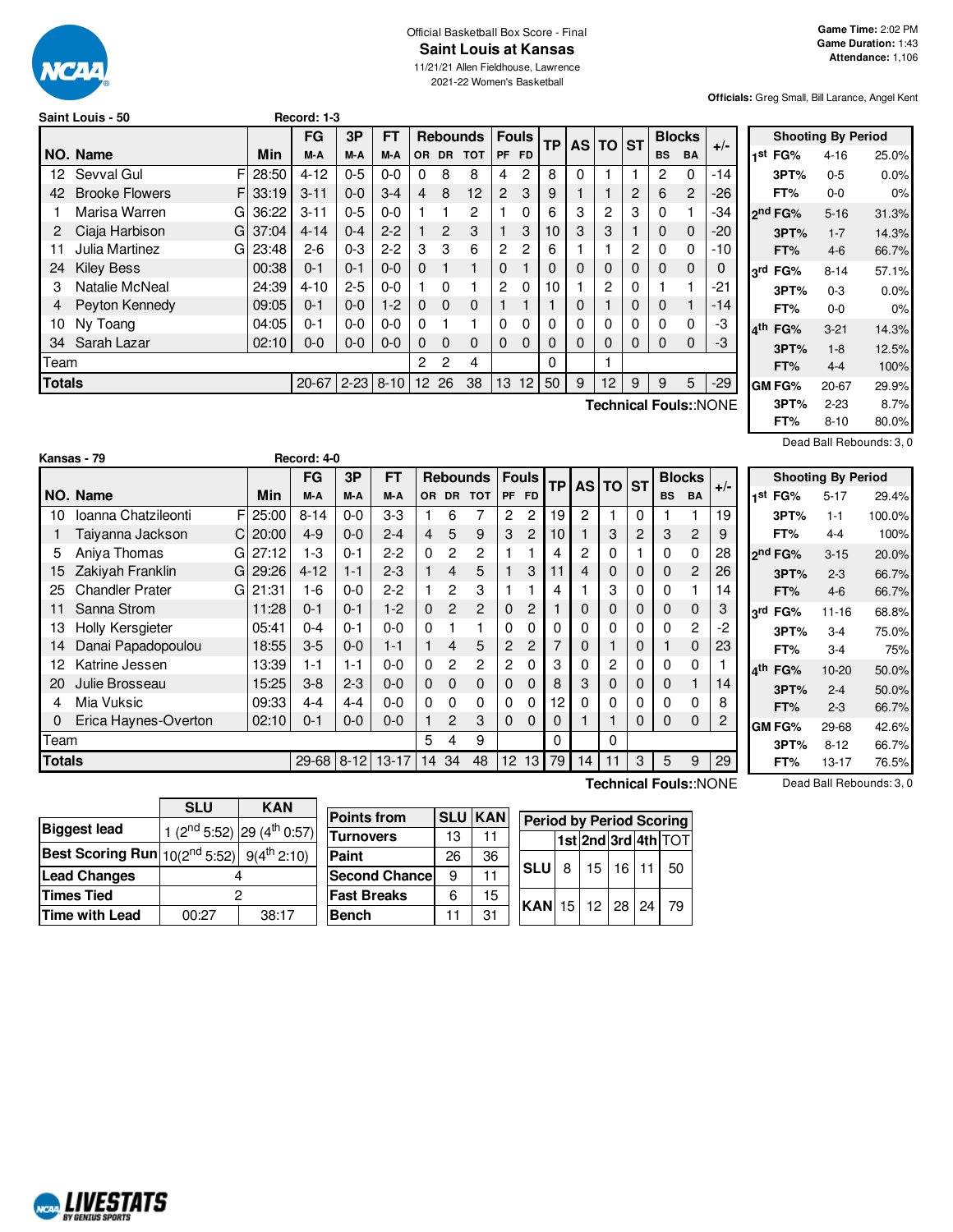

#### Official Basketball Box Score - Final **Saint Louis at Kansas**

11/21/21 Allen Fieldhouse, Lawrence 2021-22 Women's Basketball

**Officials:** Greg Small, Bill Larance, Angel Kent

|        | Saint Louis - 50      |            | Record: 1-3 |          |           |           |              |                 |           |                |           |          |                |          |           |                |                              |                 |
|--------|-----------------------|------------|-------------|----------|-----------|-----------|--------------|-----------------|-----------|----------------|-----------|----------|----------------|----------|-----------|----------------|------------------------------|-----------------|
|        |                       |            | <b>FG</b>   | 3P       | <b>FT</b> |           |              | <b>Rebounds</b> |           | <b>Fouls</b>   | <b>TP</b> |          | AS TO ST       |          |           | <b>Blocks</b>  |                              |                 |
|        | NO. Name              | Min        | M-A         | M-A      | M-A       | <b>OR</b> | <b>DR</b>    | <b>TOT</b>      | <b>PF</b> | <b>FD</b>      |           |          |                |          | <b>BS</b> | <b>BA</b>      | $+/-$                        | 1 <sup>Si</sup> |
| 12.    | F<br>Sevval Gul       | 28:50      | $4 - 12$    | $0 - 5$  | $0 - 0$   | 0         | 8            | 8               | 4         | $\overline{2}$ | 8         | $\Omega$ |                |          | 2         | $\Omega$       | $-14$                        |                 |
| 42     | <b>Brooke Flowers</b> | FI 33:19   | $3 - 11$    | $0 - 0$  | $3 - 4$   | 4         | 8            | 12              | 2         | 3              | 9         |          |                | 2        | 6         | $\overline{2}$ | $-26$                        |                 |
|        | Marisa Warren<br>G    | 36:22      | $3 - 11$    | $0 - 5$  | $0 - 0$   |           |              | 2               |           | 0              | 6         | 3        | 2              | 3        | 0         |                | -34                          | 2 <sup>n</sup>  |
| 2      | Ciaja Harbison<br>GI  | 37:04      | $4 - 14$    | $0 - 4$  | $2 - 2$   |           | 2            | 3               |           | 3              | 10        | 3        | 3              |          | 0         | 0              | -20                          |                 |
| 11     | Julia Martinez        | $GI$ 23:48 | $2-6$       | $0 - 3$  | $2 - 2$   | 3         | 3            | 6               | 2         | $\overline{c}$ | 6         |          |                | 2        | 0         | 0              | -10                          |                 |
| 24     | <b>Kiley Bess</b>     | 00:38      | $0 - 1$     | $0 - 1$  | $0-0$     | $\Omega$  |              | 1               | 0         |                | 0         | 0        | 0              | 0        | 0         | 0              | 0                            | 3 <sup>rc</sup> |
| 3      | Natalie McNeal        | 24:39      | $4 - 10$    | $2 - 5$  | $0 - 0$   |           | $\Omega$     |                 | 2         | 0              | 10        |          | $\overline{2}$ | $\Omega$ |           |                | $-21$                        |                 |
|        | Peyton Kennedy        | 09:05      | $0 - 1$     | $0-0$    | $1-2$     | $\Omega$  | $\mathbf{0}$ | $\mathbf 0$     |           |                |           | 0        |                | $\Omega$ | 0         |                | $-14$                        |                 |
| 10     | Ny Toang              | 04:05      | $0 - 1$     | $0 - 0$  | $0 - 0$   | $\Omega$  |              |                 | $\Omega$  | 0              | 0         | 0        | 0              | $\Omega$ | 0         | 0              | -3                           | 4 <sup>th</sup> |
| 34     | Sarah Lazar           | 02:10      | $0 - 0$     | $0 - 0$  | $0 - 0$   | $\Omega$  | $\Omega$     | $\Omega$        | $\Omega$  | $\Omega$       | 0         | $\Omega$ | $\Omega$       | $\Omega$ | 0         | $\Omega$       | -3                           |                 |
| Team   |                       |            |             |          |           | 2         | 2            | 4               |           |                | $\Omega$  |          | 1              |          |           |                |                              |                 |
| Totals |                       |            | $20 - 67$   | $2 - 23$ | $8 - 10$  |           | 12 26        | 38              | 13        | 12             | 50        | 9        | 12             | 9        | 9         | 5              | $-29$                        | GI              |
|        |                       |            |             |          |           |           |              |                 |           |                |           |          |                |          |           |                | <b>Technical Fouls::NONE</b> |                 |

|     |                     | <b>Shooting By Period</b> |       |
|-----|---------------------|---------------------------|-------|
|     | 1 <sup>st</sup> FG% | $4 - 16$                  | 25.0% |
|     | 3PT%                | $0 - 5$                   | 0.0%  |
|     | FT%                 | 0-0                       | 0%    |
|     | ond FG%             | $5 - 16$                  | 31.3% |
|     | 3PT%                | $1 - 7$                   | 14.3% |
|     | FT%                 | $4-6$                     | 66.7% |
|     | 3rd FG%             | $8 - 14$                  | 57.1% |
|     | 3PT%                | 0-3                       | 0.0%  |
|     | FT%                 | 0-0                       | 0%    |
| ⊿th | FG%                 | $3-21$                    | 14.3% |
|     | 3PT%                | $1 - 8$                   | 12.5% |
|     | FT%                 | 4-4                       | 100%  |
|     | GM FG%              | $20 - 67$                 | 29.9% |
|     | 3PT%                | $2 - 23$                  | 8.7%  |
|     | FT%                 | $8 - 10$                  | 80.0% |

Dead Ball Rebounds: 3, 0

|               |                        |   |           | <b>FG</b> | 3P       | <b>FT</b> |                |                | <b>Rebounds</b> | <b>Fouls</b>          |                | TP       |    | AS TO ST       |   |           | <b>Blocks</b>  | $+/-$ |                 |
|---------------|------------------------|---|-----------|-----------|----------|-----------|----------------|----------------|-----------------|-----------------------|----------------|----------|----|----------------|---|-----------|----------------|-------|-----------------|
|               | NO. Name               |   | Min       | M-A       | M-A      | M-A       | OR.            | <b>DR</b>      | <b>TOT</b>      | PF FD                 |                |          |    |                |   | <b>BS</b> | <b>BA</b>      |       | '1              |
| 10            | Ioanna Chatzileonti    | F | 25:00     | $8 - 14$  | $0 - 0$  | $3-3$     |                | 6              |                 | 2                     | $\overline{c}$ | 19       | 2  |                | 0 |           |                | 19    |                 |
|               | Taiyanna Jackson       |   | 20:00     | $4 - 9$   | $0 - 0$  | $2 - 4$   | $\overline{4}$ | 5              | 9               | 3                     | 2              | 10       |    | 3              | 2 | 3         | $\overline{2}$ | 9     |                 |
| 5             | Aniya Thomas           |   | G127:12   | $1-3$     | $0 - 1$  | $2-2$     | 0              | $\mathbf{2}$   | $\overline{2}$  |                       |                | 4        | 2  | 0              |   | 0         | $\Omega$       | 28    | 2 <sup>r</sup>  |
| 15            | Zakiyah Franklin       |   | $G$ 29:26 | $4 - 12$  | $1 - 1$  | $2-3$     |                | $\overline{4}$ | 5               |                       | 3              | 11       | 4  | $\Omega$       | 0 | 0         | $\overline{2}$ | 26    |                 |
| 25            | <b>Chandler Prater</b> |   | G121:31   | 1-6       | $0 - 0$  | $2 - 2$   | 1              | $\mathbf{2}$   | 3               |                       |                | 4        |    | 3              | 0 | 0         |                | 14    |                 |
| 11            | Sanna Strom            |   | 11:28     | $0 - 1$   | $0 - 1$  | $1-2$     | $\Omega$       | $\overline{2}$ | $\overline{2}$  | $\Omega$              | $\overline{2}$ |          | 0  | $\Omega$       | 0 | 0         | $\mathbf 0$    | 3     | l3'             |
| 13            | Holly Kersgieter       |   | 05:41     | $0 - 4$   | $0 - 1$  | $0 - 0$   | 0              |                |                 | $\Omega$              | $\Omega$       | 0        | 0  | $\Omega$       | 0 | 0         | $\overline{2}$ | $-2$  |                 |
| 14            | Danai Papadopoulou     |   | 18:55     | $3-5$     | $0 - 0$  | $1 - 1$   |                | $\overline{4}$ | 5               | $\mathbf{2}^{\prime}$ | $\overline{2}$ |          | 0  |                | 0 |           | $\Omega$       | 23    |                 |
| 12            | Katrine Jessen         |   | 13:39     | $1 - 1$   | $1 - 1$  | $0 - 0$   | 0              | $\mathbf{2}$   | $\overline{2}$  | 2                     | $\Omega$       | 3        | 0  | $\overline{c}$ | 0 | 0         | $\Omega$       |       | l4 <sup>t</sup> |
| 20            | Julie Brosseau         |   | 15:25     | $3 - 8$   | $2 - 3$  | $0 - 0$   | $\mathbf 0$    | $\Omega$       | 0               | $\Omega$              | $\Omega$       | 8        | 3  | 0              | 0 | 0         |                | 14    |                 |
| 4             | Mia Vuksic             |   | 09:33     | $4 - 4$   | $4 - 4$  | $0 - 0$   | 0              | $\Omega$       | 0               | $\Omega$              | $\Omega$       | 12       | 0  | $\Omega$       | 0 | 0         | $\Omega$       | 8     |                 |
| 0             | Erica Haynes-Overton   |   | 02:10     | $0 - 1$   | $0 - 0$  | $0 - 0$   | 1              | $\mathcal{P}$  | 3               | $\Omega$              | $\overline{0}$ | $\Omega$ |    |                | 0 | 0         | $\Omega$       | 2     | G               |
| Team          |                        |   |           |           |          |           | 5              | 4              | 9               |                       |                | $\Omega$ |    | $\Omega$       |   |           |                |       |                 |
| <b>Totals</b> |                        |   |           | 29-68     | $8 - 12$ | $13 - 17$ | 14             | 34             | 48              | 12 <sup>2</sup>       | 13             | 79       | 14 | 11             | 3 | 5         | 9              | 29    |                 |

|      |                     | <b>Shooting By Period</b> |        |
|------|---------------------|---------------------------|--------|
| 1st  | FG%                 | $5 - 17$                  | 29.4%  |
|      | 3PT%                | $1 - 1$                   | 100.0% |
|      | FT%                 | 4-4                       | 100%   |
|      | ን <sup>nd</sup> FG% | $3 - 15$                  | 20.0%  |
|      | 3PT%                | $2 - 3$                   | 66.7%  |
|      | FT%                 | 4-6                       | 66.7%  |
| rdي. | FG%                 | 11-16                     | 68.8%  |
|      | 3PT%                | $3-4$                     | 75.0%  |
|      | FT%                 | $3 - 4$                   | 75%    |
| ⊿th  | FG%                 | 10-20                     | 50.0%  |
|      | 3PT%                | $2 - 4$                   | 50.0%  |
|      | FT%                 | $2 - 3$                   | 66.7%  |
|      | GM FG%              | 29-68                     | 42.6%  |
|      | 3PT%                | $8 - 12$                  | 66.7%  |
|      | FT%                 | 13-17                     | 76.5%  |

|                                                                   | <b>SLU</b>     | <b>KAN</b>                                | P٥ |  |  |
|-------------------------------------------------------------------|----------------|-------------------------------------------|----|--|--|
| <b>Biggest lead</b>                                               |                | 1 ( $2^{nd}$ 5:52) $ 29$ ( $4^{th}$ 0:57) | Τı |  |  |
| <b>Best Scoring Run</b> $10(2^{nd} 5:52)$ 9(4 <sup>th</sup> 2:10) |                |                                           | P  |  |  |
| Lead Changes                                                      |                |                                           | S٥ |  |  |
| <b>Times Tied</b>                                                 |                |                                           |    |  |  |
| Time with Lead                                                    | 38:17<br>00:27 |                                           |    |  |  |

**Kansas - 79 Record: 4-0**

#### **Points from SLU KAN urnovers** 13 11 **Paint** 26 36 **econd Chance** 9 11 **ast Breaks** 6 15 **Bench** 11 31 **Period by Period Scoring 1st 2nd 3rd 4th** TOT **SLU** 8 15 16 11 50 **KAN** 15 12 28 24 79

**Technical Fouls:**:NONE

Dead Ball Rebounds: 3, 0

| <b>MALIVESTATS</b><br><i><b>RY GENTIIS SPORTS</b></i> |
|-------------------------------------------------------|
|-------------------------------------------------------|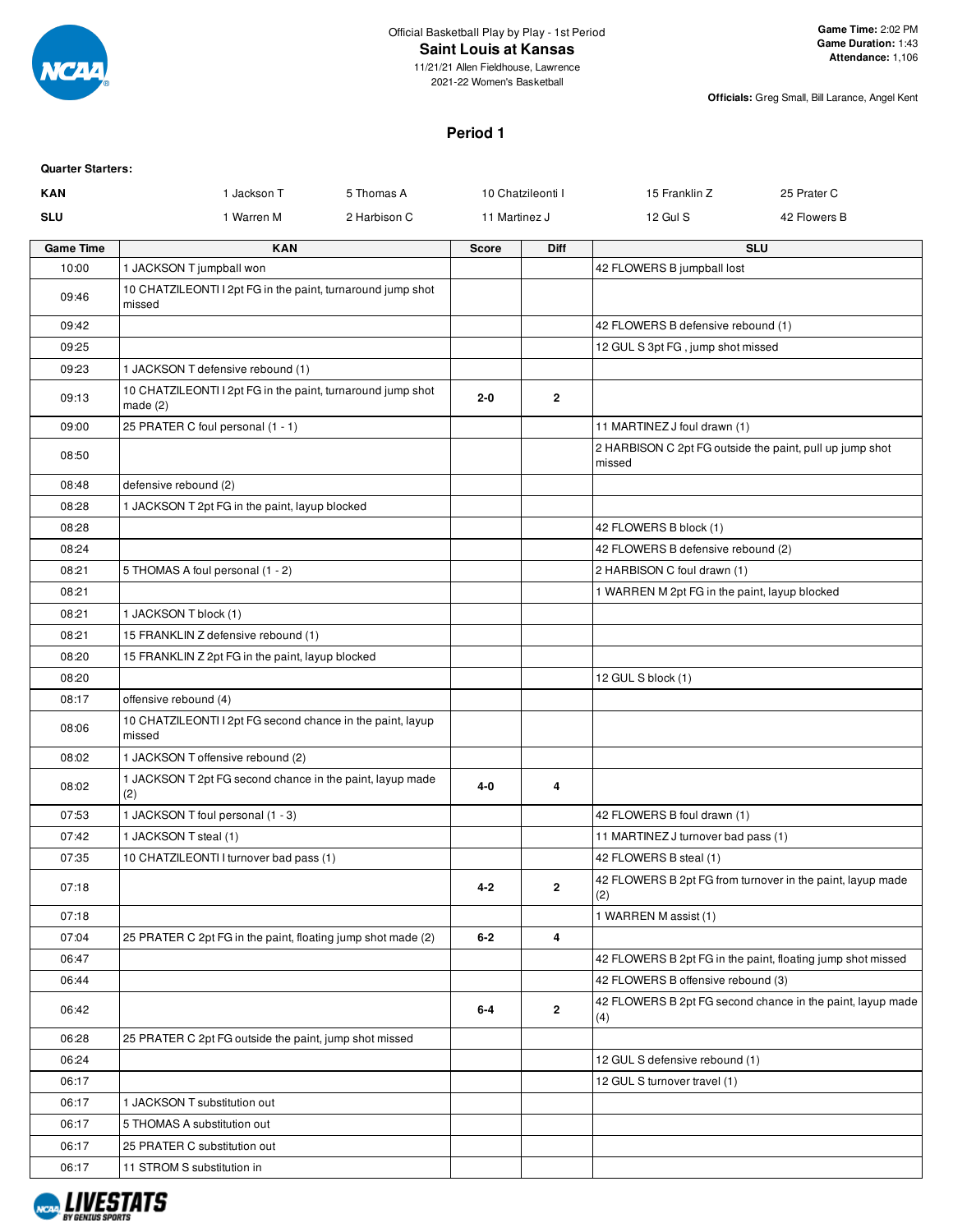

## **Saint Louis at Kansas**

11/21/21 Allen Fieldhouse, Lawrence 2021-22 Women's Basketball

**Officials:** Greg Small, Bill Larance, Angel Kent

# **Period 1**

| <b>Quarter Starters:</b> |                                                                        |              |               |                   |                                                                    |                                                             |
|--------------------------|------------------------------------------------------------------------|--------------|---------------|-------------------|--------------------------------------------------------------------|-------------------------------------------------------------|
| <b>KAN</b>               | 1 Jackson T                                                            | 5 Thomas A   |               | 10 Chatzileonti I | 15 Franklin Z                                                      | 25 Prater C                                                 |
| <b>SLU</b>               | 1 Warren M                                                             | 2 Harbison C | 11 Martinez J |                   | 12 Gul S                                                           | 42 Flowers B                                                |
| <b>Game Time</b>         | <b>KAN</b>                                                             |              | <b>Score</b>  | <b>Diff</b>       |                                                                    | <b>SLU</b>                                                  |
| 10:00                    | 1 JACKSON T jumpball won                                               |              |               |                   | 42 FLOWERS B jumpball lost                                         |                                                             |
| 09:46                    | 10 CHATZILEONTI I 2pt FG in the paint, turnaround jump shot<br>missed  |              |               |                   |                                                                    |                                                             |
| 09:42                    |                                                                        |              |               |                   | 42 FLOWERS B defensive rebound (1)                                 |                                                             |
| 09:25                    |                                                                        |              |               |                   | 12 GUL S 3pt FG, jump shot missed                                  |                                                             |
| 09:23                    | 1 JACKSON T defensive rebound (1)                                      |              |               |                   |                                                                    |                                                             |
| 09:13                    | 10 CHATZILEONTI I 2pt FG in the paint, turnaround jump shot<br>made(2) |              | 2-0           | $\mathbf 2$       |                                                                    |                                                             |
| 09:00                    | 25 PRATER C foul personal (1 - 1)                                      |              |               |                   | 11 MARTINEZ J foul drawn (1)                                       |                                                             |
| 08:50                    |                                                                        |              |               |                   | 2 HARBISON C 2pt FG outside the paint, pull up jump shot<br>missed |                                                             |
| 08:48                    | defensive rebound (2)                                                  |              |               |                   |                                                                    |                                                             |
| 08:28                    | 1 JACKSON T 2pt FG in the paint, layup blocked                         |              |               |                   |                                                                    |                                                             |
| 08:28                    |                                                                        |              |               |                   | 42 FLOWERS B block (1)                                             |                                                             |
| 08:24                    |                                                                        |              |               |                   | 42 FLOWERS B defensive rebound (2)                                 |                                                             |
| 08:21                    | 5 THOMAS A foul personal (1 - 2)                                       |              |               |                   | 2 HARBISON C foul drawn (1)                                        |                                                             |
| 08:21                    |                                                                        |              |               |                   | 1 WARREN M 2pt FG in the paint, layup blocked                      |                                                             |
| 08:21                    | 1 JACKSON T block (1)                                                  |              |               |                   |                                                                    |                                                             |
| 08:21                    | 15 FRANKLIN Z defensive rebound (1)                                    |              |               |                   |                                                                    |                                                             |
| 08:20                    | 15 FRANKLIN Z 2pt FG in the paint, layup blocked                       |              |               |                   |                                                                    |                                                             |
| 08:20                    |                                                                        |              |               |                   | 12 GUL S block (1)                                                 |                                                             |
| 08:17                    | offensive rebound (4)                                                  |              |               |                   |                                                                    |                                                             |
| 08:06                    | 10 CHATZILEONTI I 2pt FG second chance in the paint, layup<br>missed   |              |               |                   |                                                                    |                                                             |
| 08:02                    | 1 JACKSON T offensive rebound (2)                                      |              |               |                   |                                                                    |                                                             |
| 08:02                    | 1 JACKSON T 2pt FG second chance in the paint, layup made<br>(2)       |              | $4 - 0$       | 4                 |                                                                    |                                                             |
| 07:53                    | 1 JACKSON T foul personal (1 - 3)                                      |              |               |                   | 42 FLOWERS B foul drawn (1)                                        |                                                             |
| 07:42                    | 1 JACKSON T steal (1)                                                  |              |               |                   | 11 MARTINEZ J turnover bad pass (1)                                |                                                             |
| 07:35                    | 10 CHATZILEONTI I turnover bad pass (1)                                |              |               |                   | 42 FLOWERS B steal (1)                                             |                                                             |
| 07:18                    |                                                                        |              | $4 - 2$       | $\mathbf{2}$      | (2)                                                                | 42 FLOWERS B 2pt FG from turnover in the paint, layup made  |
| 07:18                    |                                                                        |              |               |                   | 1 WARREN M assist (1)                                              |                                                             |
| 07:04                    | 25 PRATER C 2pt FG in the paint, floating jump shot made (2)           |              | $6 - 2$       | 4                 |                                                                    |                                                             |
| 06:47                    |                                                                        |              |               |                   |                                                                    | 42 FLOWERS B 2pt FG in the paint, floating jump shot missed |
| 06:44                    |                                                                        |              |               |                   | 42 FLOWERS B offensive rebound (3)                                 |                                                             |
| 06:42                    |                                                                        |              | $6 - 4$       | $\mathbf{2}$      | (4)                                                                | 42 FLOWERS B 2pt FG second chance in the paint, layup made  |
| 06:28                    | 25 PRATER C 2pt FG outside the paint, jump shot missed                 |              |               |                   |                                                                    |                                                             |
| 06:24                    |                                                                        |              |               |                   | 12 GUL S defensive rebound (1)                                     |                                                             |
| 06:17                    |                                                                        |              |               |                   | 12 GUL S turnover travel (1)                                       |                                                             |
| 06:17                    | 1 JACKSON T substitution out                                           |              |               |                   |                                                                    |                                                             |
| 06:17                    | 5 THOMAS A substitution out                                            |              |               |                   |                                                                    |                                                             |
| 06:17                    | 25 PRATER C substitution out                                           |              |               |                   |                                                                    |                                                             |
| 06:17                    | 11 STROM S substitution in                                             |              |               |                   |                                                                    |                                                             |

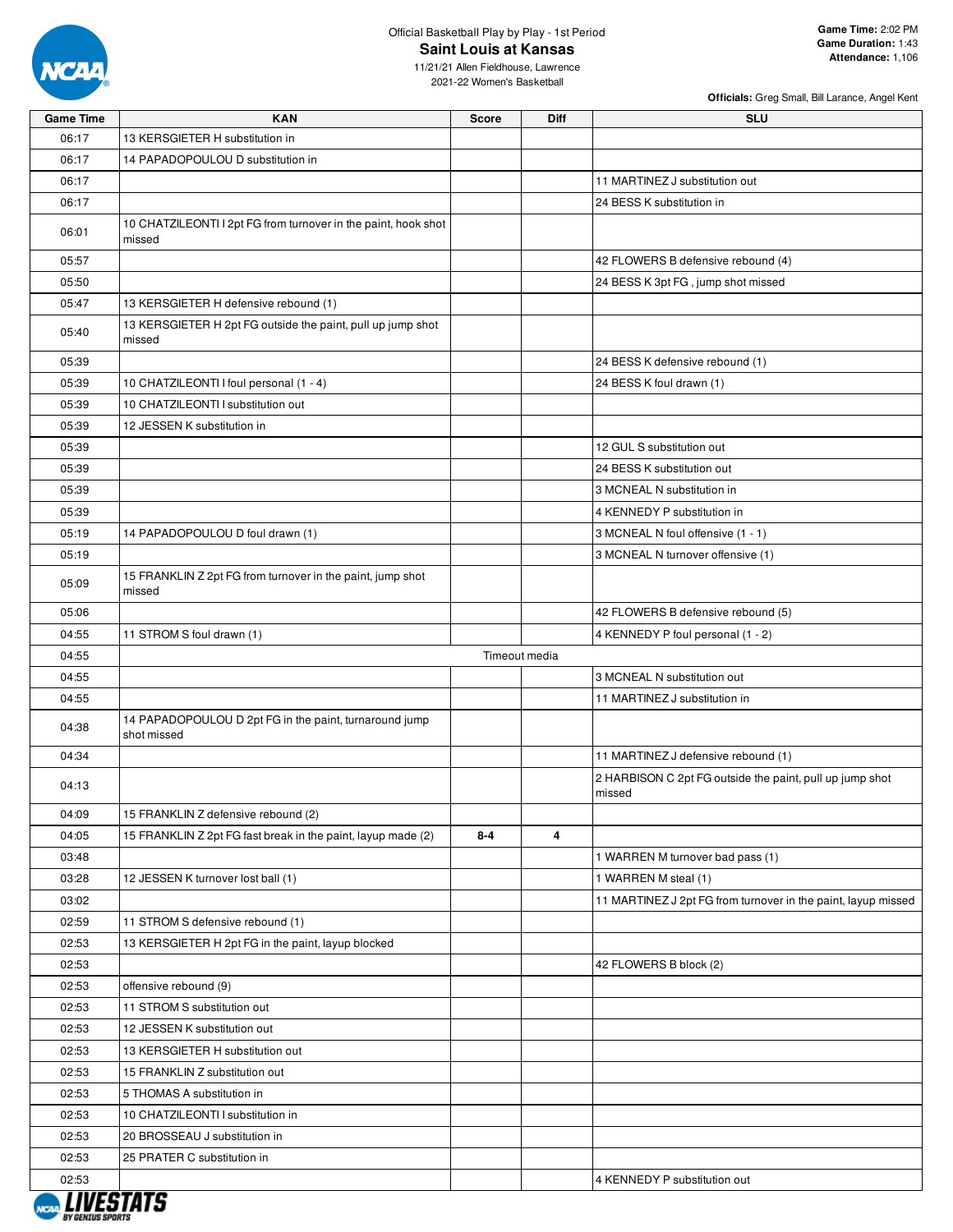

## Official Basketball Play by Play - 1st Period **Saint Louis at Kansas**

11/21/21 Allen Fieldhouse, Lawrence 2021-22 Women's Basketball

| <b>Game Time</b> | <b>KAN</b>                                                               | <b>Score</b> | Diff          | <b>SLU</b>                                                         |
|------------------|--------------------------------------------------------------------------|--------------|---------------|--------------------------------------------------------------------|
| 06:17            | 13 KERSGIETER H substitution in                                          |              |               |                                                                    |
| 06:17            | 14 PAPADOPOULOU D substitution in                                        |              |               |                                                                    |
| 06:17            |                                                                          |              |               | 11 MARTINEZ J substitution out                                     |
| 06:17            |                                                                          |              |               | 24 BESS K substitution in                                          |
| 06:01            | 10 CHATZILEONTI I 2pt FG from turnover in the paint, hook shot<br>missed |              |               |                                                                    |
| 05:57            |                                                                          |              |               | 42 FLOWERS B defensive rebound (4)                                 |
| 05:50            |                                                                          |              |               | 24 BESS K 3pt FG, jump shot missed                                 |
| 05:47            | 13 KERSGIETER H defensive rebound (1)                                    |              |               |                                                                    |
| 05:40            | 13 KERSGIETER H 2pt FG outside the paint, pull up jump shot<br>missed    |              |               |                                                                    |
| 05:39            |                                                                          |              |               | 24 BESS K defensive rebound (1)                                    |
| 05:39            | 10 CHATZILEONTI I foul personal (1 - 4)                                  |              |               | 24 BESS K foul drawn (1)                                           |
| 05:39            | 10 CHATZILEONTI I substitution out                                       |              |               |                                                                    |
| 05:39            | 12 JESSEN K substitution in                                              |              |               |                                                                    |
| 05:39            |                                                                          |              |               | 12 GUL S substitution out                                          |
| 05:39            |                                                                          |              |               | 24 BESS K substitution out                                         |
| 05:39            |                                                                          |              |               | 3 MCNEAL N substitution in                                         |
| 05:39            |                                                                          |              |               | 4 KENNEDY P substitution in                                        |
| 05:19            | 14 PAPADOPOULOU D foul drawn (1)                                         |              |               | 3 MCNEAL N foul offensive (1 - 1)                                  |
| 05:19            |                                                                          |              |               | 3 MCNEAL N turnover offensive (1)                                  |
| 05:09            | 15 FRANKLIN Z 2pt FG from turnover in the paint, jump shot<br>missed     |              |               |                                                                    |
| 05:06            |                                                                          |              |               | 42 FLOWERS B defensive rebound (5)                                 |
| 04:55            | 11 STROM S foul drawn (1)                                                |              |               | 4 KENNEDY P foul personal (1 - 2)                                  |
| 04:55            |                                                                          |              | Timeout media |                                                                    |
| 04:55            |                                                                          |              |               | 3 MCNEAL N substitution out                                        |
| 04:55            |                                                                          |              |               | 11 MARTINEZ J substitution in                                      |
| 04:38            | 14 PAPADOPOULOU D 2pt FG in the paint, turnaround jump<br>shot missed    |              |               |                                                                    |
| 04:34            |                                                                          |              |               | 11 MARTINEZ J defensive rebound (1)                                |
| 04:13            |                                                                          |              |               | 2 HARBISON C 2pt FG outside the paint, pull up jump shot<br>missed |
| 04:09            | 15 FRANKLIN Z defensive rebound (2)                                      |              |               |                                                                    |
| 04:05            | 15 FRANKLIN Z 2pt FG fast break in the paint, layup made (2)             | $8 - 4$      | 4             |                                                                    |
| 03:48            |                                                                          |              |               | 1 WARREN M turnover bad pass (1)                                   |
| 03:28            | 12 JESSEN K turnover lost ball (1)                                       |              |               | 1 WARREN M steal (1)                                               |
| 03:02            |                                                                          |              |               | 11 MARTINEZ J 2pt FG from turnover in the paint, layup missed      |
| 02:59            | 11 STROM S defensive rebound (1)                                         |              |               |                                                                    |
| 02:53            | 13 KERSGIETER H 2pt FG in the paint, layup blocked                       |              |               |                                                                    |
| 02:53            |                                                                          |              |               | 42 FLOWERS B block (2)                                             |
| 02:53            | offensive rebound (9)                                                    |              |               |                                                                    |
| 02:53            | 11 STROM S substitution out                                              |              |               |                                                                    |
| 02:53            | 12 JESSEN K substitution out                                             |              |               |                                                                    |
| 02:53            | 13 KERSGIETER H substitution out                                         |              |               |                                                                    |
| 02:53            | 15 FRANKLIN Z substitution out                                           |              |               |                                                                    |
| 02:53            | 5 THOMAS A substitution in                                               |              |               |                                                                    |
| 02:53            | 10 CHATZILEONTI I substitution in                                        |              |               |                                                                    |
| 02:53            | 20 BROSSEAU J substitution in                                            |              |               |                                                                    |
| 02:53            | 25 PRATER C substitution in                                              |              |               |                                                                    |
| 02:53            |                                                                          |              |               | 4 KENNEDY P substitution out                                       |
|                  |                                                                          |              |               |                                                                    |
|                  |                                                                          |              |               |                                                                    |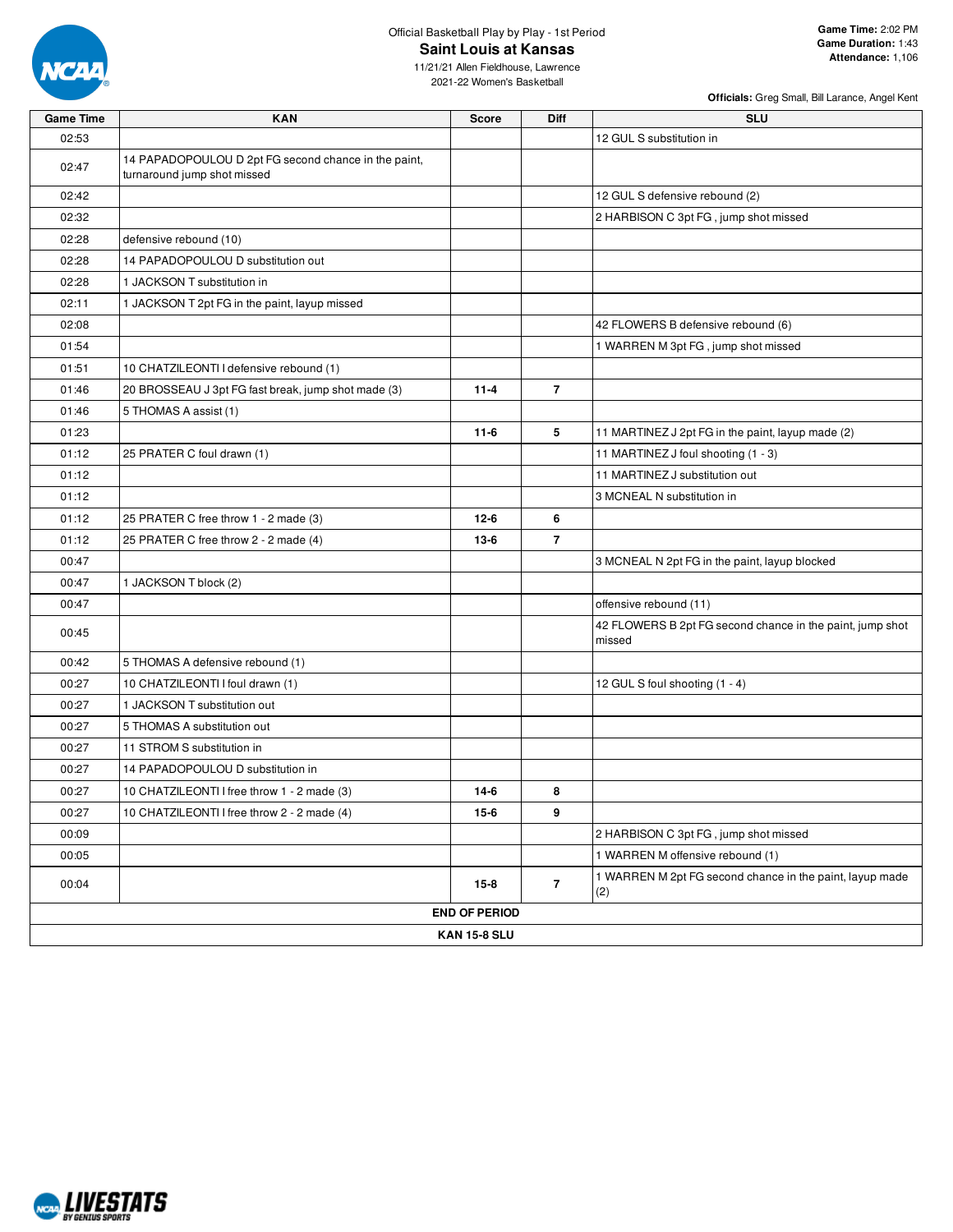

# Official Basketball Play by Play - 1st Period **Saint Louis at Kansas**

11/21/21 Allen Fieldhouse, Lawrence 2021-22 Women's Basketball

| <b>Game Time</b> | <b>KAN</b>                                                                          | <b>Score</b>         | <b>Diff</b>    | <b>SLU</b>                                                          |
|------------------|-------------------------------------------------------------------------------------|----------------------|----------------|---------------------------------------------------------------------|
| 02:53            |                                                                                     |                      |                | 12 GUL S substitution in                                            |
| 02:47            | 14 PAPADOPOULOU D 2pt FG second chance in the paint,<br>turnaround jump shot missed |                      |                |                                                                     |
| 02:42            |                                                                                     |                      |                | 12 GUL S defensive rebound (2)                                      |
| 02:32            |                                                                                     |                      |                | 2 HARBISON C 3pt FG, jump shot missed                               |
| 02:28            | defensive rebound (10)                                                              |                      |                |                                                                     |
| 02:28            | 14 PAPADOPOULOU D substitution out                                                  |                      |                |                                                                     |
| 02:28            | 1 JACKSON T substitution in                                                         |                      |                |                                                                     |
| 02:11            | 1 JACKSON T 2pt FG in the paint, layup missed                                       |                      |                |                                                                     |
| 02:08            |                                                                                     |                      |                | 42 FLOWERS B defensive rebound (6)                                  |
| 01:54            |                                                                                     |                      |                | 1 WARREN M 3pt FG, jump shot missed                                 |
| 01:51            | 10 CHATZILEONTI I defensive rebound (1)                                             |                      |                |                                                                     |
| 01:46            | 20 BROSSEAU J 3pt FG fast break, jump shot made (3)                                 | $11 - 4$             | $\overline{7}$ |                                                                     |
| 01:46            | 5 THOMAS A assist (1)                                                               |                      |                |                                                                     |
| 01:23            |                                                                                     | $11-6$               | 5              | 11 MARTINEZ J 2pt FG in the paint, layup made (2)                   |
| 01:12            | 25 PRATER C foul drawn (1)                                                          |                      |                | 11 MARTINEZ J foul shooting (1 - 3)                                 |
| 01:12            |                                                                                     |                      |                | 11 MARTINEZ J substitution out                                      |
| 01:12            |                                                                                     |                      |                | 3 MCNEAL N substitution in                                          |
| 01:12            | 25 PRATER C free throw 1 - 2 made (3)                                               | $12 - 6$             | 6              |                                                                     |
| 01:12            | 25 PRATER C free throw 2 - 2 made (4)                                               | $13-6$               | $\overline{7}$ |                                                                     |
| 00:47            |                                                                                     |                      |                | 3 MCNEAL N 2pt FG in the paint, layup blocked                       |
| 00:47            | 1 JACKSON T block (2)                                                               |                      |                |                                                                     |
| 00:47            |                                                                                     |                      |                | offensive rebound (11)                                              |
| 00:45            |                                                                                     |                      |                | 42 FLOWERS B 2pt FG second chance in the paint, jump shot<br>missed |
| 00:42            | 5 THOMAS A defensive rebound (1)                                                    |                      |                |                                                                     |
| 00:27            | 10 CHATZILEONTI I foul drawn (1)                                                    |                      |                | 12 GUL S foul shooting (1 - 4)                                      |
| 00:27            | 1 JACKSON T substitution out                                                        |                      |                |                                                                     |
| 00:27            | 5 THOMAS A substitution out                                                         |                      |                |                                                                     |
| 00:27            | 11 STROM S substitution in                                                          |                      |                |                                                                     |
| 00:27            | 14 PAPADOPOULOU D substitution in                                                   |                      |                |                                                                     |
| 00:27            | 10 CHATZILEONTI I free throw 1 - 2 made (3)                                         | $14-6$               | 8              |                                                                     |
| 00:27            | 10 CHATZILEONTI I free throw 2 - 2 made (4)                                         | 15-6                 | 9              |                                                                     |
| 00:09            |                                                                                     |                      |                | 2 HARBISON C 3pt FG, jump shot missed                               |
| 00:05            |                                                                                     |                      |                | 1 WARREN M offensive rebound (1)                                    |
| 00:04            |                                                                                     | $15-8$               | $\overline{7}$ | 1 WARREN M 2pt FG second chance in the paint, layup made<br>(2)     |
|                  |                                                                                     | <b>END OF PERIOD</b> |                |                                                                     |
|                  |                                                                                     | <b>KAN 15-8 SLU</b>  |                |                                                                     |

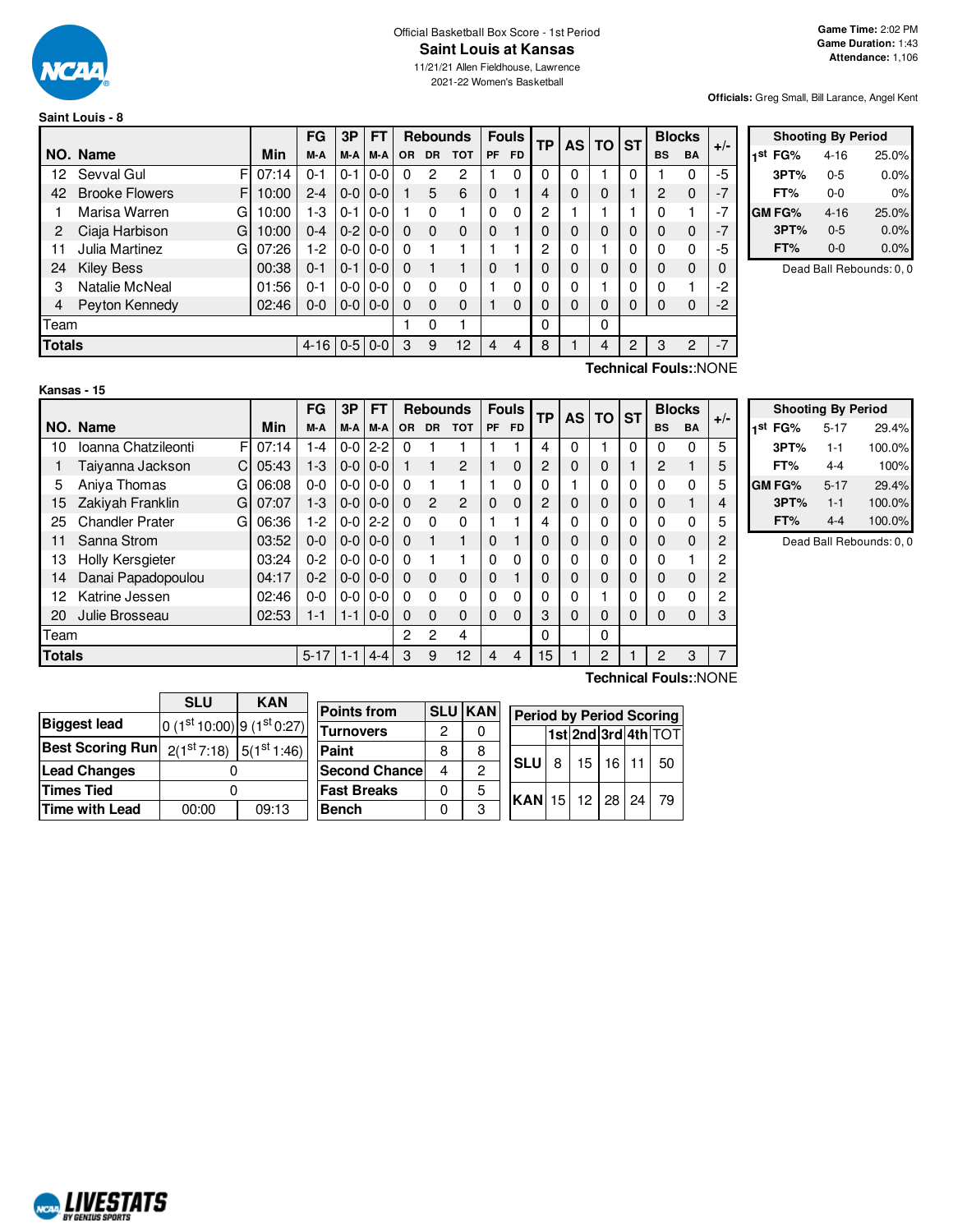

## Official Basketball Box Score - 1st Period **Saint Louis at Kansas**

11/21/21 Allen Fieldhouse, Lawrence 2021-22 Women's Basketball

**Officials:** Greg Small, Bill Larance, Angel Kent

| Saint Louis - 8 |
|-----------------|
|-----------------|

|               |                            |       | FG                 | 3P          | FТ            |           |           | <b>Rebounds</b> |           | <b>Fouls</b> | TP | <b>AS</b> | <b>TO</b> | <b>ST</b>    |           | <b>Blocks</b> | $+/-$ |
|---------------|----------------------------|-------|--------------------|-------------|---------------|-----------|-----------|-----------------|-----------|--------------|----|-----------|-----------|--------------|-----------|---------------|-------|
|               | NO. Name                   | Min   | M-A                | M-A         | M-A           | <b>OR</b> | <b>DR</b> | <b>TOT</b>      | <b>PF</b> | <b>FD</b>    |    |           |           |              | <b>BS</b> | <b>BA</b>     |       |
| 12.           | Sevval Gul<br>F            | 07:14 | $0 - 1$            | $0 - 1$     | $0 - 0$       | 0         | 2         | 2               |           | 0            | 0  | 0         |           | $\Omega$     |           |               | -5    |
| 42            | <b>Brooke Flowers</b><br>F | 10:00 | $2 - 4$            |             | $0 - 0 0 - 0$ |           | 5         | 6               | $\Omega$  |              | 4  | 0         | $\Omega$  |              | 2         | $\Omega$      | $-7$  |
|               | Marisa Warren<br>G         | 10:00 | 1-3                | $0 - 1$     | $0-0$         |           | 0         |                 | 0         | 0            | 2  |           |           |              | 0         |               | $-7$  |
| 2             | Ciaja Harbison<br>G        | 10:00 | $0 - 4$            | $0-2$   0-0 |               | $\Omega$  | 0         | $\Omega$        | $\Omega$  |              | 0  | 0         | $\Omega$  | $\mathbf{0}$ | $\Omega$  | 0             | $-7$  |
| 11            | Julia Martinez<br>G        | 07:26 | 1-2                |             | $0 - 0 0 - 0$ | 0         |           |                 |           |              | 2  | 0         |           | 0            | $\Omega$  | 0             | -5    |
| 24            | <b>Kiley Bess</b>          | 00:38 | $0 - 1$            | $0 - 1$     | $ 0-0 $       | $\Omega$  |           |                 | 0         |              | 0  | 0         | $\Omega$  | $\mathbf{0}$ | $\Omega$  | 0             | 0     |
| 3             | Natalie McNeal             | 01:56 | 0-1                |             | $0 - 0 0 - 0$ | $\Omega$  | 0         | $\Omega$        |           | 0            | 0  | 0         |           | 0            | 0         |               | -2    |
| 4             | Peyton Kennedy             | 02:46 | $0 - 0$            | $0-0$   0-0 |               | $\Omega$  | $\Omega$  | $\Omega$        |           | $\Omega$     | 0  | 0         | $\Omega$  | 0            | 0         | 0             | $-2$  |
| Team          |                            |       |                    |             |               |           | 0         |                 |           |              | 0  |           | 0         |              |           |               |       |
| <b>Totals</b> |                            |       | $4-16$   0-5   0-0 |             |               | 3         | 9         | 12              | 4         | 4            | 8  |           | 4         | 2            | 3         | 2             | $-7$  |

|     | <b>Shooting By Period</b> |          |       |  |  |  |  |  |  |  |  |
|-----|---------------------------|----------|-------|--|--|--|--|--|--|--|--|
| 1st | FG%                       | $4 - 16$ | 25.0% |  |  |  |  |  |  |  |  |
|     | 3PT%                      | $0 - 5$  | 0.0%  |  |  |  |  |  |  |  |  |
|     | FT%                       | 0-0      | 0%    |  |  |  |  |  |  |  |  |
|     | GM FG%                    | $4 - 16$ | 25.0% |  |  |  |  |  |  |  |  |
|     | 3PT%                      | $0 - 5$  | 0.0%  |  |  |  |  |  |  |  |  |
|     | FT%                       | 0-0      | 0.0%  |  |  |  |  |  |  |  |  |

Dead Ball Rebounds: 0, 0

#### **Kansas - 15**

F  $C$  05:43 G 06:08 G 07:07 G 06:36 **NO.** Name Min  $FG$  **3P**  $FT$  **Rebounds**  $F$  **Fouls**  $TF$  **AS**  $TG$  **ST**  $\begin{bmatrix} \mathsf{FG} \end{bmatrix}$   $\begin{bmatrix} \mathsf{3P} \end{bmatrix}$   $\begin{bmatrix} \mathsf{FT} \end{bmatrix}$   $\begin{bmatrix} \mathsf{Re} \end{bmatrix}$  **R**  $\begin{bmatrix} \mathsf{PPT} \end{bmatrix}$   $\begin{bmatrix} \mathsf{AB} \end{bmatrix}$   $\begin{bmatrix} \mathsf{FT} \end{bmatrix}$   $\begin{bmatrix} \mathsf{AB} \end{bmatrix}$   $\begin{bmatrix} \mathsf{BIC} \end{bmatrix}$   $\begin{bmatrix} \mathsf{BIC} \end{bmatrix}$   $\begin$ 10 Ioanna Chatzileonti Fl 07:14 1 1 4 0 0 2-2 0 1 1 1 1 1 1 4 0 0 1 0 0 0 5 1 Taiyanna Jackson 05:43 1-3 0-0 0-0 1 1 2 1 0 2 0 0 1 2 1 5 5 Aniya Thomas 06:08 0-0 0-0 0-0 0 1 1 1 0 0 1 0 0 0 0 5 15 Zakiyah Franklin 07:07 1-3 0-0 0-0 0 2 2 0 0 2 0 0 0 0 1 4 25 Chandler Prater  $\left[\begin{array}{ccc} \text{G} & \text{O} & \text{G} & \text{O} & \text{I} & \text{I} & \text{I} & \text{I} & \text{I} & \text{I} & \text{I} & \text{I} & \text{I} & \text{I} & \text{I} & \text{I} & \text{I} & \text{I} & \text{I} & \text{I} & \text{I} & \text{I} & \text{I} & \text{I} & \text{I} & \text{I} & \text{I} & \text{I} & \text{I} & \text{I} & \text{I} & \text{I} &$ 11 Sanna Strom 03:52 0-0 0-0 0-0 0 1 1 0 1 0 0 0 0 0 0 2 13 Holly Kersgieter 03:24 0-2 0-0 0-0 0 1 1 0 0 0 0 0 0 0 1 2 14 Danai Papadopoulou | 04:17 | 0-2 | 0-0 | 0-0 | 0 0 0 0 0 1 | 0 | 0 | 0 | 0 0 0 | 2 12 Katrine Jessen | 02:46 | 0-0 | 0-0 | 0-0 | 0 0 0 0 0 0 0 0 0 1 0 0 0 0 0 2 20 Julie Brosseau 02:53 1-1 1-1 0-0 0 0 0 0 0 3 0 0 0 0 0 3 Team 2 2 4 0 0 **Totals** 5-17 | 1-1 | 4-4 | 3 9 12 | 4 4 | 15 | 1 | 2 | 1 | 2 3 | 7 **Technical Fouls:**:NONE

**Technical Fouls:**:NONE

|                     | <b>Shooting By Period</b> |        |
|---------------------|---------------------------|--------|
| 1 <sup>st</sup> FG% | $5 - 17$                  | 29.4%  |
| 3PT%                | $1 - 1$                   | 100.0% |
| FT%                 | 4-4                       | 100%   |
| GM FG%              | $5 - 17$                  | 29.4%  |
| 3PT%                | $1 - 1$                   | 100.0% |
| FT%                 | 4-4                       | 100.0% |

Dead Ball Rebounds: 0, 0

|                         | <b>SLU</b>                              | <b>KAN</b> |  |  |  |  |
|-------------------------|-----------------------------------------|------------|--|--|--|--|
| <b>Biggest lead</b>     | 0 $(1st 10:00)$ 9 $(1st 0:27)$          |            |  |  |  |  |
| <b>Best Scoring Run</b> | $2(1^{st}7:18)$ 5(1 <sup>st</sup> 1:46) |            |  |  |  |  |
| <b>Lead Changes</b>     |                                         |            |  |  |  |  |
| <b>Times Tied</b>       |                                         |            |  |  |  |  |
| <b>Time with Lead</b>   | 00:00                                   | 09:13      |  |  |  |  |

| <b>Points from</b>   |   | <b>SLU KAN</b> | <b>Period by Period Scoring</b> |                    |  |                     |  |  |      |  |  |  |
|----------------------|---|----------------|---------------------------------|--------------------|--|---------------------|--|--|------|--|--|--|
| <b>Turnovers</b>     | 2 |                |                                 |                    |  | 1st 2nd 3rd 4th TOT |  |  |      |  |  |  |
| Paint                | 8 | 8              |                                 |                    |  |                     |  |  |      |  |  |  |
| <b>Second Chance</b> | 4 | 2              |                                 | <b>SLU</b>         |  | 8 15 16 11          |  |  | -50  |  |  |  |
| <b>Fast Breaks</b>   | 0 | 5              |                                 |                    |  |                     |  |  |      |  |  |  |
| <b>Bench</b>         |   | 3              |                                 | $ KAN$ 15 12 28 24 |  |                     |  |  | - 79 |  |  |  |

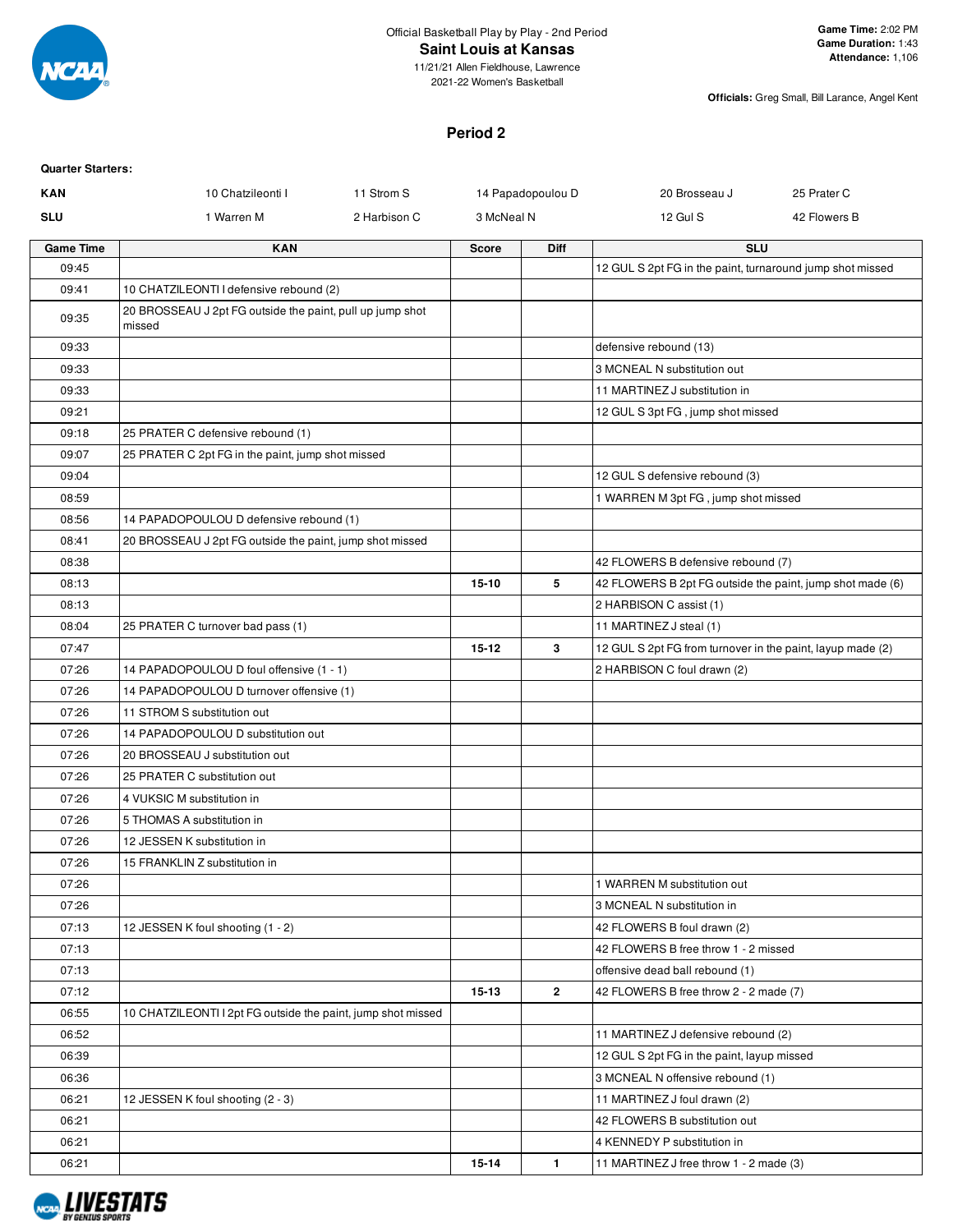

#### Official Basketball Play by Play - 2nd Period **Saint Louis at Kansas**

**Officials:** Greg Small, Bill Larance, Angel Kent

# **Period 2**

| <b>Quarter Starters:</b> |
|--------------------------|
|                          |

| <b>KAN</b>       | 10 Chatzileonti I                                                   | 11 Strom S   |              | 14 Papadopoulou D | 20 Brosseau J                                              | 25 Prater C  |
|------------------|---------------------------------------------------------------------|--------------|--------------|-------------------|------------------------------------------------------------|--------------|
| <b>SLU</b>       | 1 Warren M                                                          | 2 Harbison C | 3 McNeal N   |                   | 12 Gul S                                                   | 42 Flowers B |
| <b>Game Time</b> | <b>KAN</b>                                                          |              | <b>Score</b> | Diff              | <b>SLU</b>                                                 |              |
| 09:45            |                                                                     |              |              |                   | 12 GUL S 2pt FG in the paint, turnaround jump shot missed  |              |
| 09:41            | 10 CHATZILEONTI I defensive rebound (2)                             |              |              |                   |                                                            |              |
| 09:35            | 20 BROSSEAU J 2pt FG outside the paint, pull up jump shot<br>missed |              |              |                   |                                                            |              |
| 09:33            |                                                                     |              |              |                   | defensive rebound (13)                                     |              |
| 09:33            |                                                                     |              |              |                   | 3 MCNEAL N substitution out                                |              |
| 09:33            |                                                                     |              |              |                   | 11 MARTINEZ J substitution in                              |              |
| 09:21            |                                                                     |              |              |                   | 12 GUL S 3pt FG, jump shot missed                          |              |
| 09:18            | 25 PRATER C defensive rebound (1)                                   |              |              |                   |                                                            |              |
| 09:07            | 25 PRATER C 2pt FG in the paint, jump shot missed                   |              |              |                   |                                                            |              |
| 09:04            |                                                                     |              |              |                   | 12 GUL S defensive rebound (3)                             |              |
| 08:59            |                                                                     |              |              |                   | 1 WARREN M 3pt FG, jump shot missed                        |              |
| 08:56            | 14 PAPADOPOULOU D defensive rebound (1)                             |              |              |                   |                                                            |              |
| 08:41            | 20 BROSSEAU J 2pt FG outside the paint, jump shot missed            |              |              |                   |                                                            |              |
| 08:38            |                                                                     |              |              |                   | 42 FLOWERS B defensive rebound (7)                         |              |
| 08:13            |                                                                     |              | $15 - 10$    | 5                 | 42 FLOWERS B 2pt FG outside the paint, jump shot made (6)  |              |
| 08:13            |                                                                     |              |              |                   | 2 HARBISON C assist (1)                                    |              |
| 08:04            | 25 PRATER C turnover bad pass (1)                                   |              |              |                   | 11 MARTINEZ J steal (1)                                    |              |
| 07:47            |                                                                     |              | $15 - 12$    | 3                 | 12 GUL S 2pt FG from turnover in the paint, layup made (2) |              |
| 07:26            | 14 PAPADOPOULOU D foul offensive (1 - 1)                            |              |              |                   | 2 HARBISON C foul drawn (2)                                |              |
| 07:26            | 14 PAPADOPOULOU D turnover offensive (1)                            |              |              |                   |                                                            |              |
| 07:26            | 11 STROM S substitution out                                         |              |              |                   |                                                            |              |
| 07:26            | 14 PAPADOPOULOU D substitution out                                  |              |              |                   |                                                            |              |
| 07:26            | 20 BROSSEAU J substitution out                                      |              |              |                   |                                                            |              |
| 07:26            | 25 PRATER C substitution out                                        |              |              |                   |                                                            |              |
| 07:26            | 4 VUKSIC M substitution in                                          |              |              |                   |                                                            |              |
| 07:26            | 5 THOMAS A substitution in                                          |              |              |                   |                                                            |              |
| 07:26            | 12 JESSEN K substitution in                                         |              |              |                   |                                                            |              |
| 07:26            | 15 FRANKLIN Z substitution in                                       |              |              |                   |                                                            |              |
| 07:26            |                                                                     |              |              |                   | 1 WARREN M substitution out                                |              |
| 07:26            |                                                                     |              |              |                   | 3 MCNEAL N substitution in                                 |              |
| 07:13            | 12 JESSEN K foul shooting (1 - 2)                                   |              |              |                   | 42 FLOWERS B foul drawn (2)                                |              |
| 07:13            |                                                                     |              |              |                   | 42 FLOWERS B free throw 1 - 2 missed                       |              |
| 07:13            |                                                                     |              |              |                   | offensive dead ball rebound (1)                            |              |
| 07:12            |                                                                     |              | $15 - 13$    | $\mathbf{2}$      | 42 FLOWERS B free throw 2 - 2 made (7)                     |              |
| 06:55            | 10 CHATZILEONTI I 2pt FG outside the paint, jump shot missed        |              |              |                   |                                                            |              |
| 06:52            |                                                                     |              |              |                   | 11 MARTINEZ J defensive rebound (2)                        |              |
| 06:39            |                                                                     |              |              |                   | 12 GUL S 2pt FG in the paint, layup missed                 |              |
| 06:36            |                                                                     |              |              |                   | 3 MCNEAL N offensive rebound (1)                           |              |
| 06:21            | 12 JESSEN K foul shooting (2 - 3)                                   |              |              |                   | 11 MARTINEZ J foul drawn (2)                               |              |
| 06:21            |                                                                     |              |              |                   | 42 FLOWERS B substitution out                              |              |
| 06:21            |                                                                     |              |              |                   | 4 KENNEDY P substitution in                                |              |
| 06:21            |                                                                     |              | 15-14        | 1                 | 11 MARTINEZ J free throw 1 - 2 made (3)                    |              |

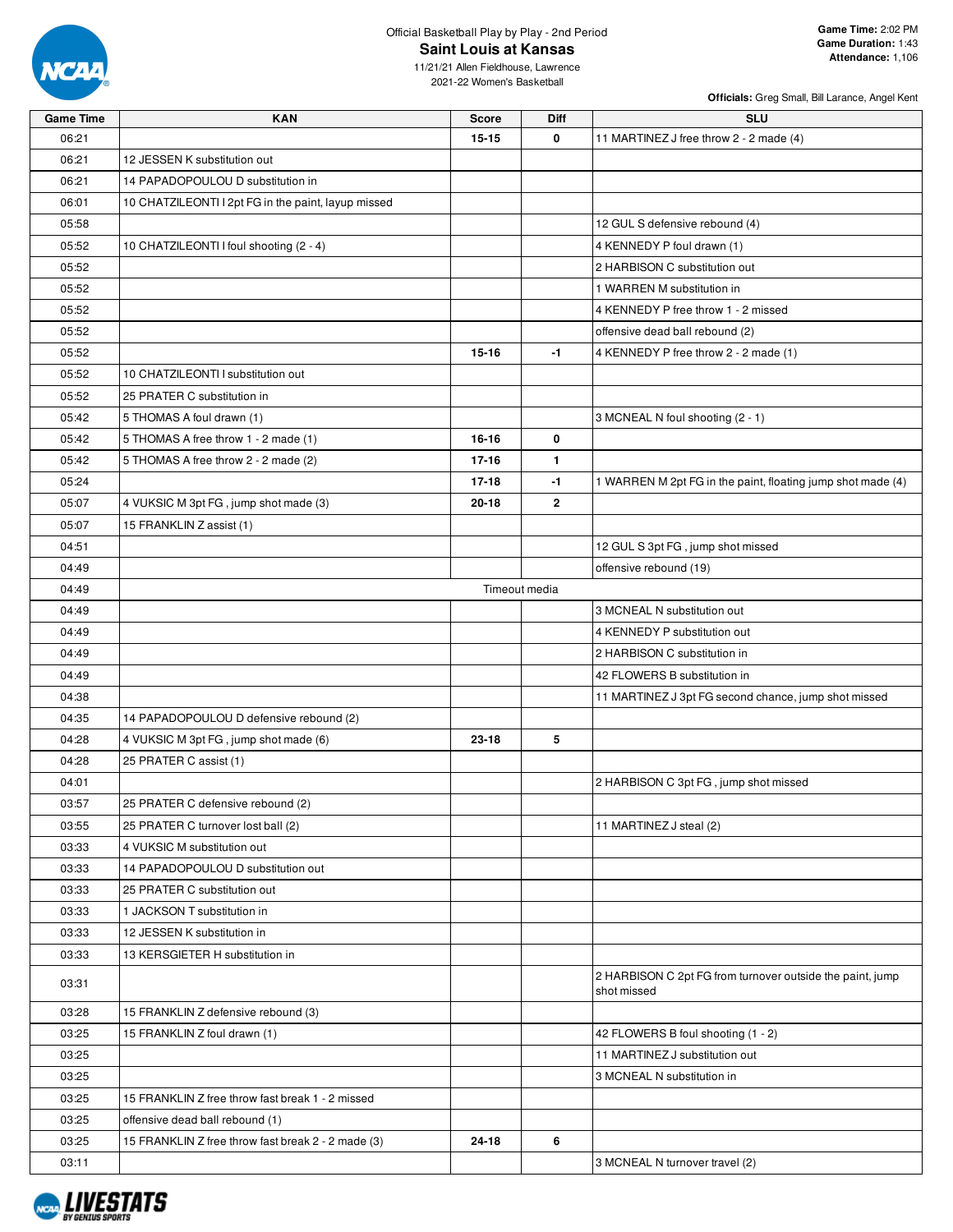

## Official Basketball Play by Play - 2nd Period **Saint Louis at Kansas**

11/21/21 Allen Fieldhouse, Lawrence 2021-22 Women's Basketball

| <b>Game Time</b> | <b>KAN</b>                                          | <b>Score</b>  | <b>Diff</b>  | <b>SLU</b>                                                               |
|------------------|-----------------------------------------------------|---------------|--------------|--------------------------------------------------------------------------|
| 06:21            |                                                     | $15 - 15$     | 0            | 11 MARTINEZ J free throw 2 - 2 made (4)                                  |
| 06:21            | 12 JESSEN K substitution out                        |               |              |                                                                          |
| 06:21            | 14 PAPADOPOULOU D substitution in                   |               |              |                                                                          |
| 06:01            | 10 CHATZILEONTI I 2pt FG in the paint, layup missed |               |              |                                                                          |
| 05:58            |                                                     |               |              | 12 GUL S defensive rebound (4)                                           |
| 05:52            | 10 CHATZILEONTI I foul shooting (2 - 4)             |               |              | 4 KENNEDY P foul drawn (1)                                               |
| 05:52            |                                                     |               |              | 2 HARBISON C substitution out                                            |
| 05:52            |                                                     |               |              | 1 WARREN M substitution in                                               |
| 05:52            |                                                     |               |              | 4 KENNEDY P free throw 1 - 2 missed                                      |
| 05:52            |                                                     |               |              | offensive dead ball rebound (2)                                          |
| 05:52            |                                                     | $15 - 16$     | -1           | 4 KENNEDY P free throw 2 - 2 made (1)                                    |
| 05:52            | 10 CHATZILEONTI I substitution out                  |               |              |                                                                          |
| 05:52            | 25 PRATER C substitution in                         |               |              |                                                                          |
| 05:42            | 5 THOMAS A foul drawn (1)                           |               |              | 3 MCNEAL N foul shooting (2 - 1)                                         |
| 05:42            | 5 THOMAS A free throw 1 - 2 made (1)                | 16-16         | 0            |                                                                          |
| 05:42            | 5 THOMAS A free throw 2 - 2 made (2)                | $17 - 16$     | 1            |                                                                          |
| 05:24            |                                                     | $17 - 18$     | $-1$         | 1 WARREN M 2pt FG in the paint, floating jump shot made (4)              |
| 05:07            | 4 VUKSIC M 3pt FG, jump shot made (3)               | $20 - 18$     | $\mathbf{2}$ |                                                                          |
| 05:07            | 15 FRANKLIN Z assist (1)                            |               |              |                                                                          |
| 04:51            |                                                     |               |              | 12 GUL S 3pt FG, jump shot missed                                        |
| 04:49            |                                                     |               |              | offensive rebound (19)                                                   |
| 04:49            |                                                     | Timeout media |              |                                                                          |
| 04:49            |                                                     |               |              | 3 MCNEAL N substitution out                                              |
| 04:49            |                                                     |               |              | 4 KENNEDY P substitution out                                             |
| 04:49            |                                                     |               |              | 2 HARBISON C substitution in                                             |
| 04:49            |                                                     |               |              | 42 FLOWERS B substitution in                                             |
| 04:38            |                                                     |               |              | 11 MARTINEZ J 3pt FG second chance, jump shot missed                     |
| 04:35            | 14 PAPADOPOULOU D defensive rebound (2)             |               |              |                                                                          |
| 04:28            | 4 VUKSIC M 3pt FG, jump shot made (6)               | $23 - 18$     | 5            |                                                                          |
| 04:28            | 25 PRATER C assist (1)                              |               |              |                                                                          |
| 04:01            |                                                     |               |              | 2 HARBISON C 3pt FG, jump shot missed                                    |
| 03:57            | 25 PRATER C defensive rebound (2)                   |               |              |                                                                          |
| 03:55            | 25 PRATER C turnover lost ball (2)                  |               |              | 11 MARTINEZ J steal (2)                                                  |
| 03:33            | 4 VUKSIC M substitution out                         |               |              |                                                                          |
| 03:33            | 14 PAPADOPOULOU D substitution out                  |               |              |                                                                          |
| 03:33            | 25 PRATER C substitution out                        |               |              |                                                                          |
| 03:33            | 1 JACKSON T substitution in                         |               |              |                                                                          |
| 03:33            | 12 JESSEN K substitution in                         |               |              |                                                                          |
| 03:33            | 13 KERSGIETER H substitution in                     |               |              |                                                                          |
| 03:31            |                                                     |               |              | 2 HARBISON C 2pt FG from turnover outside the paint, jump<br>shot missed |
| 03:28            | 15 FRANKLIN Z defensive rebound (3)                 |               |              |                                                                          |
| 03:25            | 15 FRANKLIN Z foul drawn (1)                        |               |              | 42 FLOWERS B foul shooting (1 - 2)                                       |
| 03:25            |                                                     |               |              | 11 MARTINEZ J substitution out                                           |
| 03:25            |                                                     |               |              | 3 MCNEAL N substitution in                                               |
| 03:25            | 15 FRANKLIN Z free throw fast break 1 - 2 missed    |               |              |                                                                          |
| 03:25            | offensive dead ball rebound (1)                     |               |              |                                                                          |
| 03:25            | 15 FRANKLIN Z free throw fast break 2 - 2 made (3)  | 24-18         | 6            |                                                                          |
| 03:11            |                                                     |               |              | 3 MCNEAL N turnover travel (2)                                           |

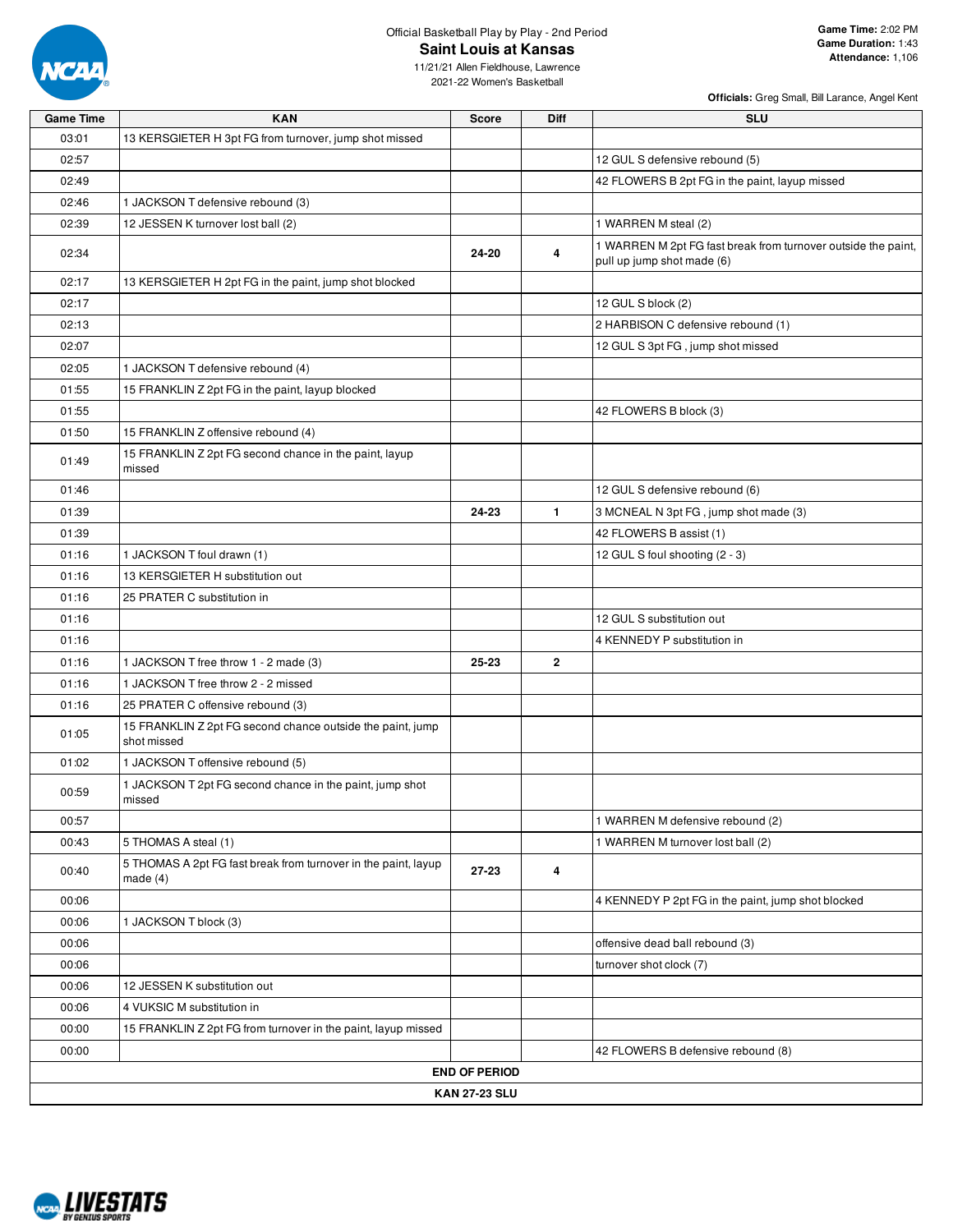

## Official Basketball Play by Play - 2nd Period **Saint Louis at Kansas**

11/21/21 Allen Fieldhouse, Lawrence 2021-22 Women's Basketball

| 03:01<br>13 KERSGIETER H 3pt FG from turnover, jump shot missed<br>02:57<br>12 GUL S defensive rebound (5)<br>02:49<br>42 FLOWERS B 2pt FG in the paint, layup missed<br>02:46<br>1 JACKSON T defensive rebound (3)<br>1 WARREN M steal (2)<br>02:39<br>12 JESSEN K turnover lost ball (2)<br>02:34<br>24-20<br>4<br>pull up jump shot made (6)<br>02:17<br>13 KERSGIETER H 2pt FG in the paint, jump shot blocked<br>02:17<br>12 GUL S block (2)<br>2 HARBISON C defensive rebound (1)<br>02:13<br>12 GUL S 3pt FG, jump shot missed<br>02:07<br>02:05<br>1 JACKSON T defensive rebound (4)<br>01:55<br>15 FRANKLIN Z 2pt FG in the paint, layup blocked<br>01:55<br>42 FLOWERS B block (3)<br>01:50<br>15 FRANKLIN Z offensive rebound (4)<br>15 FRANKLIN Z 2pt FG second chance in the paint, layup<br>01:49<br>missed<br>01:46<br>12 GUL S defensive rebound (6)<br>24-23<br>$\mathbf{1}$<br>3 MCNEAL N 3pt FG, jump shot made (3)<br>01:39<br>01:39<br>42 FLOWERS B assist (1)<br>01:16<br>1 JACKSON T foul drawn (1)<br>12 GUL S foul shooting (2 - 3)<br>13 KERSGIETER H substitution out<br>01:16<br>01:16<br>25 PRATER C substitution in<br>01:16<br>12 GUL S substitution out<br>01:16<br>4 KENNEDY P substitution in<br>$\mathbf{2}$<br>01:16<br>1 JACKSON T free throw 1 - 2 made (3)<br>25-23<br>01:16<br>1 JACKSON T free throw 2 - 2 missed<br>01:16<br>25 PRATER C offensive rebound (3)<br>15 FRANKLIN Z 2pt FG second chance outside the paint, jump<br>01:05<br>shot missed<br>1 JACKSON T offensive rebound (5)<br>01:02<br>1 JACKSON T 2pt FG second chance in the paint, jump shot<br>00:59<br>missed<br>00:57<br>1 WARREN M defensive rebound (2)<br>00:43<br>5 THOMAS A steal (1)<br>1 WARREN M turnover lost ball (2)<br>5 THOMAS A 2pt FG fast break from turnover in the paint, layup<br>00:40<br>27-23<br>4<br>made $(4)$<br>00:06<br>4 KENNEDY P 2pt FG in the paint, jump shot blocked<br>1 JACKSON T block (3)<br>00:06<br>00:06<br>offensive dead ball rebound (3)<br>00:06<br>turnover shot clock (7)<br>00:06<br>12 JESSEN K substitution out<br>00:06<br>4 VUKSIC M substitution in<br>00:00<br>15 FRANKLIN Z 2pt FG from turnover in the paint, layup missed<br>00:00<br>42 FLOWERS B defensive rebound (8)<br><b>END OF PERIOD</b> | <b>Game Time</b> | <b>KAN</b> | <b>Score</b>         | <b>Diff</b> | <b>SLU</b>                                                    |
|-------------------------------------------------------------------------------------------------------------------------------------------------------------------------------------------------------------------------------------------------------------------------------------------------------------------------------------------------------------------------------------------------------------------------------------------------------------------------------------------------------------------------------------------------------------------------------------------------------------------------------------------------------------------------------------------------------------------------------------------------------------------------------------------------------------------------------------------------------------------------------------------------------------------------------------------------------------------------------------------------------------------------------------------------------------------------------------------------------------------------------------------------------------------------------------------------------------------------------------------------------------------------------------------------------------------------------------------------------------------------------------------------------------------------------------------------------------------------------------------------------------------------------------------------------------------------------------------------------------------------------------------------------------------------------------------------------------------------------------------------------------------------------------------------------------------------------------------------------------------------------------------------------------------------------------------------------------------------------------------------------------------------------------------------------------------------------------------------------------------------------------------------------------------------------------------------------------------------------------------------------------------------|------------------|------------|----------------------|-------------|---------------------------------------------------------------|
|                                                                                                                                                                                                                                                                                                                                                                                                                                                                                                                                                                                                                                                                                                                                                                                                                                                                                                                                                                                                                                                                                                                                                                                                                                                                                                                                                                                                                                                                                                                                                                                                                                                                                                                                                                                                                                                                                                                                                                                                                                                                                                                                                                                                                                                                         |                  |            |                      |             |                                                               |
|                                                                                                                                                                                                                                                                                                                                                                                                                                                                                                                                                                                                                                                                                                                                                                                                                                                                                                                                                                                                                                                                                                                                                                                                                                                                                                                                                                                                                                                                                                                                                                                                                                                                                                                                                                                                                                                                                                                                                                                                                                                                                                                                                                                                                                                                         |                  |            |                      |             |                                                               |
|                                                                                                                                                                                                                                                                                                                                                                                                                                                                                                                                                                                                                                                                                                                                                                                                                                                                                                                                                                                                                                                                                                                                                                                                                                                                                                                                                                                                                                                                                                                                                                                                                                                                                                                                                                                                                                                                                                                                                                                                                                                                                                                                                                                                                                                                         |                  |            |                      |             |                                                               |
|                                                                                                                                                                                                                                                                                                                                                                                                                                                                                                                                                                                                                                                                                                                                                                                                                                                                                                                                                                                                                                                                                                                                                                                                                                                                                                                                                                                                                                                                                                                                                                                                                                                                                                                                                                                                                                                                                                                                                                                                                                                                                                                                                                                                                                                                         |                  |            |                      |             |                                                               |
|                                                                                                                                                                                                                                                                                                                                                                                                                                                                                                                                                                                                                                                                                                                                                                                                                                                                                                                                                                                                                                                                                                                                                                                                                                                                                                                                                                                                                                                                                                                                                                                                                                                                                                                                                                                                                                                                                                                                                                                                                                                                                                                                                                                                                                                                         |                  |            |                      |             |                                                               |
|                                                                                                                                                                                                                                                                                                                                                                                                                                                                                                                                                                                                                                                                                                                                                                                                                                                                                                                                                                                                                                                                                                                                                                                                                                                                                                                                                                                                                                                                                                                                                                                                                                                                                                                                                                                                                                                                                                                                                                                                                                                                                                                                                                                                                                                                         |                  |            |                      |             | 1 WARREN M 2pt FG fast break from turnover outside the paint, |
|                                                                                                                                                                                                                                                                                                                                                                                                                                                                                                                                                                                                                                                                                                                                                                                                                                                                                                                                                                                                                                                                                                                                                                                                                                                                                                                                                                                                                                                                                                                                                                                                                                                                                                                                                                                                                                                                                                                                                                                                                                                                                                                                                                                                                                                                         |                  |            |                      |             |                                                               |
|                                                                                                                                                                                                                                                                                                                                                                                                                                                                                                                                                                                                                                                                                                                                                                                                                                                                                                                                                                                                                                                                                                                                                                                                                                                                                                                                                                                                                                                                                                                                                                                                                                                                                                                                                                                                                                                                                                                                                                                                                                                                                                                                                                                                                                                                         |                  |            |                      |             |                                                               |
|                                                                                                                                                                                                                                                                                                                                                                                                                                                                                                                                                                                                                                                                                                                                                                                                                                                                                                                                                                                                                                                                                                                                                                                                                                                                                                                                                                                                                                                                                                                                                                                                                                                                                                                                                                                                                                                                                                                                                                                                                                                                                                                                                                                                                                                                         |                  |            |                      |             |                                                               |
|                                                                                                                                                                                                                                                                                                                                                                                                                                                                                                                                                                                                                                                                                                                                                                                                                                                                                                                                                                                                                                                                                                                                                                                                                                                                                                                                                                                                                                                                                                                                                                                                                                                                                                                                                                                                                                                                                                                                                                                                                                                                                                                                                                                                                                                                         |                  |            |                      |             |                                                               |
|                                                                                                                                                                                                                                                                                                                                                                                                                                                                                                                                                                                                                                                                                                                                                                                                                                                                                                                                                                                                                                                                                                                                                                                                                                                                                                                                                                                                                                                                                                                                                                                                                                                                                                                                                                                                                                                                                                                                                                                                                                                                                                                                                                                                                                                                         |                  |            |                      |             |                                                               |
|                                                                                                                                                                                                                                                                                                                                                                                                                                                                                                                                                                                                                                                                                                                                                                                                                                                                                                                                                                                                                                                                                                                                                                                                                                                                                                                                                                                                                                                                                                                                                                                                                                                                                                                                                                                                                                                                                                                                                                                                                                                                                                                                                                                                                                                                         |                  |            |                      |             |                                                               |
|                                                                                                                                                                                                                                                                                                                                                                                                                                                                                                                                                                                                                                                                                                                                                                                                                                                                                                                                                                                                                                                                                                                                                                                                                                                                                                                                                                                                                                                                                                                                                                                                                                                                                                                                                                                                                                                                                                                                                                                                                                                                                                                                                                                                                                                                         |                  |            |                      |             |                                                               |
|                                                                                                                                                                                                                                                                                                                                                                                                                                                                                                                                                                                                                                                                                                                                                                                                                                                                                                                                                                                                                                                                                                                                                                                                                                                                                                                                                                                                                                                                                                                                                                                                                                                                                                                                                                                                                                                                                                                                                                                                                                                                                                                                                                                                                                                                         |                  |            |                      |             |                                                               |
|                                                                                                                                                                                                                                                                                                                                                                                                                                                                                                                                                                                                                                                                                                                                                                                                                                                                                                                                                                                                                                                                                                                                                                                                                                                                                                                                                                                                                                                                                                                                                                                                                                                                                                                                                                                                                                                                                                                                                                                                                                                                                                                                                                                                                                                                         |                  |            |                      |             |                                                               |
|                                                                                                                                                                                                                                                                                                                                                                                                                                                                                                                                                                                                                                                                                                                                                                                                                                                                                                                                                                                                                                                                                                                                                                                                                                                                                                                                                                                                                                                                                                                                                                                                                                                                                                                                                                                                                                                                                                                                                                                                                                                                                                                                                                                                                                                                         |                  |            |                      |             |                                                               |
|                                                                                                                                                                                                                                                                                                                                                                                                                                                                                                                                                                                                                                                                                                                                                                                                                                                                                                                                                                                                                                                                                                                                                                                                                                                                                                                                                                                                                                                                                                                                                                                                                                                                                                                                                                                                                                                                                                                                                                                                                                                                                                                                                                                                                                                                         |                  |            |                      |             |                                                               |
|                                                                                                                                                                                                                                                                                                                                                                                                                                                                                                                                                                                                                                                                                                                                                                                                                                                                                                                                                                                                                                                                                                                                                                                                                                                                                                                                                                                                                                                                                                                                                                                                                                                                                                                                                                                                                                                                                                                                                                                                                                                                                                                                                                                                                                                                         |                  |            |                      |             |                                                               |
|                                                                                                                                                                                                                                                                                                                                                                                                                                                                                                                                                                                                                                                                                                                                                                                                                                                                                                                                                                                                                                                                                                                                                                                                                                                                                                                                                                                                                                                                                                                                                                                                                                                                                                                                                                                                                                                                                                                                                                                                                                                                                                                                                                                                                                                                         |                  |            |                      |             |                                                               |
|                                                                                                                                                                                                                                                                                                                                                                                                                                                                                                                                                                                                                                                                                                                                                                                                                                                                                                                                                                                                                                                                                                                                                                                                                                                                                                                                                                                                                                                                                                                                                                                                                                                                                                                                                                                                                                                                                                                                                                                                                                                                                                                                                                                                                                                                         |                  |            |                      |             |                                                               |
|                                                                                                                                                                                                                                                                                                                                                                                                                                                                                                                                                                                                                                                                                                                                                                                                                                                                                                                                                                                                                                                                                                                                                                                                                                                                                                                                                                                                                                                                                                                                                                                                                                                                                                                                                                                                                                                                                                                                                                                                                                                                                                                                                                                                                                                                         |                  |            |                      |             |                                                               |
|                                                                                                                                                                                                                                                                                                                                                                                                                                                                                                                                                                                                                                                                                                                                                                                                                                                                                                                                                                                                                                                                                                                                                                                                                                                                                                                                                                                                                                                                                                                                                                                                                                                                                                                                                                                                                                                                                                                                                                                                                                                                                                                                                                                                                                                                         |                  |            |                      |             |                                                               |
|                                                                                                                                                                                                                                                                                                                                                                                                                                                                                                                                                                                                                                                                                                                                                                                                                                                                                                                                                                                                                                                                                                                                                                                                                                                                                                                                                                                                                                                                                                                                                                                                                                                                                                                                                                                                                                                                                                                                                                                                                                                                                                                                                                                                                                                                         |                  |            |                      |             |                                                               |
|                                                                                                                                                                                                                                                                                                                                                                                                                                                                                                                                                                                                                                                                                                                                                                                                                                                                                                                                                                                                                                                                                                                                                                                                                                                                                                                                                                                                                                                                                                                                                                                                                                                                                                                                                                                                                                                                                                                                                                                                                                                                                                                                                                                                                                                                         |                  |            |                      |             |                                                               |
|                                                                                                                                                                                                                                                                                                                                                                                                                                                                                                                                                                                                                                                                                                                                                                                                                                                                                                                                                                                                                                                                                                                                                                                                                                                                                                                                                                                                                                                                                                                                                                                                                                                                                                                                                                                                                                                                                                                                                                                                                                                                                                                                                                                                                                                                         |                  |            |                      |             |                                                               |
|                                                                                                                                                                                                                                                                                                                                                                                                                                                                                                                                                                                                                                                                                                                                                                                                                                                                                                                                                                                                                                                                                                                                                                                                                                                                                                                                                                                                                                                                                                                                                                                                                                                                                                                                                                                                                                                                                                                                                                                                                                                                                                                                                                                                                                                                         |                  |            |                      |             |                                                               |
|                                                                                                                                                                                                                                                                                                                                                                                                                                                                                                                                                                                                                                                                                                                                                                                                                                                                                                                                                                                                                                                                                                                                                                                                                                                                                                                                                                                                                                                                                                                                                                                                                                                                                                                                                                                                                                                                                                                                                                                                                                                                                                                                                                                                                                                                         |                  |            |                      |             |                                                               |
|                                                                                                                                                                                                                                                                                                                                                                                                                                                                                                                                                                                                                                                                                                                                                                                                                                                                                                                                                                                                                                                                                                                                                                                                                                                                                                                                                                                                                                                                                                                                                                                                                                                                                                                                                                                                                                                                                                                                                                                                                                                                                                                                                                                                                                                                         |                  |            |                      |             |                                                               |
|                                                                                                                                                                                                                                                                                                                                                                                                                                                                                                                                                                                                                                                                                                                                                                                                                                                                                                                                                                                                                                                                                                                                                                                                                                                                                                                                                                                                                                                                                                                                                                                                                                                                                                                                                                                                                                                                                                                                                                                                                                                                                                                                                                                                                                                                         |                  |            |                      |             |                                                               |
|                                                                                                                                                                                                                                                                                                                                                                                                                                                                                                                                                                                                                                                                                                                                                                                                                                                                                                                                                                                                                                                                                                                                                                                                                                                                                                                                                                                                                                                                                                                                                                                                                                                                                                                                                                                                                                                                                                                                                                                                                                                                                                                                                                                                                                                                         |                  |            |                      |             |                                                               |
|                                                                                                                                                                                                                                                                                                                                                                                                                                                                                                                                                                                                                                                                                                                                                                                                                                                                                                                                                                                                                                                                                                                                                                                                                                                                                                                                                                                                                                                                                                                                                                                                                                                                                                                                                                                                                                                                                                                                                                                                                                                                                                                                                                                                                                                                         |                  |            |                      |             |                                                               |
|                                                                                                                                                                                                                                                                                                                                                                                                                                                                                                                                                                                                                                                                                                                                                                                                                                                                                                                                                                                                                                                                                                                                                                                                                                                                                                                                                                                                                                                                                                                                                                                                                                                                                                                                                                                                                                                                                                                                                                                                                                                                                                                                                                                                                                                                         |                  |            |                      |             |                                                               |
|                                                                                                                                                                                                                                                                                                                                                                                                                                                                                                                                                                                                                                                                                                                                                                                                                                                                                                                                                                                                                                                                                                                                                                                                                                                                                                                                                                                                                                                                                                                                                                                                                                                                                                                                                                                                                                                                                                                                                                                                                                                                                                                                                                                                                                                                         |                  |            |                      |             |                                                               |
|                                                                                                                                                                                                                                                                                                                                                                                                                                                                                                                                                                                                                                                                                                                                                                                                                                                                                                                                                                                                                                                                                                                                                                                                                                                                                                                                                                                                                                                                                                                                                                                                                                                                                                                                                                                                                                                                                                                                                                                                                                                                                                                                                                                                                                                                         |                  |            |                      |             |                                                               |
|                                                                                                                                                                                                                                                                                                                                                                                                                                                                                                                                                                                                                                                                                                                                                                                                                                                                                                                                                                                                                                                                                                                                                                                                                                                                                                                                                                                                                                                                                                                                                                                                                                                                                                                                                                                                                                                                                                                                                                                                                                                                                                                                                                                                                                                                         |                  |            |                      |             |                                                               |
|                                                                                                                                                                                                                                                                                                                                                                                                                                                                                                                                                                                                                                                                                                                                                                                                                                                                                                                                                                                                                                                                                                                                                                                                                                                                                                                                                                                                                                                                                                                                                                                                                                                                                                                                                                                                                                                                                                                                                                                                                                                                                                                                                                                                                                                                         |                  |            |                      |             |                                                               |
|                                                                                                                                                                                                                                                                                                                                                                                                                                                                                                                                                                                                                                                                                                                                                                                                                                                                                                                                                                                                                                                                                                                                                                                                                                                                                                                                                                                                                                                                                                                                                                                                                                                                                                                                                                                                                                                                                                                                                                                                                                                                                                                                                                                                                                                                         |                  |            |                      |             |                                                               |
|                                                                                                                                                                                                                                                                                                                                                                                                                                                                                                                                                                                                                                                                                                                                                                                                                                                                                                                                                                                                                                                                                                                                                                                                                                                                                                                                                                                                                                                                                                                                                                                                                                                                                                                                                                                                                                                                                                                                                                                                                                                                                                                                                                                                                                                                         |                  |            |                      |             |                                                               |
|                                                                                                                                                                                                                                                                                                                                                                                                                                                                                                                                                                                                                                                                                                                                                                                                                                                                                                                                                                                                                                                                                                                                                                                                                                                                                                                                                                                                                                                                                                                                                                                                                                                                                                                                                                                                                                                                                                                                                                                                                                                                                                                                                                                                                                                                         |                  |            |                      |             |                                                               |
|                                                                                                                                                                                                                                                                                                                                                                                                                                                                                                                                                                                                                                                                                                                                                                                                                                                                                                                                                                                                                                                                                                                                                                                                                                                                                                                                                                                                                                                                                                                                                                                                                                                                                                                                                                                                                                                                                                                                                                                                                                                                                                                                                                                                                                                                         |                  |            |                      |             |                                                               |
|                                                                                                                                                                                                                                                                                                                                                                                                                                                                                                                                                                                                                                                                                                                                                                                                                                                                                                                                                                                                                                                                                                                                                                                                                                                                                                                                                                                                                                                                                                                                                                                                                                                                                                                                                                                                                                                                                                                                                                                                                                                                                                                                                                                                                                                                         |                  |            |                      |             |                                                               |
|                                                                                                                                                                                                                                                                                                                                                                                                                                                                                                                                                                                                                                                                                                                                                                                                                                                                                                                                                                                                                                                                                                                                                                                                                                                                                                                                                                                                                                                                                                                                                                                                                                                                                                                                                                                                                                                                                                                                                                                                                                                                                                                                                                                                                                                                         |                  |            | <b>KAN 27-23 SLU</b> |             |                                                               |

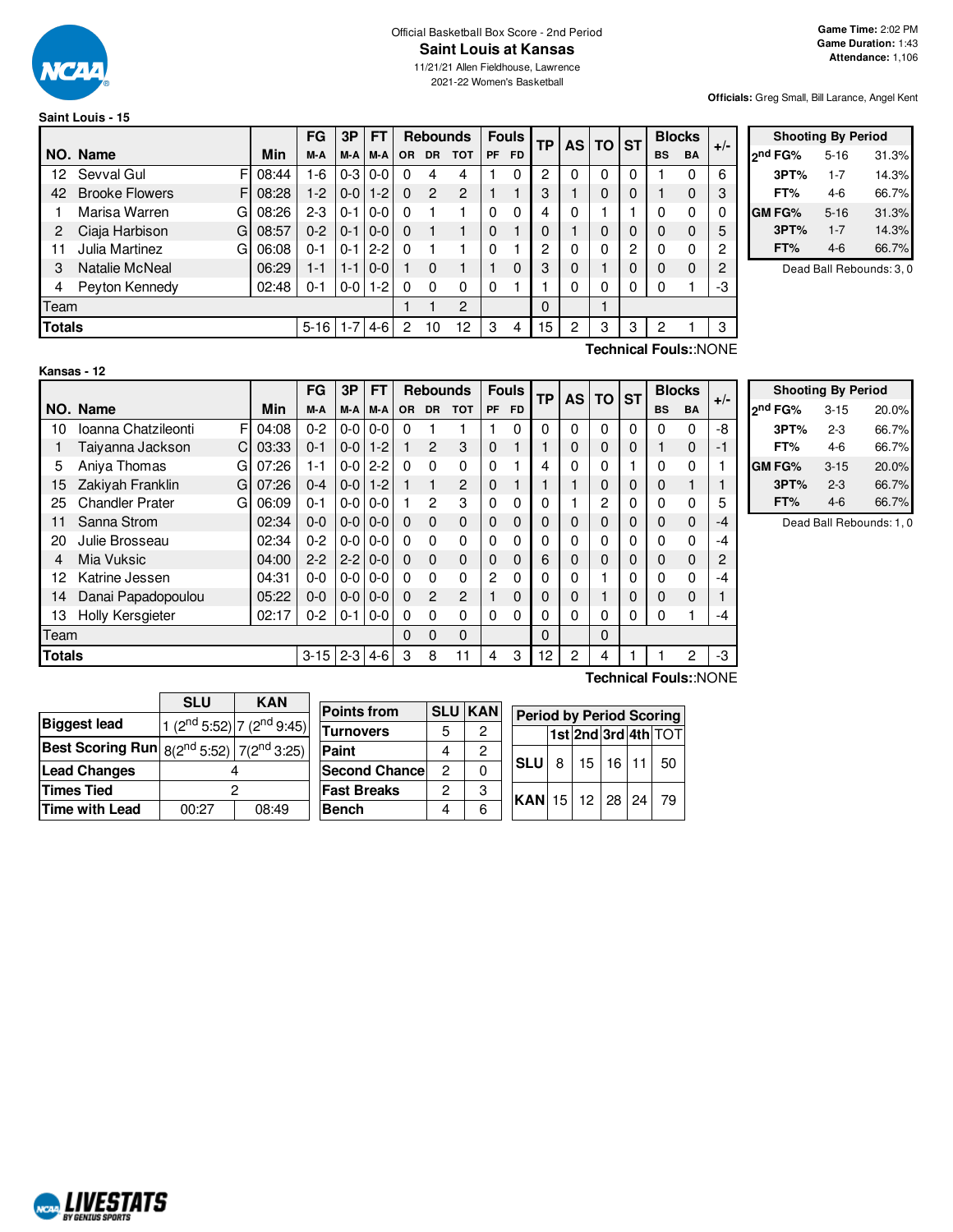

## Official Basketball Box Score - 2nd Period **Saint Louis at Kansas**

11/21/21 Allen Fieldhouse, Lawrence 2021-22 Women's Basketball

**Officials:** Greg Small, Bill Larance, Angel Kent

| Saint Louis - 15 |  |
|------------------|--|
|                  |  |

|               |                       |       | FG       | 3P      | FТ      |           | <b>Rebounds</b> |                |    | <b>Fouls</b> | <b>TP</b> |   | <b>AS TO</b> | <b>ST</b> | <b>Blocks</b> |           | $+/-$ |
|---------------|-----------------------|-------|----------|---------|---------|-----------|-----------------|----------------|----|--------------|-----------|---|--------------|-----------|---------------|-----------|-------|
|               | NO. Name              | Min   | M-A      | M-A     | M-A     | <b>OR</b> | DR.             | <b>TOT</b>     | PF | <b>FD</b>    |           |   |              |           | <b>BS</b>     | <b>BA</b> |       |
| 12            | Sevval Gul            | 08:44 | $1-6$    | $0 - 3$ | $0 - 0$ | 0         | 4               | 4              |    |              | 0         |   | 0            | 0         |               |           | 6     |
| 42            | <b>Brooke Flowers</b> | 08:28 | $1-2$    | $0 - 0$ | l 1-2   | 0         | $\overline{2}$  | 2              |    |              | 3         |   | 0            | 0         |               | 0         | 3     |
|               | Marisa Warren<br>G    | 08:26 | $2 - 3$  | $0 - 1$ | $0-0$   | 0         |                 |                | 0  | 0            | 4         | 0 |              |           | 0             | 0         | 0     |
| 2             | Ciaja Harbison<br>G   | 08:57 | $0 - 2$  | $0 - 1$ | $0 - 0$ | 0         |                 |                | 0  |              |           |   | 0            | 0         | 0             | $\Omega$  | 5     |
| 11            | Julia Martinez<br>G   | 06:08 | 0-1      | $0 - 1$ | $2 - 2$ | 0         |                 |                | 0  |              | 2         |   | 0            | 2         | 0             | 0         | 2     |
| 3             | Natalie McNeal        | 06:29 | 1-1      | $1 - 1$ | $0 - 0$ |           | $\Omega$        |                |    | 0            | 3         | 0 |              | 0         | 0             | $\Omega$  | 2     |
| 4             | Peyton Kennedy        | 02:48 | 0-1      | $0-0$   | $1 - 2$ | 0         | $\Omega$        | 0              | 0  |              |           |   | 0            | 0         | 0             |           | -3    |
| Team          |                       |       |          |         |         |           |                 | $\mathfrak{p}$ |    |              | $\Omega$  |   |              |           |               |           |       |
| <b>Totals</b> |                       |       | $5 - 16$ | $1 - 7$ | $4-6$   | 2         | 10              | 12             | 3  | 4            | 15        | 2 | 3            | 3         | 2             |           | 3     |

|         | <b>Shooting By Period</b> |       |
|---------|---------------------------|-------|
| ond FG% | $5 - 16$                  | 31.3% |
| 3PT%    | $1 - 7$                   | 14.3% |
| FT%     | 4-6                       | 66.7% |
| GM FG%  | $5 - 16$                  | 31.3% |
| 3PT%    | $1 - 7$                   | 14.3% |
| FT%     | $4-6$                     | 66.7% |

Dead Ball Rebounds: 3, 0

**Kansas - 12**

**Technical Fouls:**:NONE

|               |                                      |            | FG       | 3P            | <b>FT</b> |          |                | <b>Rebounds</b> |                | <b>Fouls</b> | <b>TP</b> | AS I     | <b>TO</b>      | <b>ST</b> | <b>Blocks</b> |             | $+/-$ |
|---------------|--------------------------------------|------------|----------|---------------|-----------|----------|----------------|-----------------|----------------|--------------|-----------|----------|----------------|-----------|---------------|-------------|-------|
|               | NO. Name                             | <b>Min</b> | M-A      | M-A           | M-A       | 0R       | <b>DR</b>      | <b>TOT</b>      | PF             | <b>FD</b>    |           |          |                |           | <b>BS</b>     | <b>BA</b>   |       |
| 10            | Ioanna Chatzileonti<br>F             | 04:08      | $0 - 2$  | $0-0$         | $0-0$     | 0        |                |                 |                | 0            | 0         | $\Omega$ | 0              | 0         | 0             | 0           | -8    |
| 1             | Taiyanna Jackson<br>C.               | 03:33      | $0 - 1$  | $0-0$         | $1 - 2$   |          | 2              | 3               | 0              |              |           | 0        | 0              | 0         |               | $\mathbf 0$ | -1    |
| 5             | Aniya Thomas<br>G                    | 07:26      | 1-1      | $0-0$         | $2 - 2$   | $\Omega$ | 0              | $\Omega$        | 0              |              | 4         | 0        | 0              |           | 0             | 0           |       |
| 15            | Zakiyah Franklin<br>G                | 07:26      | $0 - 4$  | $0 - 0$ 1-2   |           |          | 1              | $\overline{2}$  | $\mathbf 0$    |              |           |          | 0              | 0         | 0             |             |       |
| 25            | <b>Chandler Prater</b><br>G          | 06:09      | $0 - 1$  | $0 - 0$       | $0 - 0$   |          | $\overline{2}$ | 3               | 0              | 0            | 0         |          | $\overline{c}$ | $\Omega$  | 0             | $\mathbf 0$ | 5     |
| 11            | Sanna Strom                          | 02:34      | $0 - 0$  | $0-0$         | $0-0$     | $\Omega$ | $\Omega$       | $\Omega$        | $\mathbf 0$    | 0            | 0         | 0        | 0              | $\Omega$  | $\Omega$      | $\mathbf 0$ | -4    |
| 20            | Julie Brosseau                       | 02:34      | $0 - 2$  | $0-0$         | $0-0$     | $\Omega$ | 0              | $\Omega$        | 0              | 0            | 0         | 0        | 0              | 0         | 0             | 0           | -4    |
| 4             | Mia Vuksic                           | 04:00      | $2 - 2$  | $2 - 210 - 0$ |           | $\Omega$ | $\Omega$       | $\Omega$        | $\mathbf 0$    | 0            | 6         | 0        | 0              | 0         | $\Omega$      | $\mathbf 0$ | 2     |
| 12            | Katrine Jessen                       | 04:31      | $0 - 0$  | $0-0$         | $0-0$     | $\Omega$ | 0              | $\Omega$        | $\overline{2}$ | 0            | 0         | 0        |                | 0         | 0             | 0           | -4    |
| 14            | Danai Papadopoulou                   | 05:22      | $0 - 0$  | $0-0$         | $0-0$     | $\Omega$ | $\overline{2}$ | $\mathfrak{p}$  |                | 0            | 0         | 0        |                | 0         | 0             | 0           |       |
| 13            | Holly Kersgieter                     | 02:17      | $0 - 2$  | 0-1           | $0 - 0$   | $\Omega$ | $\Omega$       | $\Omega$        | 0              | 0            | 0         | 0        | 0              | $\Omega$  | 0             |             | -4    |
|               | Team<br>0<br>$\Omega$<br>0<br>0<br>0 |            |          |               |           |          |                |                 |                |              |           |          |                |           |               |             |       |
| <b>Totals</b> |                                      |            | $3 - 15$ | $2-3$ 4-6     |           | 3        | 8              | 11              | 4              | 3            | 12        | 2        | 4              |           |               | 2           | -3    |
|               | Technical Fouls::NONE                |            |          |               |           |          |                |                 |                |              |           |          |                |           |               |             |       |

|                                                                   | 20.0%                                                                      |
|-------------------------------------------------------------------|----------------------------------------------------------------------------|
|                                                                   | 66.7%                                                                      |
|                                                                   | 66.7%                                                                      |
|                                                                   | 20.0%                                                                      |
|                                                                   | 66.7%                                                                      |
| 4-6                                                               | 66.7%                                                                      |
| 2 <sup>nd</sup> FG%<br>3PT%<br>FT%<br><b>GMFG%</b><br>3PT%<br>FT% | <b>Shooting By Period</b><br>$3 - 15$<br>2-3<br>4-6<br>$3 - 15$<br>$2 - 3$ |

Dead Ball Rebounds: 1, 0

|                                                                  | <b>SLU</b> | <b>KAN</b>                                        |                 |
|------------------------------------------------------------------|------------|---------------------------------------------------|-----------------|
|                                                                  |            |                                                   | <b>Points f</b> |
| <b>Biggest lead</b>                                              |            | 1 (2 <sup>nd</sup> 5:52) 7 (2 <sup>nd</sup> 9:45) | <b>Turnove</b>  |
| <b>Best Scoring Run</b> $8(2^{nd} 5:52)$ 7(2 <sup>nd</sup> 3:25) |            |                                                   | Paint           |
| <b>Lead Changes</b>                                              |            |                                                   | Second          |
| <b>Times Tied</b>                                                |            |                                                   | <b>Fast Bro</b> |
| <b>Time with Lead</b>                                            | 00:27      | 08:49                                             | <b>Bench</b>    |

| <b>Points from</b>    | <b>SLU</b> | <b>KAN</b> | <b>Period by Period Scoring</b> |   |              |  |                     |
|-----------------------|------------|------------|---------------------------------|---|--------------|--|---------------------|
| lTurnovers            |            | 2          |                                 |   |              |  | 1st 2nd 3rd 4th TOT |
| Paint                 |            | 2          |                                 |   |              |  |                     |
| <b>Second Chancel</b> | 2          |            | <b>SLU</b>                      | 8 | 15   16   11 |  | -50                 |
| <b>Fast Breaks</b>    | 2          | 3          | $ KAN$ 15 12 28 24              |   |              |  | -79                 |
| <b>Bench</b>          |            |            |                                 |   |              |  |                     |

**NCALL IVESTATS**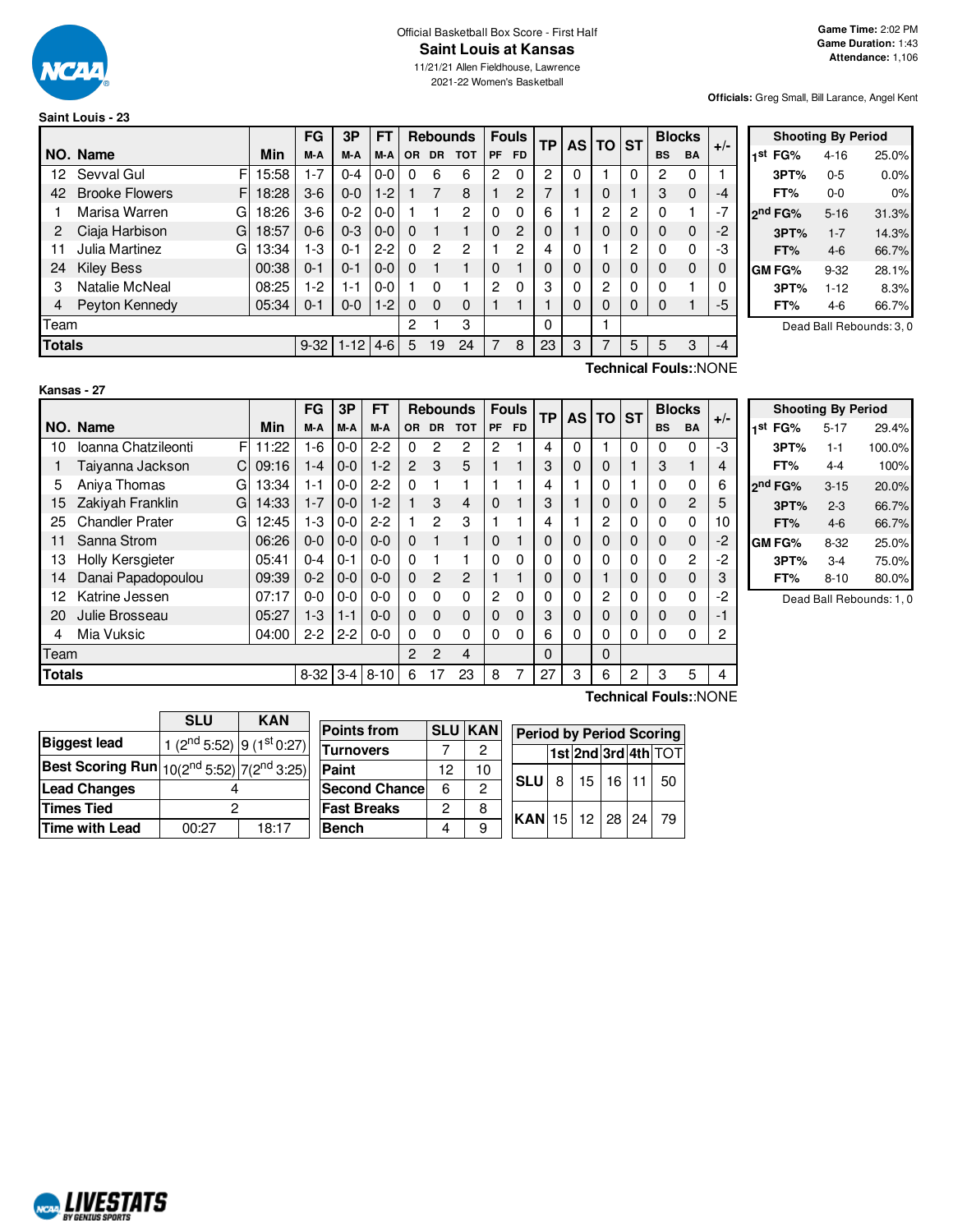

# Official Basketball Box Score - First Half **Saint Louis at Kansas**

11/21/21 Allen Fieldhouse, Lawrence 2021-22 Women's Basketball

**Officials:** Greg Small, Bill Larance, Angel Kent

# **Saint Louis - 23**

|               |                             |       | FG       | 3P       | FT      |           |                | <b>Rebounds</b> |    | <b>Fouls</b>   | ТP       | <b>AS</b> | ΤO             | <b>ST</b>      |           | <b>Blocks</b> | $+/-$    |
|---------------|-----------------------------|-------|----------|----------|---------|-----------|----------------|-----------------|----|----------------|----------|-----------|----------------|----------------|-----------|---------------|----------|
|               | NO. Name                    | Min   | M-A      | M-A      | M-A     | <b>OR</b> | <b>DR</b>      | <b>TOT</b>      | PF | <b>FD</b>      |          |           |                |                | <b>BS</b> | <b>BA</b>     |          |
| 12            | Sevval Gul<br>F             | 15:58 | $1 - 7$  | $0 - 4$  | 0-0     | 0         | 6              | 6               | 2  | $\Omega$       | 2        | 0         |                | 0              | 2         | $\Omega$      |          |
| 42            | <b>Brooke Flowers</b><br>F. | 18:28 | $3-6$    | $0 - 0$  | $1 - 2$ |           |                | 8               |    | 2              |          |           | 0              |                | 3         | $\mathbf 0$   | $-4$     |
|               | Marisa Warren<br>GI         | 18:26 | $3-6$    | $0 - 2$  | $0 - 0$ |           |                | 2               | 0  | 0              | 6        |           | 2              | $\overline{2}$ | 0         |               | $-7$     |
| 2             | Ciaja Harbison<br>G         | 18:57 | $0 - 6$  | $0 - 3$  | $0 - 0$ | 0         |                |                 | 0  | $\overline{2}$ | 0        |           | 0              | 0              | 0         | $\mathbf 0$   | $-2$     |
| 11            | Julia Martinez<br>Gl        | 13:34 | $1-3$    | $0 - 1$  | $2 - 2$ | 0         | $\overline{c}$ | $\overline{2}$  |    | 2              |          | 0         |                | 2              | 0         | 0             | -3       |
| 24            | <b>Kiley Bess</b>           | 00:38 | $0 - 1$  | $0 - 1$  | $0 - 0$ | $\Omega$  |                |                 | 0  |                | 0        | 0         | 0              | 0              | 0         | $\Omega$      | $\Omega$ |
| 3             | Natalie McNeal              | 08:25 | $1-2$    | 1-1      | 0-0     |           | 0              |                 | 2  | $\Omega$       | 3        | 0         | $\overline{2}$ | 0              | 0         |               | 0        |
| 4             | Peyton Kennedy              | 05:34 | $0 - 1$  | $0-0$    | $1-2$   | $\Omega$  | 0              | 0               |    |                |          | 0         | 0              | 0              | 0         |               | -5       |
| Team          |                             |       |          |          |         | 2         |                | 3               |    |                | $\Omega$ |           |                |                |           |               |          |
| <b>Totals</b> |                             |       | $9 - 32$ | $1 - 12$ | $4-6$   | 5         | 19             | 24              | 7  | 8              | 23       | 3         | 7              | 5              | 5         | 3             | $-4$     |

| <b>Shooting By Period</b> |                     |          |       |  |  |  |  |  |  |  |
|---------------------------|---------------------|----------|-------|--|--|--|--|--|--|--|
| 1st                       | FG%                 | $4 - 16$ | 25.0% |  |  |  |  |  |  |  |
|                           | 3PT%                | $0 - 5$  | 0.0%  |  |  |  |  |  |  |  |
|                           | FT%                 | $0 - 0$  | 0%    |  |  |  |  |  |  |  |
|                           | 2 <sup>nd</sup> FG% | $5 - 16$ | 31.3% |  |  |  |  |  |  |  |
|                           | 3PT%                | $1 - 7$  | 14.3% |  |  |  |  |  |  |  |
|                           | FT%                 | $4-6$    | 66.7% |  |  |  |  |  |  |  |
|                           | GM FG%              | $9 - 32$ | 28.1% |  |  |  |  |  |  |  |
|                           | 3PT%                | $1 - 12$ | 8.3%  |  |  |  |  |  |  |  |
|                           | FT%                 | 4-6      | 66.7% |  |  |  |  |  |  |  |

Dead Ball Rebounds: 3, 0

#### **Kansas - 27**

**Technical Fouls:**:NONE

|               |                             |       | FG       | 3P      | <b>FT</b> |                |                | <b>Rebounds</b> |                | <b>Fouls</b> | <b>TP</b> | AS I | <b>TO</b> | <b>ST</b> | <b>Blocks</b>         |                | $+/-$ |
|---------------|-----------------------------|-------|----------|---------|-----------|----------------|----------------|-----------------|----------------|--------------|-----------|------|-----------|-----------|-----------------------|----------------|-------|
|               | NO. Name                    | Min   | M-A      | M-A     | M-A       | <b>OR</b>      | <b>DR</b>      | <b>TOT</b>      | <b>PF</b>      | <b>FD</b>    |           |      |           |           | <b>BS</b>             | <b>BA</b>      |       |
| 10            | Ioanna Chatzileonti<br>F    | 11:22 | $1 - 6$  | $0-0$   | $2 - 2$   | 0              | 2              | 2               | 2              |              | 4         | 0    |           | 0         | 0                     | 0              | -3    |
|               | Taiyanna Jackson<br>C.      | 09:16 | 1-4      | $0 - 0$ | $1 - 2$   | 2              | 3              | 5               |                |              | 3         | 0    | 0         |           | 3                     |                | 4     |
| 5             | Aniya Thomas<br>G           | 13:34 | 1-1      | $0 - 0$ | $2-2$     | $\Omega$       | 1              |                 |                |              | 4         |      | 0         |           | 0                     | 0              | 6     |
| 15            | Zakiyah Franklin<br>G       | 14:33 | $1 - 7$  | $0 - 0$ | $1-2$     |                | 3              | 4               | 0              |              | 3         |      | 0         | 0         | $\Omega$              | $\overline{2}$ | 5     |
| 25            | <b>Chandler Prater</b><br>G | 12:45 | $1 - 3$  | $0-0$   | $2 - 2$   |                | $\overline{2}$ | 3               |                |              | 4         |      | 2         | $\Omega$  | $\Omega$              | 0              | 10    |
| 11            | Sanna Strom                 | 06:26 | $0 - 0$  | $0-0$   | $0-0$     | $\Omega$       | 1              | 1               | $\Omega$       |              | 0         | 0    | 0         | 0         | $\mathbf 0$           | $\mathbf{0}$   | -2    |
| 13            | <b>Holly Kersgieter</b>     | 05:41 | $0 - 4$  | $0 - 1$ | $0 - 0$   | $\Omega$       |                |                 | $\Omega$       | $\Omega$     | 0         | 0    | 0         | 0         | $\Omega$              | $\overline{c}$ | -2    |
| 14            | Danai Papadopoulou          | 09:39 | $0 - 2$  | $0-0$   | $0 - 0$   | $\mathbf 0$    | $\overline{2}$ | 2               |                |              | 0         | 0    |           | 0         | $\mathbf 0$           | 0              | 3     |
| 12            | Katrine Jessen              | 07:17 | $0-0$    | $0 - 0$ | $0 - 0$   | 0              | $\Omega$       | $\Omega$        | $\overline{c}$ | $\Omega$     | 0         | 0    | 2         | 0         | 0                     | $\mathbf 0$    | $-2$  |
| 20            | Julie Brosseau              | 05:27 | $1 - 3$  | $1 - 1$ | $0 - 0$   | $\Omega$       | $\Omega$       | $\Omega$        | 0              | $\Omega$     | 3         | 0    | 0         | 0         | $\Omega$              | $\mathbf 0$    | -1    |
| 4             | Mia Vuksic                  | 04:00 | $2 - 2$  | $2 - 2$ | $0 - 0$   | 0              | $\Omega$       | 0               | $\Omega$       | $\Omega$     | 6         | 0    | $\Omega$  | 0         | 0                     | 0              | 2     |
| Team          |                             |       |          |         |           | $\overline{2}$ | $\overline{2}$ | 4               |                |              | $\Omega$  |      | $\Omega$  |           |                       |                |       |
| <b>Totals</b> |                             |       | $8 - 32$ | $3 - 4$ | $8 - 10$  | 6              | 17             | 23              | 8              | 7            | 27        | 3    | 6         | 2         | 3                     | 5              | 4     |
|               |                             |       |          |         |           |                |                |                 |                |              |           |      |           |           | Technical Fouls::NONE |                |       |

| <b>Shooting By Period</b> |          |        |  |  |  |  |  |  |  |  |
|---------------------------|----------|--------|--|--|--|--|--|--|--|--|
| 1 <sup>st</sup> FG%       | $5 - 17$ | 29.4%  |  |  |  |  |  |  |  |  |
| 3PT%                      | $1 - 1$  | 100.0% |  |  |  |  |  |  |  |  |
| FT%                       | 4-4      | 100%   |  |  |  |  |  |  |  |  |
| ond FG%                   | $3 - 15$ | 20.0%  |  |  |  |  |  |  |  |  |
| 3PT%                      | $2 - 3$  | 66.7%  |  |  |  |  |  |  |  |  |
| FT%                       | $4-6$    | 66.7%  |  |  |  |  |  |  |  |  |
| GM FG%                    | $8-32$   | 25.0%  |  |  |  |  |  |  |  |  |
| 3PT%                      | $3-4$    | 75.0%  |  |  |  |  |  |  |  |  |
| FT%                       | 8-10     | 80.0%  |  |  |  |  |  |  |  |  |

Dead Ball Rebounds: 1, 0

|                                                                   | <b>SLU</b>                        | <b>KAN</b> | <b>Points from</b>   |    | <b>SLU KAN</b> |                                 |   |    |    |    |                     |
|-------------------------------------------------------------------|-----------------------------------|------------|----------------------|----|----------------|---------------------------------|---|----|----|----|---------------------|
| <b>Biggest lead</b>                                               | 1 ( $2nd 5:52$ ) 9 ( $1st 0:27$ ) |            |                      |    |                | <b>Period by Period Scoring</b> |   |    |    |    |                     |
|                                                                   |                                   |            | <b>Turnovers</b>     |    | 2              |                                 |   |    |    |    | 1st 2nd 3rd 4th TOT |
| <b>Best Scoring Run</b> $10(2^{nd} 5:52)$ 7(2 <sup>nd</sup> 3:25) |                                   |            | <b>Paint</b>         | 12 | 10             |                                 |   |    |    |    |                     |
| <b>Lead Changes</b>                                               |                                   |            | <b>Second Chance</b> | 6  |                | <b>SLU</b>                      | 8 | 15 | 16 |    | 50                  |
| <b>Times Tied</b>                                                 |                                   |            | <b>Fast Breaks</b>   | 2  | 8              | $KAN$ 15                        |   | 12 | 28 | 24 | -79                 |
| <b>Time with Lead</b>                                             | 00:27                             | 18:17      | <b>Bench</b>         | 4  | 9              |                                 |   |    |    |    |                     |

NCAL LIVESTATS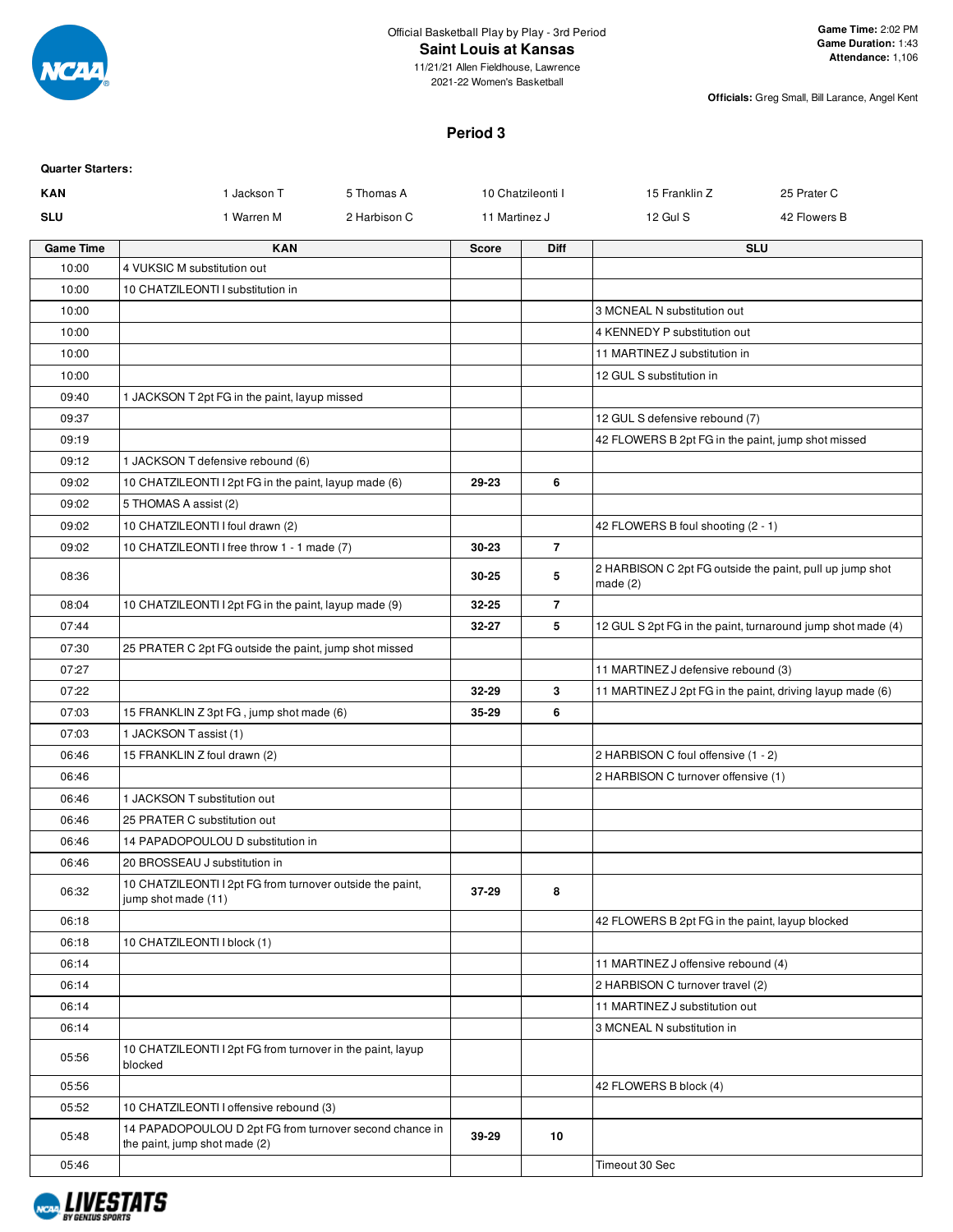

2021-22 Women's Basketball

**Officials:** Greg Small, Bill Larance, Angel Kent

# **Period 3**

| <b>Quarter Starters:</b> |                                                                                          |              |               |                   |                                                                        |                                                             |
|--------------------------|------------------------------------------------------------------------------------------|--------------|---------------|-------------------|------------------------------------------------------------------------|-------------------------------------------------------------|
| <b>KAN</b>               | 1 Jackson T                                                                              | 5 Thomas A   |               | 10 Chatzileonti I | 15 Franklin Z                                                          | 25 Prater C                                                 |
| <b>SLU</b>               | 1 Warren M                                                                               | 2 Harbison C | 11 Martinez J |                   | 12 Gul S                                                               | 42 Flowers B                                                |
| <b>Game Time</b>         | <b>KAN</b>                                                                               |              | <b>Score</b>  | Diff              |                                                                        | <b>SLU</b>                                                  |
| 10:00                    | 4 VUKSIC M substitution out                                                              |              |               |                   |                                                                        |                                                             |
| 10:00                    | 10 CHATZILEONTI I substitution in                                                        |              |               |                   |                                                                        |                                                             |
| 10:00                    |                                                                                          |              |               |                   | 3 MCNEAL N substitution out                                            |                                                             |
| 10:00                    |                                                                                          |              |               |                   | 4 KENNEDY P substitution out                                           |                                                             |
| 10:00                    |                                                                                          |              |               |                   | 11 MARTINEZ J substitution in                                          |                                                             |
| 10:00                    |                                                                                          |              |               |                   | 12 GUL S substitution in                                               |                                                             |
| 09:40                    | 1 JACKSON T 2pt FG in the paint, layup missed                                            |              |               |                   |                                                                        |                                                             |
| 09:37                    |                                                                                          |              |               |                   | 12 GUL S defensive rebound (7)                                         |                                                             |
| 09:19                    |                                                                                          |              |               |                   | 42 FLOWERS B 2pt FG in the paint, jump shot missed                     |                                                             |
| 09:12                    | 1 JACKSON T defensive rebound (6)                                                        |              |               |                   |                                                                        |                                                             |
| 09:02                    | 10 CHATZILEONTI I 2pt FG in the paint, layup made (6)                                    |              | 29-23         | 6                 |                                                                        |                                                             |
| 09:02                    | 5 THOMAS A assist (2)                                                                    |              |               |                   |                                                                        |                                                             |
| 09:02                    | 10 CHATZILEONTI I foul drawn (2)                                                         |              |               |                   | 42 FLOWERS B foul shooting (2 - 1)                                     |                                                             |
| 09:02                    | 10 CHATZILEONTI I free throw 1 - 1 made (7)                                              |              | 30-23         | $\overline{7}$    |                                                                        |                                                             |
| 08:36                    |                                                                                          |              | 30-25         | 5                 | 2 HARBISON C 2pt FG outside the paint, pull up jump shot<br>made $(2)$ |                                                             |
| 08:04                    | 10 CHATZILEONTI I 2pt FG in the paint, layup made (9)                                    |              | 32-25         | $\overline{7}$    |                                                                        |                                                             |
| 07:44                    |                                                                                          |              | 32-27         | 5                 |                                                                        | 12 GUL S 2pt FG in the paint, turnaround jump shot made (4) |
| 07:30                    | 25 PRATER C 2pt FG outside the paint, jump shot missed                                   |              |               |                   |                                                                        |                                                             |
| 07:27                    |                                                                                          |              |               |                   | 11 MARTINEZ J defensive rebound (3)                                    |                                                             |
| 07:22                    |                                                                                          |              | 32-29         | 3                 | 11 MARTINEZ J 2pt FG in the paint, driving layup made (6)              |                                                             |
| 07:03                    | 15 FRANKLIN Z 3pt FG, jump shot made (6)                                                 |              | 35-29         | 6                 |                                                                        |                                                             |
| 07:03                    | 1 JACKSON T assist (1)                                                                   |              |               |                   |                                                                        |                                                             |
| 06:46                    | 15 FRANKLIN Z foul drawn (2)                                                             |              |               |                   | 2 HARBISON C foul offensive (1 - 2)                                    |                                                             |
| 06:46                    |                                                                                          |              |               |                   | 2 HARBISON C turnover offensive (1)                                    |                                                             |
| 06:46                    | 1 JACKSON T substitution out                                                             |              |               |                   |                                                                        |                                                             |
| 06:46                    | 25 PRATER C substitution out                                                             |              |               |                   |                                                                        |                                                             |
| 06:46                    | 14 PAPADOPOULOU D substitution in                                                        |              |               |                   |                                                                        |                                                             |
| 06:46                    | 20 BROSSEAU J substitution in                                                            |              |               |                   |                                                                        |                                                             |
| 06:32                    | 10 CHATZILEONTI I 2pt FG from turnover outside the paint,<br>jump shot made (11)         |              | 37-29         | 8                 |                                                                        |                                                             |
| 06:18                    |                                                                                          |              |               |                   | 42 FLOWERS B 2pt FG in the paint, layup blocked                        |                                                             |
| 06:18                    | 10 CHATZILEONTI I block (1)                                                              |              |               |                   |                                                                        |                                                             |
| 06:14                    |                                                                                          |              |               |                   | 11 MARTINEZ J offensive rebound (4)                                    |                                                             |
| 06:14                    |                                                                                          |              |               |                   | 2 HARBISON C turnover travel (2)                                       |                                                             |
| 06:14                    |                                                                                          |              |               |                   | 11 MARTINEZ J substitution out                                         |                                                             |
| 06:14                    |                                                                                          |              |               |                   | 3 MCNEAL N substitution in                                             |                                                             |
| 05:56                    | 10 CHATZILEONTI I 2pt FG from turnover in the paint, layup<br>blocked                    |              |               |                   |                                                                        |                                                             |
| 05:56                    |                                                                                          |              |               |                   | 42 FLOWERS B block (4)                                                 |                                                             |
| 05:52                    | 10 CHATZILEONTI I offensive rebound (3)                                                  |              |               |                   |                                                                        |                                                             |
| 05:48                    | 14 PAPADOPOULOU D 2pt FG from turnover second chance in<br>the paint, jump shot made (2) |              | 39-29         | 10                |                                                                        |                                                             |
| 05:46                    |                                                                                          |              |               |                   | Timeout 30 Sec                                                         |                                                             |

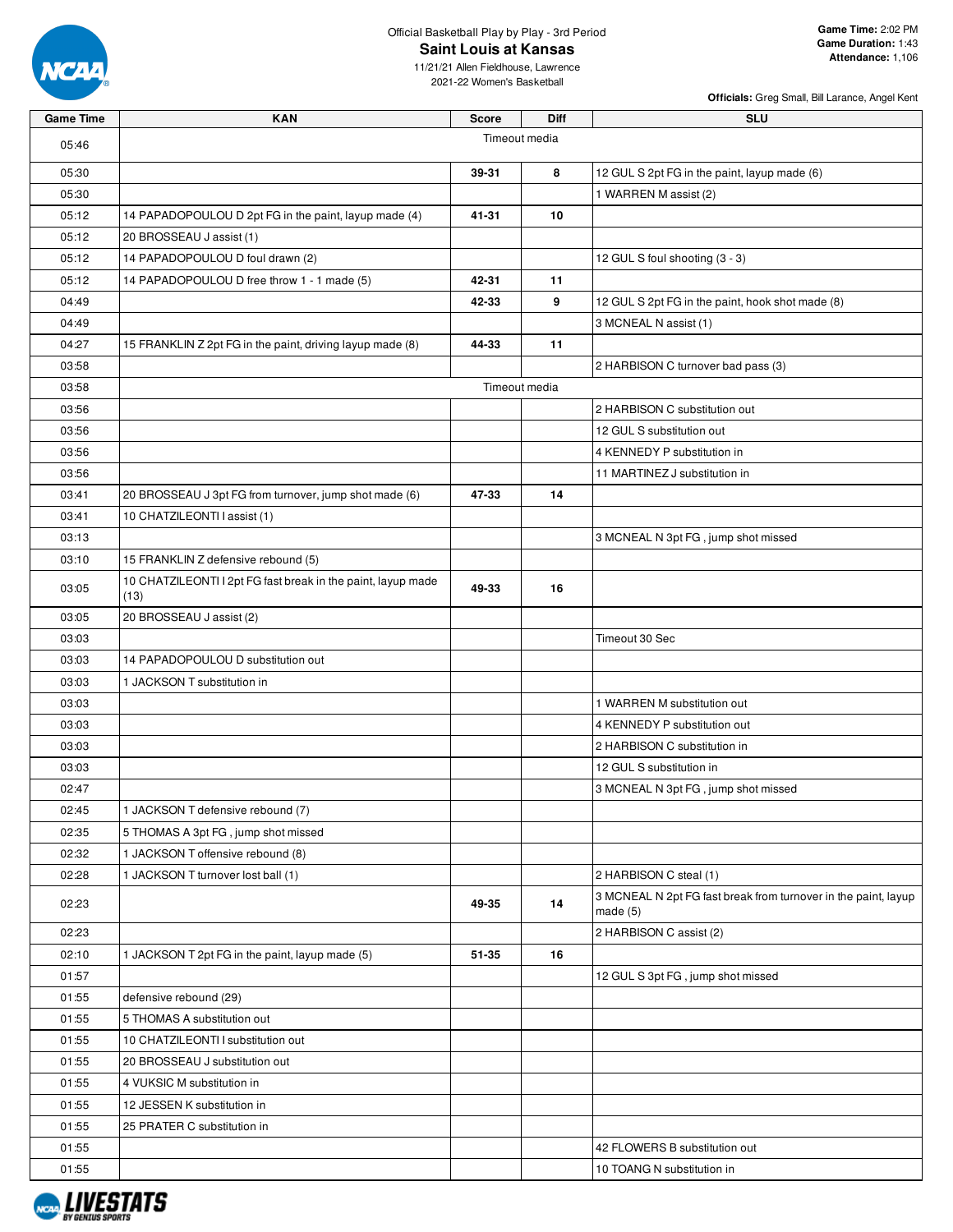

Official Basketball Play by Play - 3rd Period **Saint Louis at Kansas**

11/21/21 Allen Fieldhouse, Lawrence 2021-22 Women's Basketball

| Game Time | KAN                                                                  | Score | Diff          | <b>SLU</b>                                                                   |
|-----------|----------------------------------------------------------------------|-------|---------------|------------------------------------------------------------------------------|
| 05:46     |                                                                      |       | Timeout media |                                                                              |
| 05:30     |                                                                      | 39-31 | 8             | 12 GUL S 2pt FG in the paint, layup made (6)                                 |
| 05:30     |                                                                      |       |               | 1 WARREN M assist (2)                                                        |
| 05:12     | 14 PAPADOPOULOU D 2pt FG in the paint, layup made (4)                | 41-31 | 10            |                                                                              |
| 05:12     | 20 BROSSEAU J assist (1)                                             |       |               |                                                                              |
| 05:12     | 14 PAPADOPOULOU D foul drawn (2)                                     |       |               | 12 GUL S foul shooting (3 - 3)                                               |
| 05:12     | 14 PAPADOPOULOU D free throw 1 - 1 made (5)                          | 42-31 | 11            |                                                                              |
| 04:49     |                                                                      | 42-33 | 9             | 12 GUL S 2pt FG in the paint, hook shot made (8)                             |
| 04:49     |                                                                      |       |               | 3 MCNEAL N assist (1)                                                        |
| 04:27     | 15 FRANKLIN Z 2pt FG in the paint, driving layup made (8)            | 44-33 | 11            |                                                                              |
| 03:58     |                                                                      |       |               | 2 HARBISON C turnover bad pass (3)                                           |
| 03:58     |                                                                      |       | Timeout media |                                                                              |
| 03:56     |                                                                      |       |               | 2 HARBISON C substitution out                                                |
| 03:56     |                                                                      |       |               | 12 GUL S substitution out                                                    |
| 03:56     |                                                                      |       |               | 4 KENNEDY P substitution in                                                  |
| 03:56     |                                                                      |       |               | 11 MARTINEZ J substitution in                                                |
| 03:41     | 20 BROSSEAU J 3pt FG from turnover, jump shot made (6)               | 47-33 | 14            |                                                                              |
| 03:41     | 10 CHATZILEONTI I assist (1)                                         |       |               |                                                                              |
| 03:13     |                                                                      |       |               | 3 MCNEAL N 3pt FG, jump shot missed                                          |
| 03:10     | 15 FRANKLIN Z defensive rebound (5)                                  |       |               |                                                                              |
| 03:05     | 10 CHATZILEONTI I 2pt FG fast break in the paint, layup made<br>(13) | 49-33 | 16            |                                                                              |
| 03:05     | 20 BROSSEAU J assist (2)                                             |       |               |                                                                              |
| 03:03     |                                                                      |       |               | Timeout 30 Sec                                                               |
| 03:03     | 14 PAPADOPOULOU D substitution out                                   |       |               |                                                                              |
| 03:03     | 1 JACKSON T substitution in                                          |       |               |                                                                              |
| 03:03     |                                                                      |       |               | 1 WARREN M substitution out                                                  |
| 03:03     |                                                                      |       |               | 4 KENNEDY P substitution out                                                 |
| 03:03     |                                                                      |       |               | 2 HARBISON C substitution in                                                 |
| 03:03     |                                                                      |       |               | 12 GUL S substitution in                                                     |
| 02:47     |                                                                      |       |               | 3 MCNEAL N 3pt FG, jump shot missed                                          |
| 02:45     | 1 JACKSON T defensive rebound (7)                                    |       |               |                                                                              |
| 02:35     | 5 THOMAS A 3pt FG, jump shot missed                                  |       |               |                                                                              |
| 02:32     | 1 JACKSON T offensive rebound (8)                                    |       |               |                                                                              |
| 02:28     | 1 JACKSON T turnover lost ball (1)                                   |       |               | 2 HARBISON C steal (1)                                                       |
| 02:23     |                                                                      | 49-35 | 14            | 3 MCNEAL N 2pt FG fast break from turnover in the paint, layup<br>made $(5)$ |
| 02:23     |                                                                      |       |               | 2 HARBISON C assist (2)                                                      |
| 02:10     | 1 JACKSON T 2pt FG in the paint, layup made (5)                      | 51-35 | 16            |                                                                              |
| 01:57     |                                                                      |       |               | 12 GUL S 3pt FG, jump shot missed                                            |
| 01:55     | defensive rebound (29)                                               |       |               |                                                                              |
| 01:55     | 5 THOMAS A substitution out                                          |       |               |                                                                              |
| 01:55     | 10 CHATZILEONTI I substitution out                                   |       |               |                                                                              |
| 01:55     | 20 BROSSEAU J substitution out                                       |       |               |                                                                              |
| 01:55     | 4 VUKSIC M substitution in                                           |       |               |                                                                              |
| 01:55     | 12 JESSEN K substitution in                                          |       |               |                                                                              |
| 01:55     | 25 PRATER C substitution in                                          |       |               |                                                                              |
| 01:55     |                                                                      |       |               | 42 FLOWERS B substitution out                                                |
| 01:55     |                                                                      |       |               | 10 TOANG N substitution in                                                   |

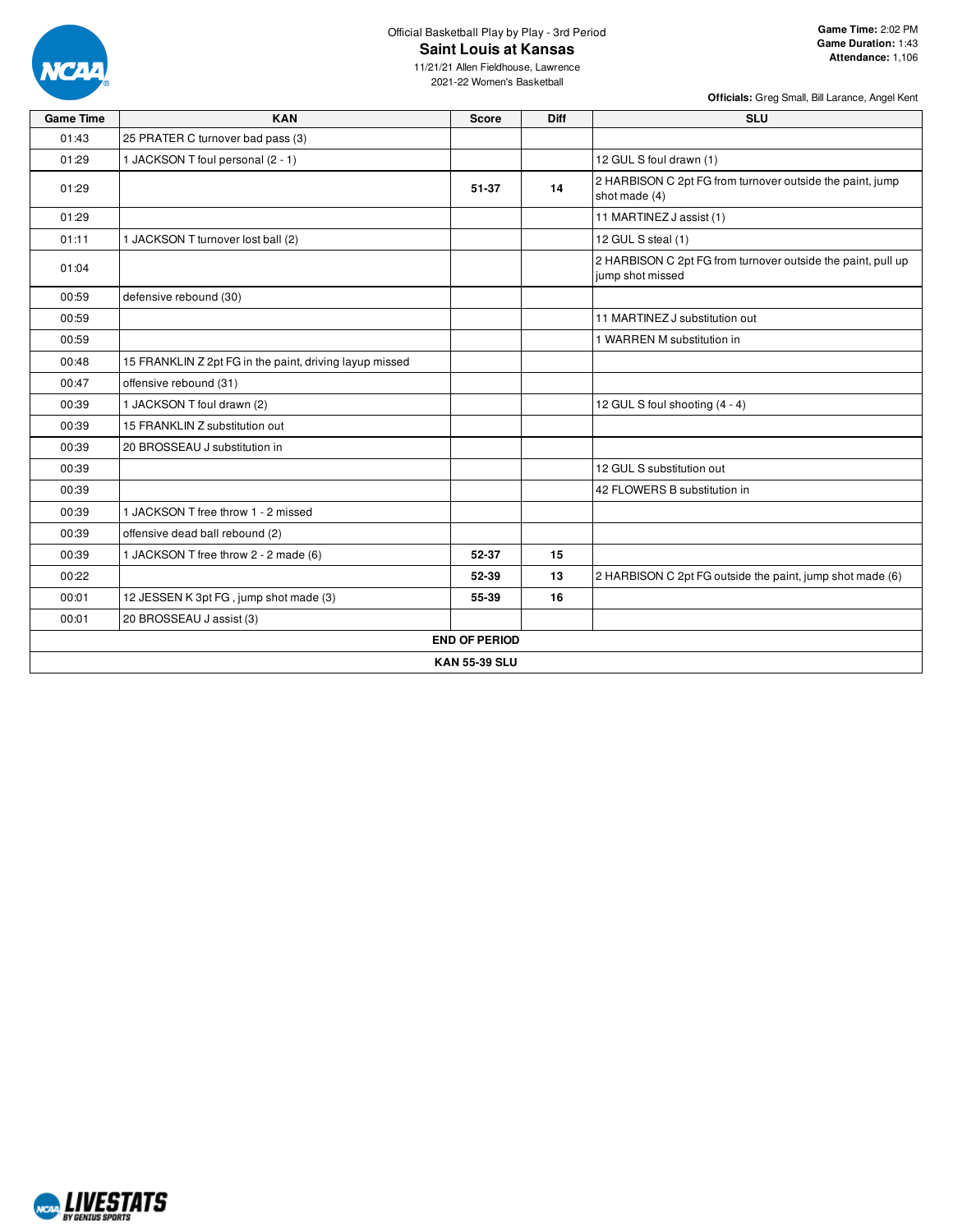

## Official Basketball Play by Play - 3rd Period **Saint Louis at Kansas**

11/21/21 Allen Fieldhouse, Lawrence 2021-22 Women's Basketball

| <b>Game Time</b> | <b>KAN</b>                                              | <b>Score</b>         | <b>Diff</b> | <b>SLU</b>                                                                       |
|------------------|---------------------------------------------------------|----------------------|-------------|----------------------------------------------------------------------------------|
| 01:43            | 25 PRATER C turnover bad pass (3)                       |                      |             |                                                                                  |
| 01:29            | 1 JACKSON T foul personal (2 - 1)                       |                      |             | 12 GUL S foul drawn (1)                                                          |
| 01:29            |                                                         | 51-37                | 14          | 2 HARBISON C 2pt FG from turnover outside the paint, jump<br>shot made (4)       |
| 01:29            |                                                         |                      |             | 11 MARTINEZ J assist (1)                                                         |
| 01:11            | 1 JACKSON T turnover lost ball (2)                      |                      |             | 12 GUL S steal (1)                                                               |
| 01:04            |                                                         |                      |             | 2 HARBISON C 2pt FG from turnover outside the paint, pull up<br>jump shot missed |
| 00:59            | defensive rebound (30)                                  |                      |             |                                                                                  |
| 00:59            |                                                         |                      |             | 11 MARTINEZ J substitution out                                                   |
| 00:59            |                                                         |                      |             | 1 WARREN M substitution in                                                       |
| 00:48            | 15 FRANKLIN Z 2pt FG in the paint, driving layup missed |                      |             |                                                                                  |
| 00:47            | offensive rebound (31)                                  |                      |             |                                                                                  |
| 00:39            | 1 JACKSON T foul drawn (2)                              |                      |             | 12 GUL S foul shooting (4 - 4)                                                   |
| 00:39            | 15 FRANKLIN Z substitution out                          |                      |             |                                                                                  |
| 00:39            | 20 BROSSEAU J substitution in                           |                      |             |                                                                                  |
| 00:39            |                                                         |                      |             | 12 GUL S substitution out                                                        |
| 00:39            |                                                         |                      |             | 42 FLOWERS B substitution in                                                     |
| 00:39            | 1 JACKSON T free throw 1 - 2 missed                     |                      |             |                                                                                  |
| 00:39            | offensive dead ball rebound (2)                         |                      |             |                                                                                  |
| 00:39            | 1 JACKSON T free throw 2 - 2 made (6)                   | 52-37                | 15          |                                                                                  |
| 00:22            |                                                         | 52-39                | 13          | 2 HARBISON C 2pt FG outside the paint, jump shot made (6)                        |
| 00:01            | 12 JESSEN K 3pt FG, jump shot made (3)                  | 55-39                | 16          |                                                                                  |
| 00:01            | 20 BROSSEAU J assist (3)                                |                      |             |                                                                                  |
|                  |                                                         | <b>END OF PERIOD</b> |             |                                                                                  |
|                  |                                                         | <b>KAN 55-39 SLU</b> |             |                                                                                  |

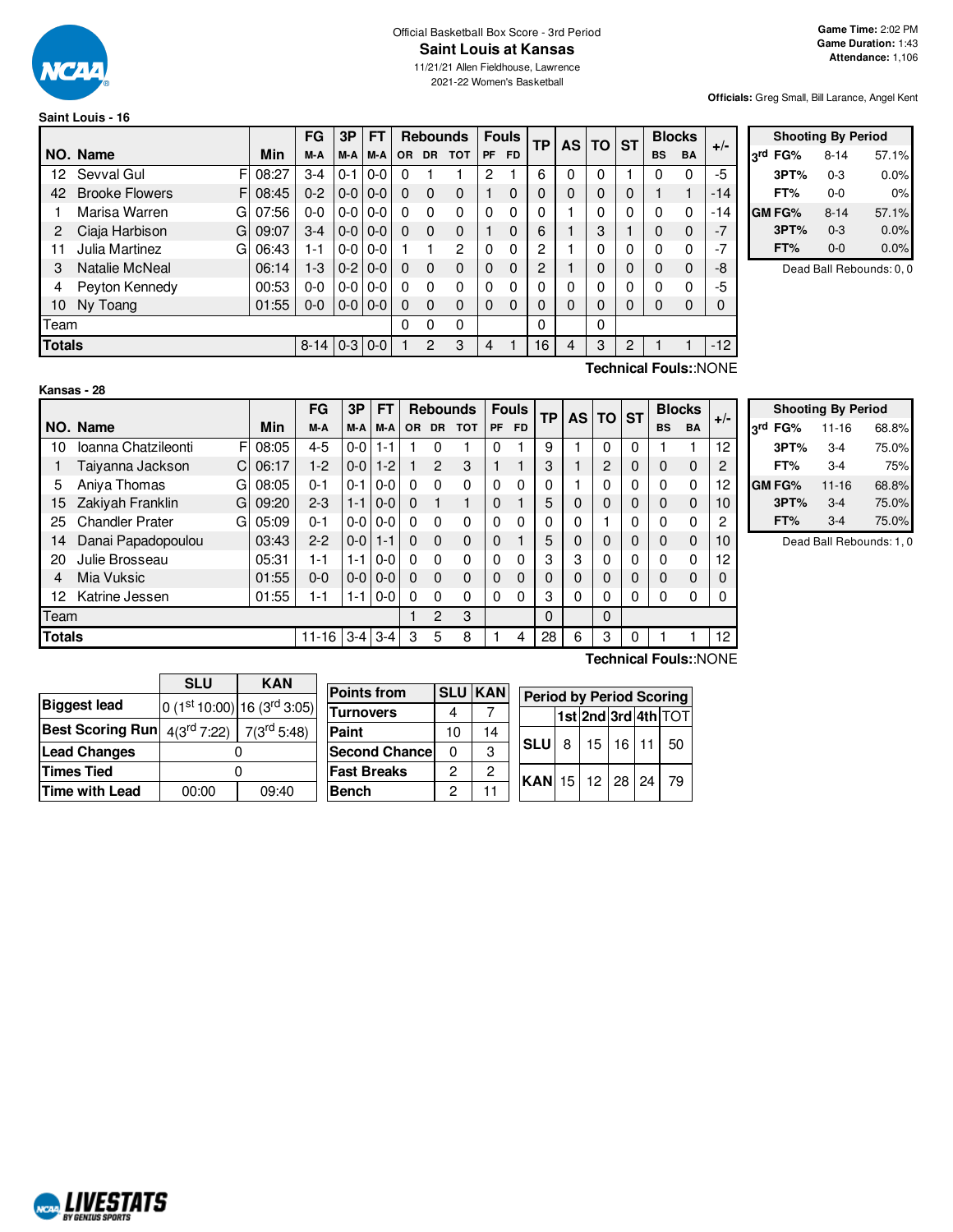

## Official Basketball Box Score - 3rd Period **Saint Louis at Kansas**

11/21/21 Allen Fieldhouse, Lawrence 2021-22 Women's Basketball

**Officials:** Greg Small, Bill Larance, Angel Kent

# **Saint Louis - 16**

|               |                             |       | FG         | 3P      | FΤ      |     |           | <b>Rebounds</b> |           | <b>Fouls</b> | <b>TP</b> | <b>AS</b> | <b>TO</b> | <b>ST</b> |           | <b>Blocks</b> | $+/-$ |  |
|---------------|-----------------------------|-------|------------|---------|---------|-----|-----------|-----------------|-----------|--------------|-----------|-----------|-----------|-----------|-----------|---------------|-------|--|
|               | NO. Name                    | Min   | M-A        | M-A     | M-A     | OR. | <b>DR</b> | тот             | <b>PF</b> | <b>FD</b>    |           |           |           |           | <b>BS</b> | <b>BA</b>     |       |  |
| 12            | Sevval Gul<br>F             | 08:27 | $3-4$      | $0 - 1$ | $0 - 0$ | 0   |           |                 | 2         |              | 6         | $\Omega$  |           |           |           | 0             | -5    |  |
| 42            | <b>Brooke Flowers</b><br>FI | 08:45 | $0 - 2$    | $0-0$   | $0 - 0$ | 0   | $\Omega$  | 0               |           | 0            | 0         | $\Omega$  |           | $\Omega$  |           | 1             | $-14$ |  |
|               | Marisa Warren<br>G          | 07:56 | $0 - 0$    | $0-0$   | $0-0$   | 0   | 0         | 0               | $\Omega$  | 0            | 0         |           | $\Omega$  | $\Omega$  | $\Omega$  | 0             | $-14$ |  |
| 2             | Ciaja Harbison<br>G         | 09:07 | $3 - 4$    | $0-0$   | $0 - 0$ | 0   | $\Omega$  | 0               |           | $\Omega$     | 6         |           | 3         |           | 0         | $\mathbf 0$   | $-7$  |  |
| 11            | Julia Martinez<br>G         | 06:43 | 1-1        | $0-0$   | $0 - 0$ |     |           | 2               | $\Omega$  | 0            | 2         |           | 0         | $\Omega$  | O         | 0             | $-7$  |  |
| 3             | Natalie McNeal              | 06:14 | $1-3$      | $0-2$   | $0 - 0$ | 0   | $\Omega$  | 0               | $\Omega$  | $\mathbf{0}$ | 2         |           | 0         | $\Omega$  | 0         | 0             | -8    |  |
| 4             | Peyton Kennedy              | 00:53 | $0 - 0$    | $0-0$   | $0 - 0$ | 0   | 0         | 0               | $\Omega$  | 0            | 0         | 0         | $\Omega$  | $\Omega$  |           | 0             | -5    |  |
| 10            | Ny Toang                    | 01:55 | $0-0$      | $0 - 0$ | $0 - 0$ | 0   | $\Omega$  | 0               | $\Omega$  | 0            | 0         | 0         | 0         | $\Omega$  |           | 0             | 0     |  |
| Team          |                             |       |            |         |         | 0   | 0         | 0               |           |              | 0         |           | 0         |           |           |               |       |  |
| <b>Totals</b> |                             |       | $8-14$ 0-3 |         | $0-0$   |     | 2         | 3               | 4         |              | 16        | 4         | 3         | 2         |           |               | $-12$ |  |

|     |               | <b>Shooting By Period</b> |       |
|-----|---------------|---------------------------|-------|
| 2rd | FG%           | $8 - 14$                  | 57.1% |
|     | 3PT%          | $0 - 3$                   | 0.0%  |
|     | FT%           | 0-0                       | 0%    |
|     | <b>GM FG%</b> | $8 - 14$                  | 57.1% |
|     | 3PT%          | $0 - 3$                   | 0.0%  |
|     | FT%           | $0 - 0$                   | 0.0%  |

Dead Ball Rebounds: 0, 0

# **Kansas - 28**

**Technical Fouls:**:NONE

|               |                             |            | FG        | 3P      | FT      |           |                | <b>Rebounds</b> |          | <b>Fouls</b> | <b>TP</b> | <b>AS</b> | TO | <b>ST</b> | <b>Blocks</b> |           | $+/-$    |
|---------------|-----------------------------|------------|-----------|---------|---------|-----------|----------------|-----------------|----------|--------------|-----------|-----------|----|-----------|---------------|-----------|----------|
|               | NO. Name                    | <b>Min</b> | M-A       | M-A     | M-A     | <b>OR</b> | <b>DR</b>      | <b>TOT</b>      | PF       | FD.          |           |           |    |           | <b>BS</b>     | <b>BA</b> |          |
| 10            | Ioanna Chatzileonti<br>F    | 08:05      | $4 - 5$   | $0 - 0$ | 1-1     |           |                |                 | 0        |              | 9         |           | 0  | 0         |               |           | 12       |
|               | Taiyanna Jackson<br>C.      | 06:17      | $1-2$     | $0-0$   | $1-2$   |           | $\overline{2}$ | 3               |          |              | 3         |           | 2  | 0         | 0             | 0         | 2        |
| 5             | Aniva Thomas<br>G           | 08:05      | $0 - 1$   | $0 - 1$ | $0 - 0$ | 0         | 0              | $\Omega$        | 0        | $\Omega$     |           |           | 0  | 0         | 0             | 0         | 12       |
| 15            | Zakiyah Franklin<br>G       | 09:20      | $2 - 3$   | $1 - 1$ | $0-0$   | $\Omega$  |                |                 | $\Omega$ |              | 5         | 0         | 0  | 0         | 0             | 0         | 10       |
| 25            | <b>Chandler Prater</b><br>G | 05:09      | $0 - 1$   | $0-0$   | $0-0$   | 0         | $\Omega$       | 0               | 0        | $\Omega$     |           | 0         |    | 0         | 0             | 0         | 2        |
| 14            | Danai Papadopoulou          | 03:43      | $2 - 2$   | $0 - 0$ | $1 - 1$ | $\Omega$  | $\Omega$       | $\mathbf 0$     | $\Omega$ |              | 5         | 0         | 0  | 0         | 0             | 0         | 10       |
| 20            | Julie Brosseau              | 05:31      | $1 - 1$   | $1 - 1$ | $0-0$   | 0         | $\Omega$       | $\Omega$        | 0        | 0            | 3         | 3         | 0  | 0         | 0             | 0         | 12       |
| 4             | Mia Vuksic                  | 01:55      | $0 - 0$   | $0 - 0$ | $0 - 0$ | $\Omega$  | $\Omega$       | $\Omega$        | $\Omega$ | $\Omega$     |           | 0         | 0  | 0         | 0             | 0         | $\Omega$ |
| 12            | Katrine Jessen              | 01:55      | 1-1       | 1-1     | $0-0$   | 0         | $\Omega$       | 0               | 0        | 0            | 3         | 0         | 0  | 0         | 0             | 0         | 0        |
| Team          |                             |            |           |         |         |           | 2              | 3               |          |              | $\Omega$  |           | 0  |           |               |           |          |
| <b>Totals</b> |                             |            | $11 - 16$ | $3 - 4$ | $3 - 4$ | 3         | 5              | 8               |          | 4            | 28        | 6         | 3  | 0         |               |           | 12       |
|               |                             |            |           |         |         |           |                |                 |          |              |           |           |    |           |               |           |          |

**Shooting By Period 3 rd FG%** 11-16 68.8% **3PT%** 3-4 75.0% **FT%** 3-4 75% **GM FG%** 11-16 68.8% **3PT%** 3-4 75.0% **FT%** 3-4 75.0%

Dead Ball Rebounds: 1, 0

|                         | <b>SLU</b> | <b>KAN</b>                                      |                      |    |                |                                 |   |                     |                 |    |
|-------------------------|------------|-------------------------------------------------|----------------------|----|----------------|---------------------------------|---|---------------------|-----------------|----|
|                         |            |                                                 | <b>Points from</b>   |    | <b>SLU KAN</b> | <b>Period by Period Scoring</b> |   |                     |                 |    |
| <b>Biggest lead</b>     |            | $0(1st 10:00) 16(3rd 3:05)$                     | <b>Turnovers</b>     | 4  |                |                                 |   | 1st 2nd 3rd 4th TOT |                 |    |
| <b>Best Scoring Run</b> |            | $4(3^{\text{rd}} 7:22)$ 7(3 <sup>rd</sup> 5:48) | Paint                | 10 | 14             |                                 |   |                     |                 |    |
| Lead Changes            |            |                                                 | <b>Second Chance</b> | 0  | 3              | <b>SLU</b>                      | R | 15                  | 16 <sup>1</sup> | 50 |
| <b>Times Tied</b>       |            |                                                 | <b>Fast Breaks</b>   | 2  | 2              | $ KAN$ 15 12 28 24              |   |                     |                 | 79 |
| Time with Lead          | 00:00      | 09:40                                           | <b>Bench</b>         | 2  | 11             |                                 |   |                     |                 |    |

**Technical Fouls:**:NONE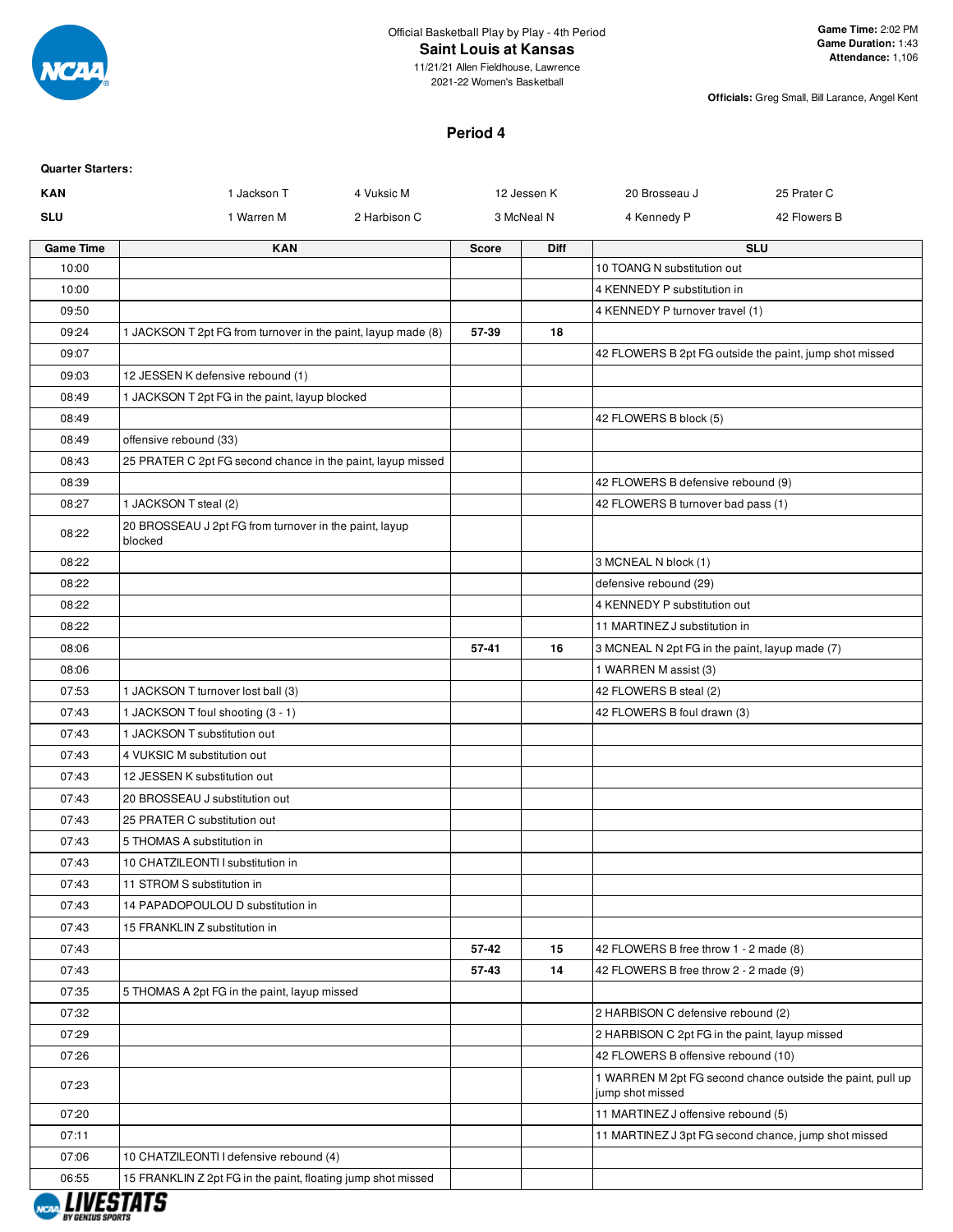

11/21/21 Allen Fieldhouse, Lawrence 2021-22 Women's Basketball

**Officials:** Greg Small, Bill Larance, Angel Kent

# **Period 4**

| <b>Quarter Starters:</b> |                                                                   |              |              |             |                                                |                                                            |
|--------------------------|-------------------------------------------------------------------|--------------|--------------|-------------|------------------------------------------------|------------------------------------------------------------|
| <b>KAN</b>               | 1 Jackson T                                                       | 4 Vuksic M   |              | 12 Jessen K | 20 Brosseau J                                  | 25 Prater C                                                |
| <b>SLU</b>               | 1 Warren M                                                        | 2 Harbison C |              | 3 McNeal N  | 4 Kennedy P                                    | 42 Flowers B                                               |
| <b>Game Time</b>         | <b>KAN</b>                                                        |              | <b>Score</b> | Diff        |                                                | <b>SLU</b>                                                 |
| 10:00                    |                                                                   |              |              |             | 10 TOANG N substitution out                    |                                                            |
| 10:00                    |                                                                   |              |              |             | 4 KENNEDY P substitution in                    |                                                            |
| 09:50                    |                                                                   |              |              |             | 4 KENNEDY P turnover travel (1)                |                                                            |
| 09:24                    | 1 JACKSON T 2pt FG from turnover in the paint, layup made (8)     |              | 57-39        | 18          |                                                |                                                            |
| 09:07                    |                                                                   |              |              |             |                                                | 42 FLOWERS B 2pt FG outside the paint, jump shot missed    |
| 09:03                    | 12 JESSEN K defensive rebound (1)                                 |              |              |             |                                                |                                                            |
| 08:49                    | 1 JACKSON T 2pt FG in the paint, layup blocked                    |              |              |             |                                                |                                                            |
| 08:49                    |                                                                   |              |              |             | 42 FLOWERS B block (5)                         |                                                            |
| 08:49                    | offensive rebound (33)                                            |              |              |             |                                                |                                                            |
| 08:43                    | 25 PRATER C 2pt FG second chance in the paint, layup missed       |              |              |             |                                                |                                                            |
| 08:39                    |                                                                   |              |              |             | 42 FLOWERS B defensive rebound (9)             |                                                            |
| 08:27                    | 1 JACKSON T steal (2)                                             |              |              |             | 42 FLOWERS B turnover bad pass (1)             |                                                            |
| 08:22                    | 20 BROSSEAU J 2pt FG from turnover in the paint, layup<br>blocked |              |              |             |                                                |                                                            |
| 08:22                    |                                                                   |              |              |             | 3 MCNEAL N block (1)                           |                                                            |
| 08:22                    |                                                                   |              |              |             | defensive rebound (29)                         |                                                            |
| 08:22                    |                                                                   |              |              |             | 4 KENNEDY P substitution out                   |                                                            |
| 08:22                    |                                                                   |              |              |             | 11 MARTINEZ J substitution in                  |                                                            |
| 08:06                    |                                                                   |              | 57-41        | 16          | 3 MCNEAL N 2pt FG in the paint, layup made (7) |                                                            |
| 08:06                    |                                                                   |              |              |             | 1 WARREN M assist (3)                          |                                                            |
| 07:53                    | 1 JACKSON T turnover lost ball (3)                                |              |              |             | 42 FLOWERS B steal (2)                         |                                                            |
| 07:43                    | 1 JACKSON T foul shooting (3 - 1)                                 |              |              |             | 42 FLOWERS B foul drawn (3)                    |                                                            |
| 07:43                    | 1 JACKSON T substitution out                                      |              |              |             |                                                |                                                            |
| 07:43                    | 4 VUKSIC M substitution out                                       |              |              |             |                                                |                                                            |
| 07:43                    | 12 JESSEN K substitution out                                      |              |              |             |                                                |                                                            |
| 07:43                    | 20 BROSSEAU J substitution out                                    |              |              |             |                                                |                                                            |
| 07:43                    | 25 PRATER C substitution out                                      |              |              |             |                                                |                                                            |
| 07:43                    | 5 THOMAS A substitution in                                        |              |              |             |                                                |                                                            |
| 07:43                    | 10 CHATZILEONTI I substitution in                                 |              |              |             |                                                |                                                            |
| 07:43                    | 11 STROM S substitution in                                        |              |              |             |                                                |                                                            |
| 07:43                    | 14 PAPADOPOULOU D substitution in                                 |              |              |             |                                                |                                                            |
| 07:43                    | 15 FRANKLIN Z substitution in                                     |              |              |             |                                                |                                                            |
| 07:43                    |                                                                   |              | 57-42        | 15          | 42 FLOWERS B free throw 1 - 2 made (8)         |                                                            |
| 07:43                    |                                                                   |              | 57-43        | 14          | 42 FLOWERS B free throw 2 - 2 made (9)         |                                                            |
| 07:35                    | 5 THOMAS A 2pt FG in the paint, layup missed                      |              |              |             |                                                |                                                            |
| 07:32                    |                                                                   |              |              |             | 2 HARBISON C defensive rebound (2)             |                                                            |
| 07:29                    |                                                                   |              |              |             | 2 HARBISON C 2pt FG in the paint, layup missed |                                                            |
| 07:26                    |                                                                   |              |              |             | 42 FLOWERS B offensive rebound (10)            |                                                            |
|                          |                                                                   |              |              |             |                                                | 1 WARREN M 2pt FG second chance outside the paint, pull up |
| 07:23                    |                                                                   |              |              |             | jump shot missed                               |                                                            |
| 07:20                    |                                                                   |              |              |             | 11 MARTINEZ J offensive rebound (5)            |                                                            |
| 07:11                    |                                                                   |              |              |             |                                                | 11 MARTINEZ J 3pt FG second chance, jump shot missed       |
| 07:06                    | 10 CHATZILEONTI I defensive rebound (4)                           |              |              |             |                                                |                                                            |
| 06:55                    | 15 FRANKLIN Z 2pt FG in the paint, floating jump shot missed      |              |              |             |                                                |                                                            |

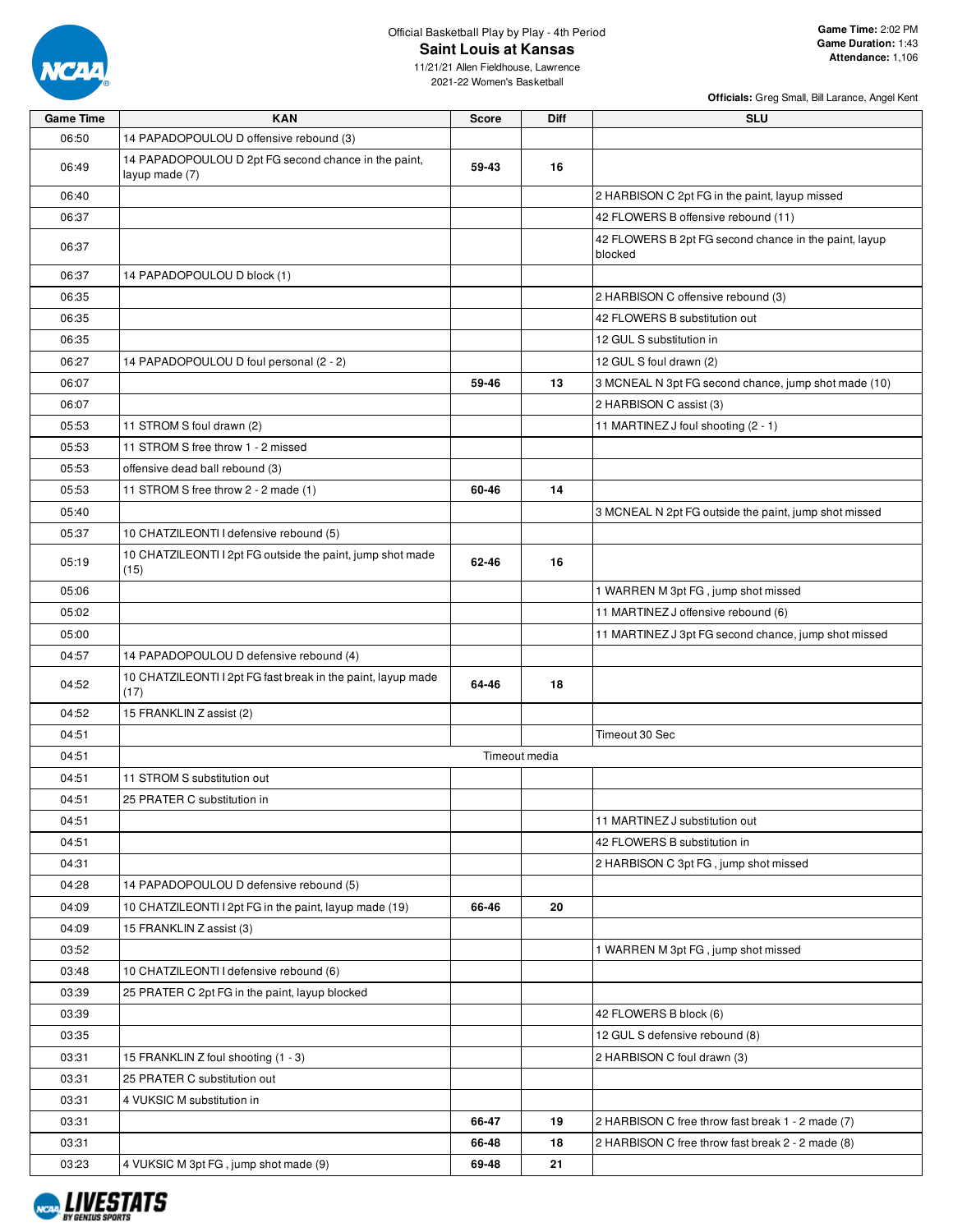

# Official Basketball Play by Play - 4th Period **Saint Louis at Kansas**

11/21/21 Allen Fieldhouse, Lawrence 2021-22 Women's Basketball

| <b>Game Time</b> | <b>KAN</b>                                                             | Score | Diff          | <b>SLU</b>                                                       |
|------------------|------------------------------------------------------------------------|-------|---------------|------------------------------------------------------------------|
| 06:50            | 14 PAPADOPOULOU D offensive rebound (3)                                |       |               |                                                                  |
| 06:49            | 14 PAPADOPOULOU D 2pt FG second chance in the paint,<br>layup made (7) | 59-43 | 16            |                                                                  |
| 06:40            |                                                                        |       |               | 2 HARBISON C 2pt FG in the paint, layup missed                   |
| 06:37            |                                                                        |       |               | 42 FLOWERS B offensive rebound (11)                              |
| 06:37            |                                                                        |       |               | 42 FLOWERS B 2pt FG second chance in the paint, layup<br>blocked |
| 06:37            | 14 PAPADOPOULOU D block (1)                                            |       |               |                                                                  |
| 06:35            |                                                                        |       |               | 2 HARBISON C offensive rebound (3)                               |
| 06:35            |                                                                        |       |               | 42 FLOWERS B substitution out                                    |
| 06:35            |                                                                        |       |               | 12 GUL S substitution in                                         |
| 06:27            | 14 PAPADOPOULOU D foul personal (2 - 2)                                |       |               | 12 GUL S foul drawn (2)                                          |
| 06:07            |                                                                        | 59-46 | 13            | 3 MCNEAL N 3pt FG second chance, jump shot made (10)             |
| 06:07            |                                                                        |       |               | 2 HARBISON C assist (3)                                          |
| 05:53            | 11 STROM S foul drawn (2)                                              |       |               | 11 MARTINEZ J foul shooting (2 - 1)                              |
| 05:53            | 11 STROM S free throw 1 - 2 missed                                     |       |               |                                                                  |
| 05:53            | offensive dead ball rebound (3)                                        |       |               |                                                                  |
| 05:53            | 11 STROM S free throw 2 - 2 made (1)                                   | 60-46 | 14            |                                                                  |
| 05:40            |                                                                        |       |               | 3 MCNEAL N 2pt FG outside the paint, jump shot missed            |
| 05:37            | 10 CHATZILEONTI I defensive rebound (5)                                |       |               |                                                                  |
| 05:19            | 10 CHATZILEONTI I 2pt FG outside the paint, jump shot made<br>(15)     | 62-46 | 16            |                                                                  |
| 05:06            |                                                                        |       |               | 1 WARREN M 3pt FG, jump shot missed                              |
| 05:02            |                                                                        |       |               | 11 MARTINEZ J offensive rebound (6)                              |
| 05:00            |                                                                        |       |               | 11 MARTINEZ J 3pt FG second chance, jump shot missed             |
| 04:57            | 14 PAPADOPOULOU D defensive rebound (4)                                |       |               |                                                                  |
| 04:52            | 10 CHATZILEONTI I 2pt FG fast break in the paint, layup made<br>(17)   | 64-46 | 18            |                                                                  |
| 04:52            | 15 FRANKLIN Z assist (2)                                               |       |               |                                                                  |
| 04:51            |                                                                        |       |               | Timeout 30 Sec                                                   |
| 04:51            |                                                                        |       | Timeout media |                                                                  |
| 04:51            | 11 STROM S substitution out                                            |       |               |                                                                  |
| 04:51            | 25 PRATER C substitution in                                            |       |               |                                                                  |
| 04:51            |                                                                        |       |               | 11 MARTINEZ J substitution out                                   |
| 04:51            |                                                                        |       |               | 42 FLOWERS B substitution in                                     |
| 04:31            |                                                                        |       |               | 2 HARBISON C 3pt FG, jump shot missed                            |
| 04:28            | 14 PAPADOPOULOU D defensive rebound (5)                                |       |               |                                                                  |
| 04:09            | 10 CHATZILEONTI I 2pt FG in the paint, layup made (19)                 | 66-46 | 20            |                                                                  |
| 04:09            | 15 FRANKLIN Z assist (3)                                               |       |               |                                                                  |
| 03:52            |                                                                        |       |               | 1 WARREN M 3pt FG, jump shot missed                              |
| 03:48            | 10 CHATZILEONTI I defensive rebound (6)                                |       |               |                                                                  |
| 03:39            | 25 PRATER C 2pt FG in the paint, layup blocked                         |       |               |                                                                  |
| 03:39            |                                                                        |       |               | 42 FLOWERS B block (6)                                           |
| 03:35            |                                                                        |       |               | 12 GUL S defensive rebound (8)                                   |
| 03:31            | 15 FRANKLIN Z foul shooting (1 - 3)                                    |       |               | 2 HARBISON C foul drawn (3)                                      |
| 03:31            | 25 PRATER C substitution out                                           |       |               |                                                                  |
| 03:31            | 4 VUKSIC M substitution in                                             |       |               |                                                                  |
| 03:31            |                                                                        | 66-47 | 19            | 2 HARBISON C free throw fast break 1 - 2 made (7)                |
| 03:31            |                                                                        | 66-48 | 18            | 2 HARBISON C free throw fast break 2 - 2 made (8)                |
| 03:23            | 4 VUKSIC M 3pt FG, jump shot made (9)                                  | 69-48 | 21            |                                                                  |

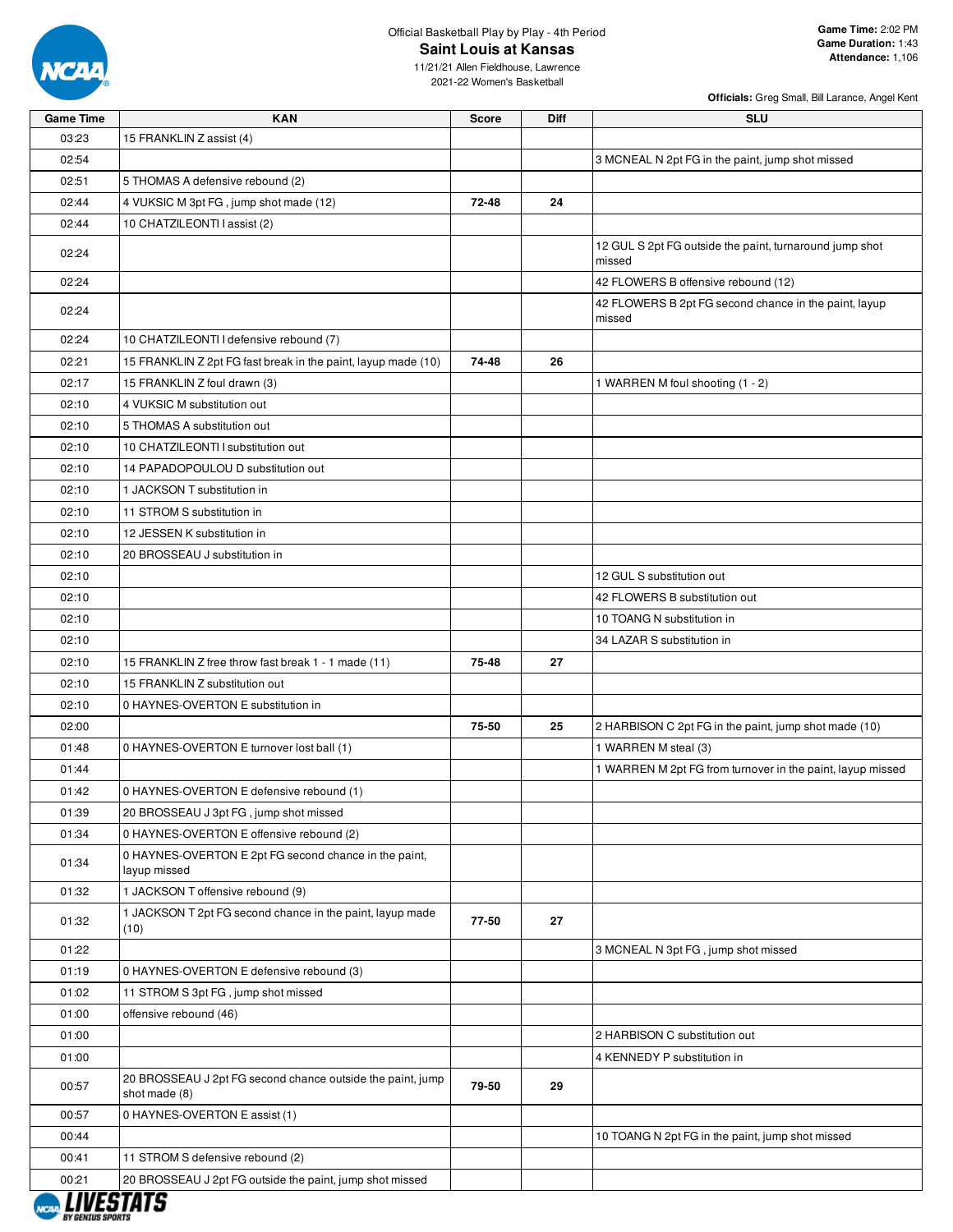

03:23

#### Official Basketball Play by Play - 4th Period **Saint Louis at Kansas**

**Officials:** Greg Small, Bill Larance, Angel Kent

11/21/21 Allen Fieldhouse, Lawrence 2021-22 Women's Basketball

**Game Time KAN Score Diff SLU**

| 03:23 | 15 FRANKLIN Z assist (4)                                                    |       |    |                                                                   |
|-------|-----------------------------------------------------------------------------|-------|----|-------------------------------------------------------------------|
| 02:54 |                                                                             |       |    | 3 MCNEAL N 2pt FG in the paint, jump shot missed                  |
| 02:51 | 5 THOMAS A defensive rebound (2)                                            |       |    |                                                                   |
| 02:44 | 4 VUKSIC M 3pt FG, jump shot made (12)                                      | 72-48 | 24 |                                                                   |
| 02:44 | 10 CHATZILEONTI I assist (2)                                                |       |    |                                                                   |
| 02:24 |                                                                             |       |    | 12 GUL S 2pt FG outside the paint, turnaround jump shot<br>missed |
| 02:24 |                                                                             |       |    | 42 FLOWERS B offensive rebound (12)                               |
| 02:24 |                                                                             |       |    | 42 FLOWERS B 2pt FG second chance in the paint, layup<br>missed   |
| 02:24 | 10 CHATZILEONTI I defensive rebound (7)                                     |       |    |                                                                   |
| 02:21 | 15 FRANKLIN Z 2pt FG fast break in the paint, layup made (10)               | 74-48 | 26 |                                                                   |
| 02:17 | 15 FRANKLIN Z foul drawn (3)                                                |       |    | 1 WARREN M foul shooting (1 - 2)                                  |
| 02:10 | 4 VUKSIC M substitution out                                                 |       |    |                                                                   |
| 02:10 | 5 THOMAS A substitution out                                                 |       |    |                                                                   |
| 02:10 | 10 CHATZILEONTI I substitution out                                          |       |    |                                                                   |
| 02:10 | 14 PAPADOPOULOU D substitution out                                          |       |    |                                                                   |
| 02:10 | 1 JACKSON T substitution in                                                 |       |    |                                                                   |
| 02:10 | 11 STROM S substitution in                                                  |       |    |                                                                   |
| 02:10 | 12 JESSEN K substitution in                                                 |       |    |                                                                   |
| 02:10 | 20 BROSSEAU J substitution in                                               |       |    |                                                                   |
| 02:10 |                                                                             |       |    | 12 GUL S substitution out                                         |
| 02:10 |                                                                             |       |    | 42 FLOWERS B substitution out                                     |
| 02:10 |                                                                             |       |    | 10 TOANG N substitution in                                        |
| 02:10 |                                                                             |       |    | 34 LAZAR S substitution in                                        |
| 02:10 | 15 FRANKLIN Z free throw fast break 1 - 1 made (11)                         | 75-48 | 27 |                                                                   |
| 02:10 | 15 FRANKLIN Z substitution out                                              |       |    |                                                                   |
| 02:10 | 0 HAYNES-OVERTON E substitution in                                          |       |    |                                                                   |
| 02:00 |                                                                             | 75-50 | 25 | 2 HARBISON C 2pt FG in the paint, jump shot made (10)             |
| 01:48 | 0 HAYNES-OVERTON E turnover lost ball (1)                                   |       |    | 1 WARREN M steal (3)                                              |
| 01:44 |                                                                             |       |    | 1 WARREN M 2pt FG from turnover in the paint, layup missed        |
| 01:42 | 0 HAYNES-OVERTON E defensive rebound (1)                                    |       |    |                                                                   |
| 01:39 | 20 BROSSEAU J 3pt FG, jump shot missed                                      |       |    |                                                                   |
| 01:34 | 0 HAYNES-OVERTON E offensive rebound (2)                                    |       |    |                                                                   |
| 01:34 | 0 HAYNES-OVERTON E 2pt FG second chance in the paint,<br>layup missed       |       |    |                                                                   |
| 01:32 | 1 JACKSON T offensive rebound (9)                                           |       |    |                                                                   |
| 01:32 | 1 JACKSON T 2pt FG second chance in the paint, layup made<br>(10)           | 77-50 | 27 |                                                                   |
| 01:22 |                                                                             |       |    | 3 MCNEAL N 3pt FG, jump shot missed                               |
| 01:19 | 0 HAYNES-OVERTON E defensive rebound (3)                                    |       |    |                                                                   |
| 01:02 | 11 STROM S 3pt FG, jump shot missed                                         |       |    |                                                                   |
| 01:00 | offensive rebound (46)                                                      |       |    |                                                                   |
| 01:00 |                                                                             |       |    | 2 HARBISON C substitution out                                     |
| 01:00 |                                                                             |       |    | 4 KENNEDY P substitution in                                       |
| 00:57 | 20 BROSSEAU J 2pt FG second chance outside the paint, jump<br>shot made (8) | 79-50 | 29 |                                                                   |
| 00:57 | 0 HAYNES-OVERTON E assist (1)                                               |       |    |                                                                   |
| 00:44 |                                                                             |       |    | 10 TOANG N 2pt FG in the paint, jump shot missed                  |
| 00:41 | 11 STROM S defensive rebound (2)                                            |       |    |                                                                   |
| 00:21 | 20 BROSSEAU J 2pt FG outside the paint, jump shot missed                    |       |    |                                                                   |

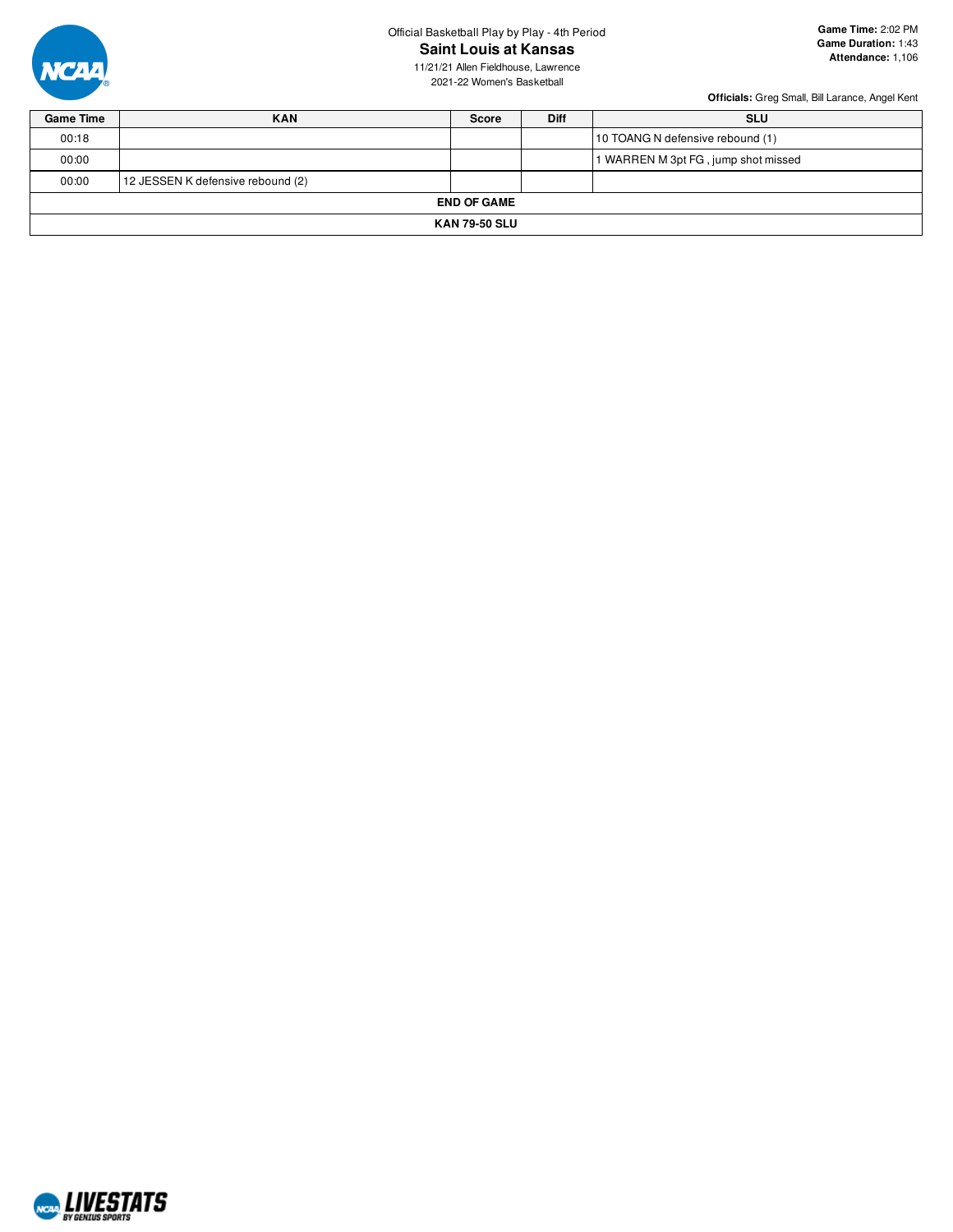

Official Basketball Play by Play - 4th Period **Saint Louis at Kansas**

**Game Time:** 2:02 PM **Game Duration:** 1:43 **Attendance:** 1,106

11/21/21 Allen Fieldhouse, Lawrence 2021-22 Women's Basketball

| <b>Game Time</b>     | <b>KAN</b>                        | <b>Score</b> | <b>Diff</b> | <b>SLU</b>                          |  |  |  |  |  |  |  |
|----------------------|-----------------------------------|--------------|-------------|-------------------------------------|--|--|--|--|--|--|--|
| 00:18                |                                   |              |             | 10 TOANG N defensive rebound (1)    |  |  |  |  |  |  |  |
| 00:00                |                                   |              |             | 1 WARREN M 3pt FG, jump shot missed |  |  |  |  |  |  |  |
| 00:00                | 12 JESSEN K defensive rebound (2) |              |             |                                     |  |  |  |  |  |  |  |
|                      | <b>END OF GAME</b>                |              |             |                                     |  |  |  |  |  |  |  |
| <b>KAN 79-50 SLU</b> |                                   |              |             |                                     |  |  |  |  |  |  |  |

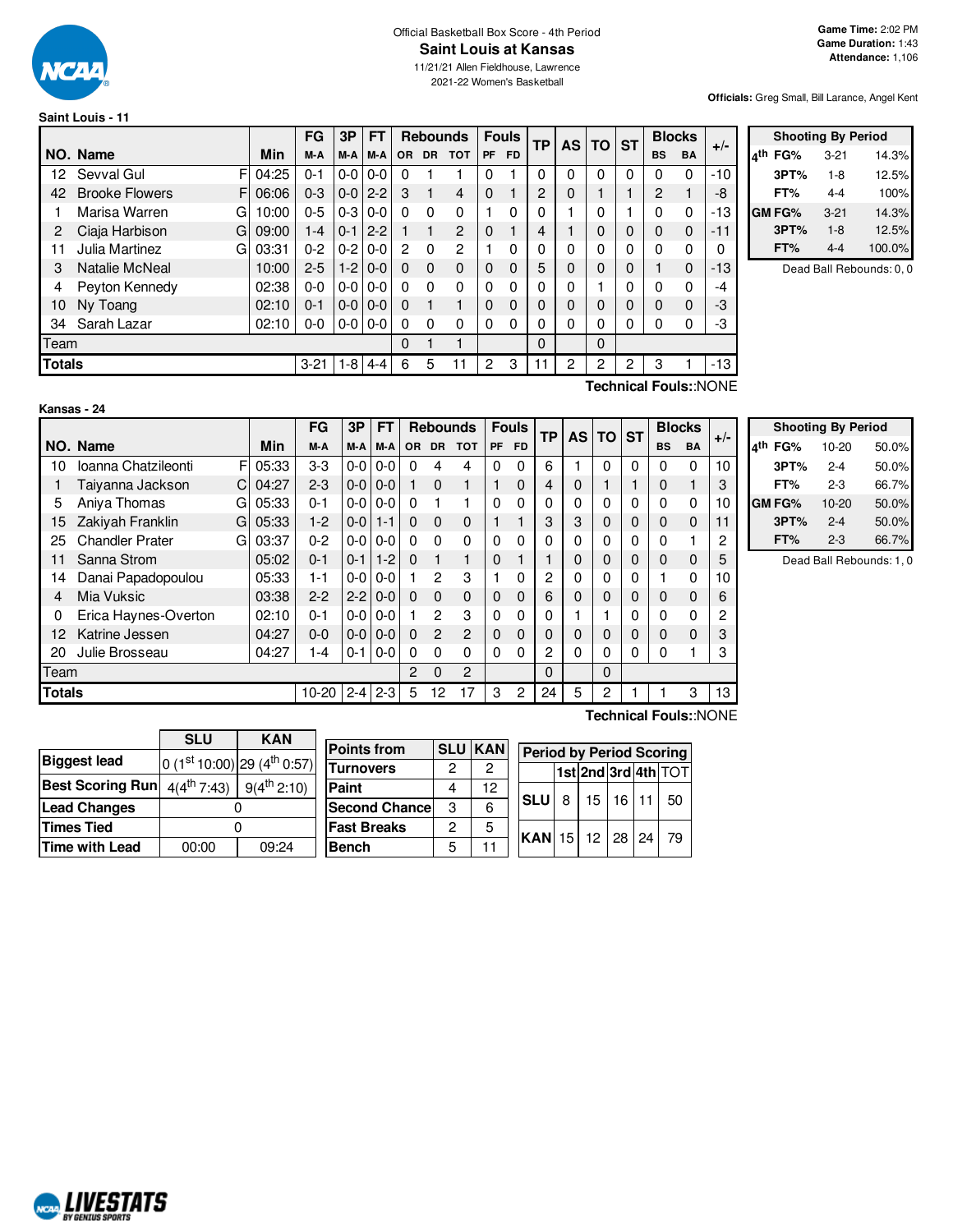

#### Official Basketball Box Score - 4th Period **Saint Louis at Kansas**

11/21/21 Allen Fieldhouse, Lawrence 2021-22 Women's Basketball

**Officials:** Greg Small, Bill Larance, Angel Kent

#### **Saint Louis - 11**

|                       |       | FG                    | 3P      | FT      |                                                                                       |           |                | <b>Fouls</b>    |           |          |          |              |          |              |           |               |                         |
|-----------------------|-------|-----------------------|---------|---------|---------------------------------------------------------------------------------------|-----------|----------------|-----------------|-----------|----------|----------|--------------|----------|--------------|-----------|---------------|-------------------------|
| NO. Name              | Min   | M-A                   | M-A     | M-A     |                                                                                       | <b>DR</b> | <b>TOT</b>     | <b>PF</b>       | <b>FD</b> |          |          |              |          | <b>BS</b>    | <b>BA</b> |               | $\overline{\mathbf{4}}$ |
| Sevval Gul            | 04:25 | $0 - 1$               |         | $0-0$   | 0                                                                                     |           |                |                 |           | $\Omega$ | 0        | 0            | 0        | 0            | $\Omega$  | $-10$         |                         |
| <b>Brooke Flowers</b> | 06:06 | $0 - 3$               |         | $2 - 2$ | 3                                                                                     |           | 4              | 0               |           | 2        | 0        |              |          | 2            |           | -8            |                         |
| Marisa Warren         | 10:00 | $0 - 5$               |         | $0 - 0$ | 0                                                                                     | $\Omega$  | 0              |                 | $\Omega$  | 0        |          | $\Omega$     |          | 0            | $\Omega$  | $-13$         | lG                      |
| Ciaja Harbison        | 09:00 | $1 - 4$               | $0 - 1$ | $2 - 2$ |                                                                                       |           | $\overline{2}$ | $\Omega$        |           | 4        |          | $\Omega$     | $\Omega$ | $\mathbf{0}$ | 0         | $-11$         |                         |
| Julia Martinez        | 03:31 | $0 - 2$               |         | $0 - 0$ | $\overline{2}$                                                                        | $\Omega$  | $\overline{c}$ |                 | $\Omega$  | 0        | 0        | $\mathbf{0}$ | $\Omega$ | 0            | 0         | 0             |                         |
| Natalie McNeal        | 10:00 | $2 - 5$               |         | $0 - 0$ | $\Omega$                                                                              | $\Omega$  | $\Omega$       | $\Omega$        | $\Omega$  | 5        | $\Omega$ | $\mathbf 0$  | $\Omega$ |              | 0         | $-13$         |                         |
| Peyton Kennedy        | 02:38 | 0-0                   |         | $0 - 0$ | 0                                                                                     | $\Omega$  | 0              | $\Omega$        | $\Omega$  | 0        | 0        |              | 0        | 0            | 0         | -4            |                         |
| Ny Toang              | 02:10 | $0 - 1$               |         | $0 - 0$ | 0                                                                                     |           |                | $\Omega$        | $\Omega$  | 0        | 0        | $\Omega$     | $\Omega$ | 0            | 0         | -3            |                         |
| Sarah Lazar           | 02:10 | 0-0                   |         |         | 0                                                                                     | $\Omega$  | $\Omega$       | $\Omega$        | 0         | $\Omega$ | 0        | $\mathbf{0}$ | 0        | 0            | 0         | -3            |                         |
| Team                  |       |                       |         |         | 0                                                                                     |           |                |                 |           | $\Omega$ |          | $\Omega$     |          |              |           |               |                         |
| <b>Totals</b>         |       | $3 - 21$              |         | $4 - 4$ | 6                                                                                     | 5         | 11             | $\overline{2}$  | 3         | 11       | 2        | 2            | 2        | 3            |           | $-13$         |                         |
|                       |       | F<br>F<br>G<br>G<br>G |         |         | $0-0$<br>$0-0$<br>$0-3$<br>$0-2$<br>$1-2$<br>$0-0$<br>$0-0$<br>$0 - 0 0 - 0$<br>$1-8$ |           | OR .           | <b>Rebounds</b> |           |          | ΤP       | AS           | TO       | <b>ST</b>    |           | <b>Blocks</b> | $+/-$                   |

|     |        | <b>Shooting By Period</b> |        |
|-----|--------|---------------------------|--------|
| ۸th | FG%    | $3 - 21$                  | 14.3%  |
|     | 3PT%   | $1-8$                     | 12.5%  |
|     | FT%    | $4-4$                     | 100%   |
|     | GM FG% | $3 - 21$                  | 14.3%  |
|     | 3PT%   | $1 - 8$                   | 12.5%  |
|     | FT%    | 4-4                       | 100.0% |

Dead Ball Rebounds: 0, 0

| Kansas - 24 |  |  |
|-------------|--|--|

**Technical Fouls:**:NONE

|               |                        | FG<br><b>FT</b><br>3P<br><b>Rebounds</b> |            |           | <b>Fouls</b> | TP           | <b>AS</b>    | l TO           | <b>ST</b>      | <b>Blocks</b> |                | $+/-$          |             |             |   |           |           |    |
|---------------|------------------------|------------------------------------------|------------|-----------|--------------|--------------|--------------|----------------|----------------|---------------|----------------|----------------|-------------|-------------|---|-----------|-----------|----|
|               | NO. Name               |                                          | <b>Min</b> | M-A       | M-A          | M-A          | <b>OR</b>    | <b>DR</b>      | <b>TOT</b>     | <b>PF</b>     | <b>FD</b>      |                |             |             |   | <b>BS</b> | <b>BA</b> |    |
| 10            | Ioanna Chatzileonti    | F                                        | 05:33      | $3-3$     | $0-0$        | $0-0$        | $\mathbf{0}$ | 4              | 4              | 0             | 0              | 6              |             | 0           | 0 | 0         | $\Omega$  | 10 |
|               | Taiyanna Jackson       | C                                        | 04:27      | $2-3$     | $0 - 0$      | $0-0$        |              | $\Omega$       |                |               | 0              | 4              | 0           |             |   | 0         |           | 3  |
| 5             | Aniya Thomas           | G                                        | 05:33      | $0 - 1$   | $0-0$        | $0-0$        | $\Omega$     |                |                | $\Omega$      | 0              | 0              | 0           | $\Omega$    | 0 | 0         | $\Omega$  | 10 |
| 15            | Zakiyah Franklin       | GI                                       | 05:33      | $1-2$     | $0 - 0$      | $1 - 1$      | $\mathbf{0}$ | $\Omega$       | 0              |               |                | 3              | 3           | 0           | 0 | 0         | $\Omega$  | 11 |
| 25            | <b>Chandler Prater</b> | G                                        | 03:37      | $0 - 2$   | $0-0$        | $0-0$        | $\Omega$     | $\Omega$       | $\Omega$       | 0             | 0              | 0              | 0           | $\Omega$    | 0 | 0         |           | 2  |
| 11            | Sanna Strom            |                                          | 05:02      | $0 - 1$   | $0 - 1$      | $1 - 2$      | $\Omega$     |                |                | $\Omega$      |                |                | 0           | 0           | 0 | 0         | $\Omega$  | 5  |
| 14            | Danai Papadopoulou     |                                          | 05:33      | $1 - 1$   | $0-0$        | $0-0$        |              | 2              | 3              |               | 0              | 2              | 0           | $\Omega$    | 0 |           | $\Omega$  | 10 |
| 4             | Mia Vuksic             |                                          | 03:38      | $2 - 2$   | $2 - 2$      | $0-0$        | $\Omega$     | $\Omega$       | $\mathbf{0}$   | 0             | 0              | 6              | 0           | $\mathbf 0$ | 0 | 0         | $\Omega$  | 6  |
| 0             | Erica Haynes-Overton   |                                          | 02:10      | $0 - 1$   | $0 - 0$      | $0-0$        |              | $\overline{2}$ | 3              | 0             | 0              | 0              |             |             | U | 0         | $\Omega$  | 2  |
| 12            | Katrine Jessen         |                                          | 04:27      | $0-0$     | $0-0$        | $0-0$        | $\Omega$     | $\overline{2}$ | $\overline{c}$ | $\Omega$      | 0              | 0              | 0           | 0           | 0 | 0         | $\Omega$  | 3  |
| 20            | Julie Brosseau         |                                          | 04:27      | 1-4       | $0 - 1$      | $0-0$        | $\mathbf{0}$ | $\Omega$       | 0              | 0             | 0              | $\overline{2}$ | 0           | $\Omega$    | 0 | 0         |           | 3  |
| Team          |                        |                                          |            |           |              | $\mathbf{2}$ | $\Omega$     | 2              |                |               | 0              |                | $\mathbf 0$ |             |   |           |           |    |
| <b>Totals</b> |                        |                                          |            | $10 - 20$ | $2 - 4$      | $2 - 3$      | 5            | 12             | 17             | 3             | $\overline{2}$ | 24             | 5           | 2           |   |           | 3         | 13 |

|            | <b>Shooting By Period</b> |       |
|------------|---------------------------|-------|
| FG%<br>⊿th | 10-20                     | 50.0% |
| 3PT%       | $2 - 4$                   | 50.0% |
| FT%        | $2 - 3$                   | 66.7% |
| GM FG%     | 10-20                     | 50.0% |
| 3PT%       | $2 - 4$                   | 50.0% |
| FT%        | $2 - 3$                   | 66.7% |

Dead Ball Rebounds: 1, 0

|                         | <b>SLU</b>      | <b>KAN</b>                      | Po |
|-------------------------|-----------------|---------------------------------|----|
| <b>Biggest lead</b>     |                 | $ 0 (1st 10:00) 29 (4th 0:57) $ | Tu |
| <b>Best Scoring Run</b> | $4(4^{th}7:43)$ | $9(4^{th} 2:10)$                | Pa |
| <b>Lead Changes</b>     |                 |                                 | Se |
| <b>Times Tied</b>       |                 |                                 | Fa |
| <b>Time with Lead</b>   | 00:00           | 09:24                           | Be |

| <b>Points from</b>    |   | <b>SLU KAN</b> | <b>Period by Period Scoring</b> |                    |  |                       |
|-----------------------|---|----------------|---------------------------------|--------------------|--|-----------------------|
| <b>Turnovers</b>      | 2 | 2              |                                 |                    |  | 1st 2nd 3rd 4th $TOT$ |
| Paint                 |   | 12             |                                 |                    |  |                       |
| <b>Second Chancel</b> | 3 | 6              | <b>SLU</b>                      | $8$   15   16   11 |  | 50                    |
| <b>Fast Breaks</b>    | 2 | 5              | <b>KAN</b> 15 12 28 24          |                    |  | 79                    |
| <b>Bench</b>          | 5 |                |                                 |                    |  |                       |

**Technical Fouls:**:NONE

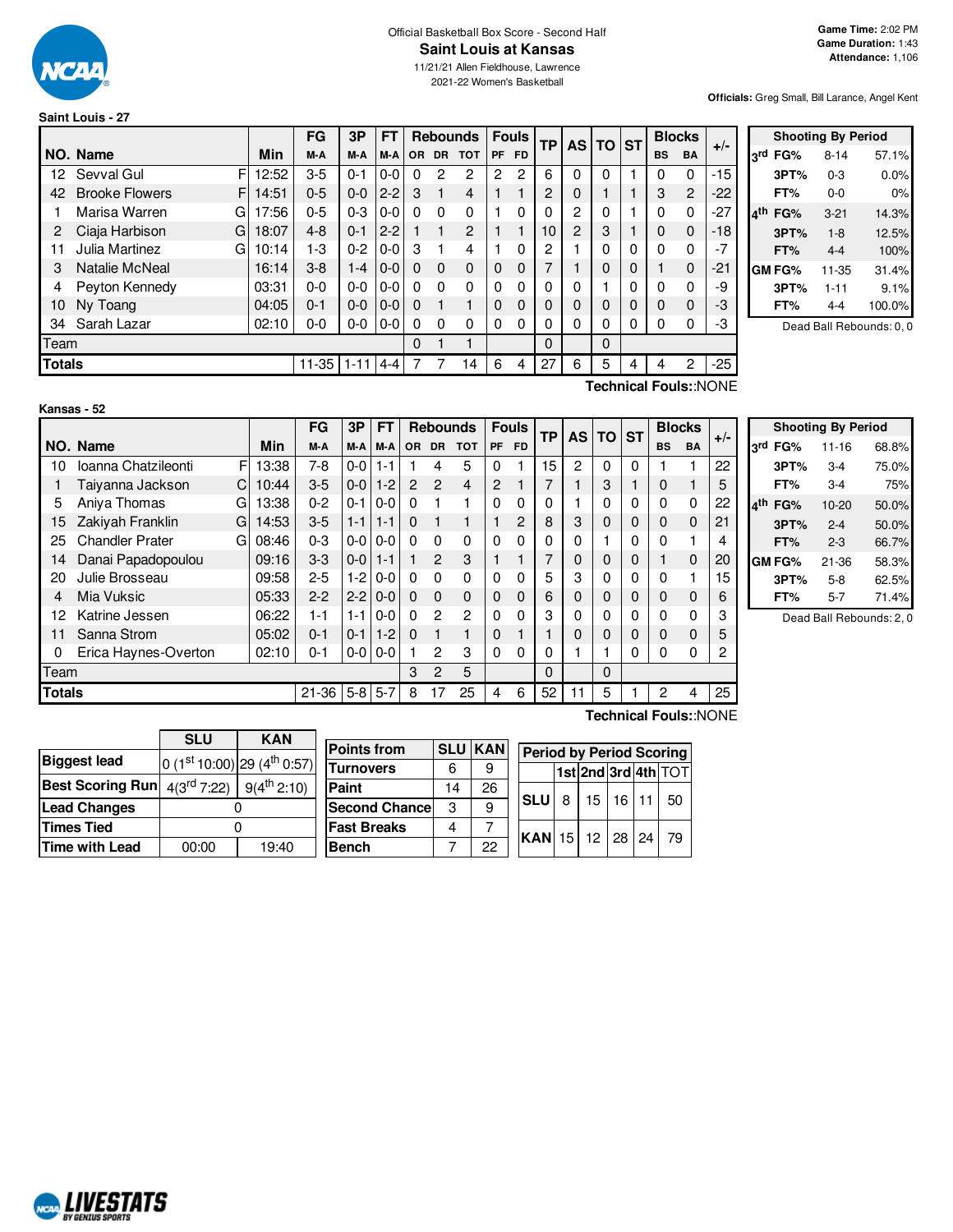

## Official Basketball Box Score - Second Half **Saint Louis at Kansas**

11/21/21 Allen Fieldhouse, Lawrence 2021-22 Women's Basketball

**Officials:** Greg Small, Bill Larance, Angel Kent

#### **Saint Louis - 27**

|               |                             |       | FG      | 3P       | FT      |          |          | <b>Rebounds</b> |          | <b>Fouls</b>   | <b>TP</b> |                | <b>AS TO</b> | <b>ST</b> |           | <b>Blocks</b>  | $+/-$ |
|---------------|-----------------------------|-------|---------|----------|---------|----------|----------|-----------------|----------|----------------|-----------|----------------|--------------|-----------|-----------|----------------|-------|
|               | NO. Name                    | Min   | M-A     | M-A      | M-A     | OR.      | DR.      | <b>TOT</b>      | PF       | <b>FD</b>      |           |                |              |           | <b>BS</b> | <b>BA</b>      |       |
| 12            | F<br>Sevval Gul             | 12:52 | $3-5$   | $0 - 1$  | $0-0$   | 0        | 2        | 2               | 2        | $\overline{c}$ | 6         | $\Omega$       | 0            |           | 0         | 0              | $-15$ |
| 42            | <b>Brooke Flowers</b><br>F. | 14:51 | $0 - 5$ | $0 - 0$  | $2 - 2$ | 3        |          | 4               |          |                | 2         | 0              |              |           | 3         | $\overline{2}$ | $-22$ |
|               | Marisa Warren<br>G          | 17:56 | $0 - 5$ | $0 - 3$  | $0-0$   | $\Omega$ | O        | $\Omega$        |          | 0              | 0         | 2              | 0            |           | $\Omega$  | $\Omega$       | -27   |
| 2             | Ciaja Harbison<br>G         | 18:07 | $4 - 8$ | $0 - 1$  | $2 - 2$ |          |          | 2               |          |                | 10        | $\overline{c}$ | 3            |           | 0         | $\mathbf 0$    | $-18$ |
| 11            | Julia Martinez<br>G         | 10:14 | $1 - 3$ | $0 - 2$  | $0-0$   | 3        |          | 4               |          | $\Omega$       | 2         |                | 0            | $\Omega$  | $\Omega$  | 0              |       |
| 3             | Natalie McNeal              | 16:14 | $3 - 8$ | 1-4      | $0-0$   | $\Omega$ | $\Omega$ | $\Omega$        | 0        | $\Omega$       |           |                | 0            | 0         |           | $\Omega$       | -21   |
| 4             | Peyton Kennedy              | 03:31 | $0 - 0$ | $0 - 0$  | $0-0$   | 0        | O        | $\Omega$        | 0        | $\Omega$       | 0         | $\Omega$       |              | $\Omega$  |           | $\Omega$       | -9    |
| 10            | Ny Toang                    | 04:05 | $0 - 1$ | $0 - 0$  | $0-0$   | $\Omega$ |          |                 | 0        | $\Omega$       | $\Omega$  |                | 0            | $\Omega$  | $\Omega$  | $\Omega$       | -3    |
| 34            | Sarah Lazar                 | 02:10 | $0-0$   | $0-0$    | $0-0$   | $\Omega$ | 0        | $\Omega$        | $\Omega$ | $\Omega$       | 0         | 0              | 0            | 0         | 0         | 0              | -3    |
| Team          |                             |       |         |          |         | 0        |          | ۴               |          |                | $\Omega$  |                | $\Omega$     |           |           |                |       |
| <b>Totals</b> |                             |       | 11-35   | $1 - 11$ | $4 - 4$ |          |          | 14              | 6        | 4              | 27        | 6              | 5            | 4         | 4         | $\overline{2}$ | $-25$ |

|     |         | <b>Shooting By Period</b> |        |
|-----|---------|---------------------------|--------|
|     | 3rd FG% | $8 - 14$                  | 57.1%  |
|     | 3PT%    | $0 - 3$                   | 0.0%   |
|     | FT%     | $0 - 0$                   | 0%     |
| ⊿th | FG%     | $3 - 21$                  | 14.3%  |
|     | 3PT%    | $1 - 8$                   | 12.5%  |
|     | FT%     | $4 - 4$                   | 100%   |
|     | GM FG%  | 11-35                     | 31.4%  |
|     | 3PT%    | $1 - 11$                  | 9.1%   |
|     | FT%     | $4 - 4$                   | 100.0% |

Dead Ball Rebounds: 0, 0

**Kansas - 52**

**Technical Fouls:**:NONE

|               |                             |            | FG      | 3Р      | <b>FT</b> |                | <b>Rebounds</b> |                |           | <b>Fouls</b> | <b>TP</b> | <b>AS</b> | <b>TO</b> | <b>ST</b>    |                | <b>Blocks</b> | $+/-$ |
|---------------|-----------------------------|------------|---------|---------|-----------|----------------|-----------------|----------------|-----------|--------------|-----------|-----------|-----------|--------------|----------------|---------------|-------|
|               | NO. Name                    | <b>Min</b> | M-A     | M-A     | M-A       | <b>OR</b>      | <b>DR</b>       | <b>TOT</b>     | <b>PF</b> | <b>FD</b>    |           |           |           |              | <b>BS</b>      | <b>BA</b>     |       |
| 10            | F<br>Ioanna Chatzileonti    | 13:38      | 7-8     | $0-0$   | $1 - 1$   |                | 4               | 5              | 0         |              | 15        | 2         | 0         | 0            |                |               | 22    |
|               | Taiyanna Jackson<br>C       | 10:44      | $3-5$   | $0-0$   | $1 - 2$   | $\overline{2}$ | $\mathcal{P}$   | 4              | 2         |              |           |           | 3         |              | $\Omega$       |               | 5     |
| 5             | Aniva Thomas<br>G           | 13:38      | $0 - 2$ | 0-1     | $0 - 0$   | 0              |                 |                | $\Omega$  | 0            | 0         |           | O         | 0            | 0              | 0             | 22    |
| 15            | Zakiyah Franklin<br>G       | 14:53      | $3-5$   | $1 - 1$ | $1 - 1$   | $\Omega$       |                 |                |           | 2            | 8         | 3         | 0         | $\Omega$     | $\Omega$       | $\Omega$      | 21    |
| 25            | <b>Chandler Prater</b><br>G | 08:46      | $0 - 3$ | $0-0$   | $0 - 0$   | 0              | 0               | 0              | $\Omega$  | $\Omega$     | 0         | 0         |           | 0            | $\Omega$       |               | 4     |
| 14            | Danai Papadopoulou          | 09:16      | $3-3$   | $0-0$   | $1 - 1$   |                | $\mathfrak{p}$  | 3              |           |              |           | 0         | 0         | $\Omega$     |                | $\mathbf 0$   | 20    |
| 20            | Julie Brosseau              | 09:58      | $2 - 5$ | $1-2$   | $0 - 0$   | 0              | $\Omega$        | 0              | 0         | 0            | 5         | 3         | 0         | $\mathbf{0}$ | $\Omega$       |               | 15    |
| 4             | Mia Vuksic                  | 05:33      | $2 - 2$ | $2 - 2$ | $0 - 0$   | $\Omega$       | $\mathbf 0$     | 0              | 0         | $\Omega$     | 6         | 0         | 0         | 0            | 0              | 0             | 6     |
| 12            | Katrine Jessen              | 06:22      | $1 - 1$ | $1 - 1$ | $0 - 0$   | 0              | $\mathcal{P}$   | $\mathfrak{p}$ | $\Omega$  | 0            | 3         | 0         | 0         | 0            | 0              | 0             | 3     |
| 11            | Sanna Strom                 | 05:02      | $0 - 1$ | $0 - 1$ | $1 - 2$   | $\Omega$       |                 |                | 0         |              |           | 0         | 0         | 0            | $\Omega$       | $\mathbf 0$   | 5     |
| 0             | Erica Haynes-Overton        | 02:10      | $0 - 1$ | $0-0$   | $0 - 0$   |                | $\overline{2}$  | 3              | 0         | 0            | 0         |           |           | 0            | $\Omega$       | 0             | 2     |
| Team          |                             |            |         |         |           | 3              | $\overline{2}$  | 5              |           |              | 0         |           | 0         |              |                |               |       |
| <b>Totals</b> |                             |            | 21-36   | $5-8$   | $5 - 7$   | 8              | 17              | 25             | 4         | 6            | 52        | 11        | 5         |              | $\overline{2}$ | 4             | 25    |

|                     | <b>Shooting By Period</b> |       |
|---------------------|---------------------------|-------|
| 3rd FG%             | 11-16                     | 68.8% |
| 3PT%                | $3-4$                     | 75.0% |
| FT%                 | $3-4$                     | 75%   |
| 4 <sup>th</sup> FG% | $10 - 20$                 | 50.0% |
| 3PT%                | $2 - 4$                   | 50.0% |
| FT%                 | $2 - 3$                   | 66.7% |
| GM FG%              | 21-36                     | 58.3% |
| 3PT%                | $5-8$                     | 62.5% |
| FT%                 | 5-7                       | 71.4% |

Dead Ball Rebounds: 2, 0

**SLU KAN Biggest** lead  $\frac{\text{st}}{\text{10:00}}$  29 (4<sup>th</sup> 0:57) **Best Scoring Run**  $4(3^{rd}7:22)$  $9(4^{th} 2:10)$ **Lead Changes** 0 **Times Tied** 0 **Time with Lead** 00:00 19:40

| <b>Points from</b>    | <b>SLU</b> | <b>IKAN</b> | <b>Period by Period Scoring</b> |                    |  |                     |
|-----------------------|------------|-------------|---------------------------------|--------------------|--|---------------------|
| <b>ITurnovers</b>     |            | 9           |                                 |                    |  | 1st 2nd 3rd 4th TOT |
| Paint                 | 14         | 26          |                                 |                    |  |                     |
| <b>Second Chancel</b> | З          | 9           | <b>SLU</b>                      | $8$   15   16   11 |  | 50                  |
| <b>Fast Breaks</b>    |            |             | <b>KAN</b> 15 12 28 24          |                    |  |                     |
| <b>Bench</b>          |            | 22          |                                 |                    |  | 79                  |

**Technical Fouls:**:NONE

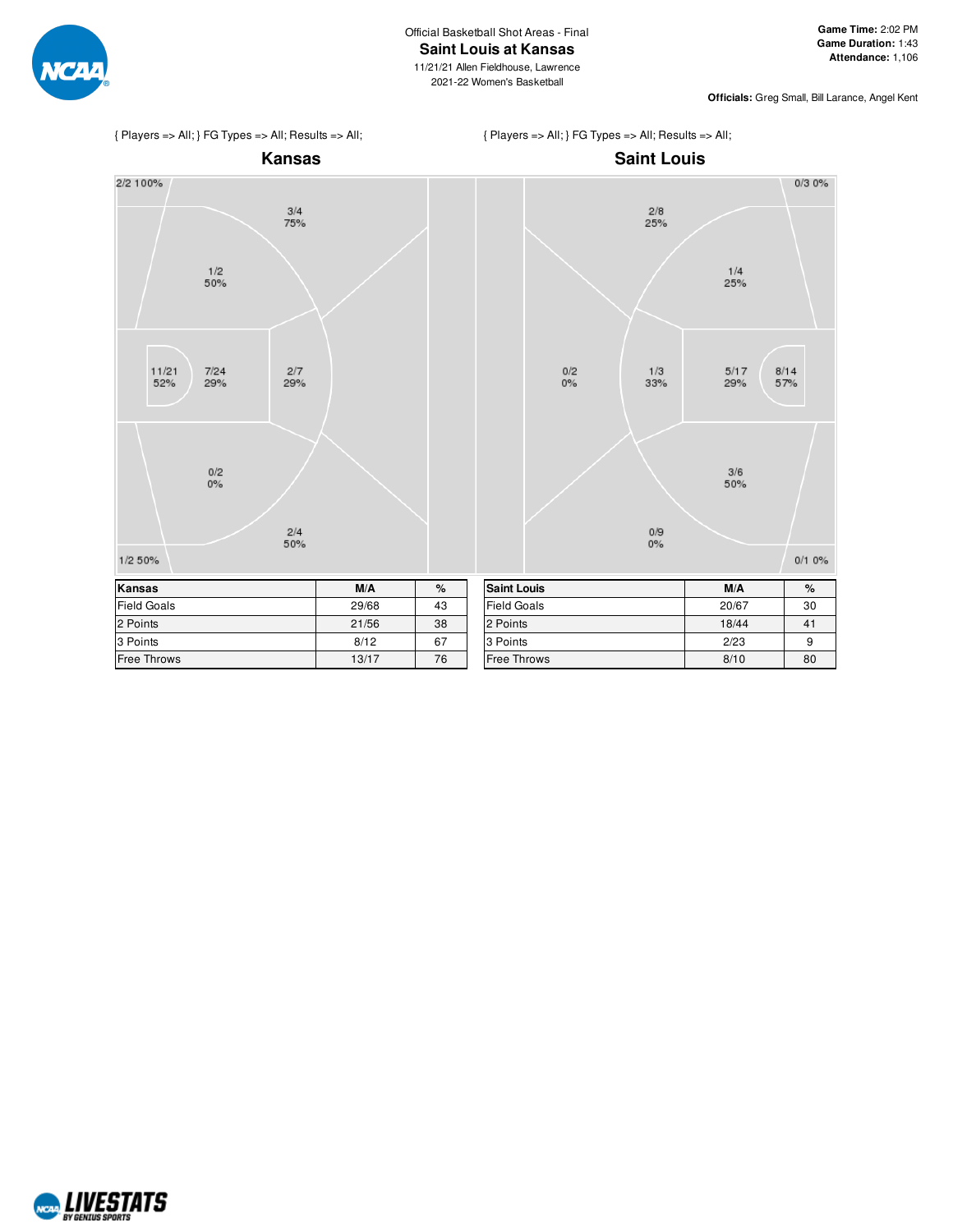

**Officials:** Greg Small, Bill Larance, Angel Kent



{ Players => All; } FG Types => All; Results => All;



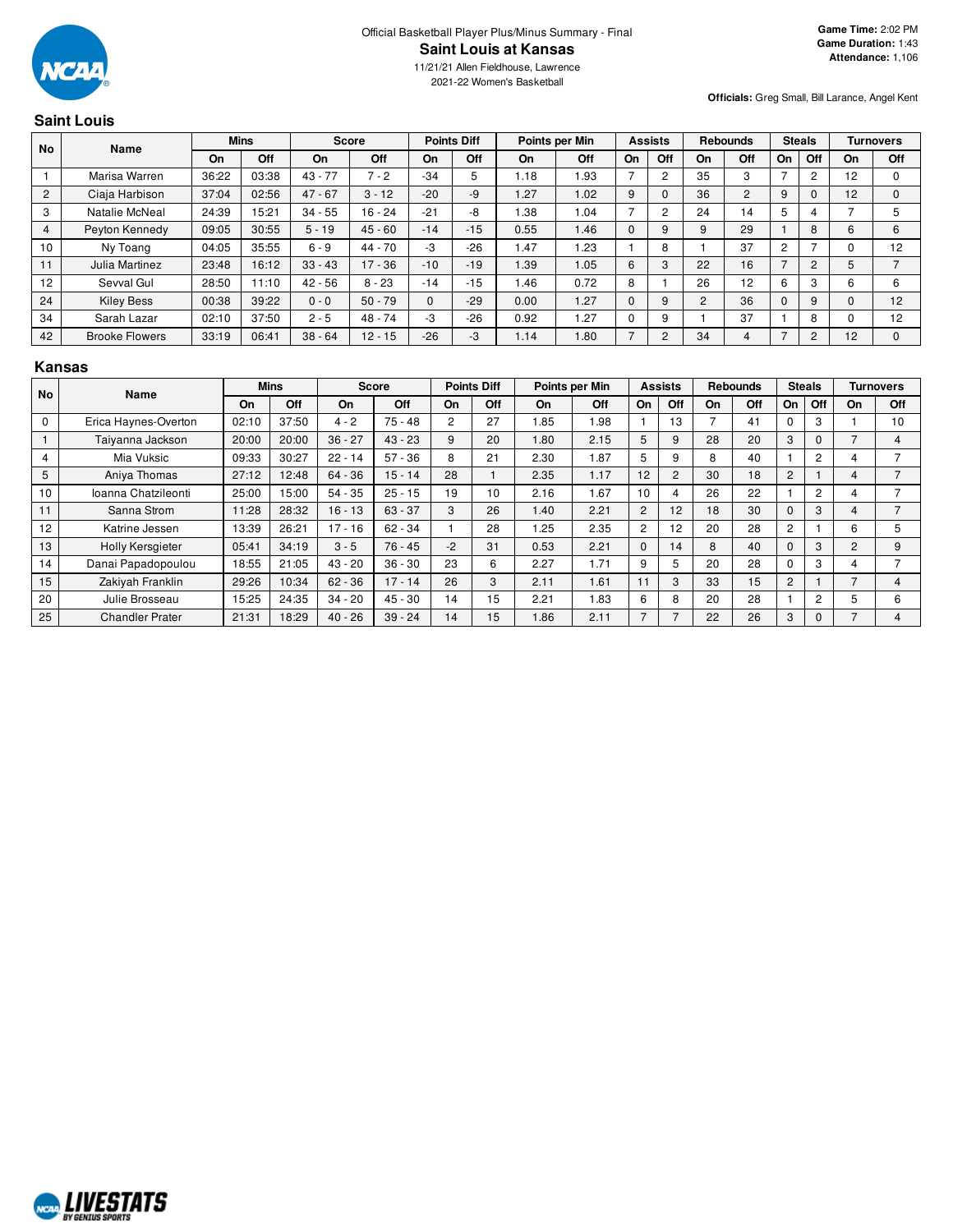

11/21/21 Allen Fieldhouse, Lawrence 2021-22 Women's Basketball

## **Officials:** Greg Small, Bill Larance, Angel Kent

|                | <b>Saint Louis</b>    |       |             |              |           |          |                    |      |                |          |                |                |                 |                |                |                 |                  |
|----------------|-----------------------|-------|-------------|--------------|-----------|----------|--------------------|------|----------------|----------|----------------|----------------|-----------------|----------------|----------------|-----------------|------------------|
| No             | Name                  |       | <b>Mins</b> | <b>Score</b> |           |          | <b>Points Diff</b> |      | Points per Min |          | <b>Assists</b> |                | <b>Rebounds</b> | <b>Steals</b>  |                |                 | <b>Turnovers</b> |
|                |                       | On    | Off         | On           | Off       | On       | Off                | On   | <b>Off</b>     | On       | Off            | On             | Off             | On             | Off            | On              | Off              |
|                | Marisa Warren         | 36:22 | 03:38       | $43 - 77$    | $-2$      | $-34$    | 5                  | 1.18 | 1.93           |          | $\overline{2}$ | 35             | 3               |                | $\overline{2}$ | 12 <sup>2</sup> | 0                |
| $\overline{2}$ | Ciaja Harbison        | 37:04 | 02:56       | $47 - 67$    | $3 - 12$  | $-20$    | -9                 | 1.27 | 1.02           | 9        | 0              | 36             | $\overline{2}$  | 9              | $\Omega$       | 12              | $\mathbf{0}$     |
| 3              | Natalie McNeal        | 24:39 | 15:21       | $34 - 55$    | $16 - 24$ | $-21$    | -8                 | .38  | 1.04           | 7        | $\overline{2}$ | 24             | 14              | 5              |                |                 | 5                |
| $\overline{4}$ | Peyton Kennedy        | 09:05 | 30:55       | $5 - 19$     | $45 - 60$ | $-14$    | $-15$              | 0.55 | 1.46           | $\Omega$ | 9              | 9              | 29              |                | 8              | 6               | 6                |
| 10             | Ny Toang              | 04:05 | 35:55       | $6 - 9$      | $44 - 70$ | -3       | $-26$              | 1.47 | 1.23           |          | 8              |                | 37              | $\overline{2}$ |                |                 | 12               |
| 11             | Julia Martinez        | 23:48 | 16:12       | $33 - 43$    | $17 - 36$ | $-10$    | $-19$              | 1.39 | 1.05           | 6        | 3              | 22             | 16              | $\overline{7}$ | $\overline{2}$ | 5               | $\overline{ }$   |
| 12             | Sevval Gul            | 28:50 | 11:10       | $42 - 56$    | $8 - 23$  | $-14$    | $-15$              | 1.46 | 0.72           | 8        |                | 26             | 12              | 6              | 3              | 6               | 6                |
| 24             | <b>Kiley Bess</b>     | 00:38 | 39:22       | $0 - 0$      | $50 - 79$ | $\Omega$ | $-29$              | 0.00 | 1.27           | $\Omega$ | 9              | $\overline{2}$ | 36              | $\Omega$       | 9              | $\Omega$        | 12               |
| 34             | Sarah Lazar           | 02:10 | 37:50       | $2 - 5$      | $48 - 74$ | -3       | $-26$              | 0.92 | 1.27           | $\Omega$ | 9              |                | 37              |                | 8              |                 | 12               |
| 42             | <b>Brooke Flowers</b> | 33:19 | 06:41       | $38 - 64$    | $12 - 15$ | $-26$    | -3                 | 1.14 | 1.80           |          | $\overline{2}$ | 34             | 4               | $\overline{7}$ | $\overline{c}$ | 12              | $\Omega$         |

#### **Kansas**

| <b>No</b>   | <b>Name</b>             |       | <b>Mins</b> |           | <b>Score</b> |      | <b>Points Diff</b> |      | Points per Min |                | <b>Assists</b> |    | <b>Rebounds</b> |                | <b>Steals</b>  |                | <b>Turnovers</b> |
|-------------|-------------------------|-------|-------------|-----------|--------------|------|--------------------|------|----------------|----------------|----------------|----|-----------------|----------------|----------------|----------------|------------------|
|             |                         | On    | Off         | On        | Off          | On   | Off                | On   | Off            | On             | Off            | On | Off             | On             | Off            | On             | Off              |
| $\mathbf 0$ | Erica Haynes-Overton    | 02:10 | 37:50       | $4 - 2$   | $75 - 48$    | 2    | 27                 | 1.85 | 1.98           |                | 13             |    | 41              |                | 3              |                | 10               |
|             | Taiyanna Jackson        | 20:00 | 20:00       | $36 - 27$ | $43 - 23$    | 9    | 20                 | .80  | 2.15           | 5              | 9              | 28 | 20              | 3              | $\Omega$       |                | 4                |
| 4           | Mia Vuksic              | 09:33 | 30:27       | $22 - 14$ | $57 - 36$    | 8    | 21                 | 2.30 | 1.87           | 5              | 9              | 8  | 40              |                | 2              | 4              |                  |
| 5           | Aniya Thomas            | 27:12 | 12:48       | $64 - 36$ | $15 - 14$    | 28   |                    | 2.35 | 1.17           | 12             | $\overline{c}$ | 30 | 18              | 2              |                | 4              |                  |
| 10          | Ioanna Chatzileonti     | 25:00 | 15:00       | $54 - 35$ | $25 - 15$    | 19   | 10                 | 2.16 | 1.67           | 10             | 4              | 26 | 22              |                | $\overline{c}$ | 4              |                  |
| 11          | Sanna Strom             | 11:28 | 28:32       | $16 - 13$ | $63 - 37$    | 3    | 26                 | 1.40 | 2.21           | $\overline{c}$ | 12             | 18 | 30              | $\Omega$       | 3              | 4              |                  |
| 12          | Katrine Jessen          | 13:39 | 26:21       | $17 - 16$ | $62 - 34$    |      | 28                 | 1.25 | 2.35           | $\overline{c}$ | 12             | 20 | 28              | 2              |                | 6              | 5                |
| 13          | <b>Holly Kersgieter</b> | 05:41 | 34:19       | $3 - 5$   | $76 - 45$    | $-2$ | 31                 | 0.53 | 2.21           | $\Omega$       | 14             | 8  | 40              | $\Omega$       | 3              | $\overline{2}$ | 9                |
| 14          | Danai Papadopoulou      | 18:55 | 21:05       | $43 - 20$ | $36 - 30$    | 23   | 6                  | 2.27 | 1.71           | 9              | 5              | 20 | 28              | 0              | 3              | 4              |                  |
| 15          | Zakiyah Franklin        | 29:26 | 10:34       | $62 - 36$ | $17 - 14$    | 26   | 3                  | 2.11 | 1.61           | 11             | 3              | 33 | 15              | $\overline{c}$ |                |                | 4                |
| 20          | Julie Brosseau          | 15:25 | 24:35       | $34 - 20$ | $45 - 30$    | 14   | 15                 | 2.21 | 1.83           | 6              | 8              | 20 | 28              |                | 2              | 5              | 6                |
| 25          | <b>Chandler Prater</b>  | 21:31 | 18:29       | $40 - 26$ | $39 - 24$    | 14   | 15                 | 1.86 | 2.11           |                | ⇁              | 22 | 26              | 3              | 0              |                | 4                |

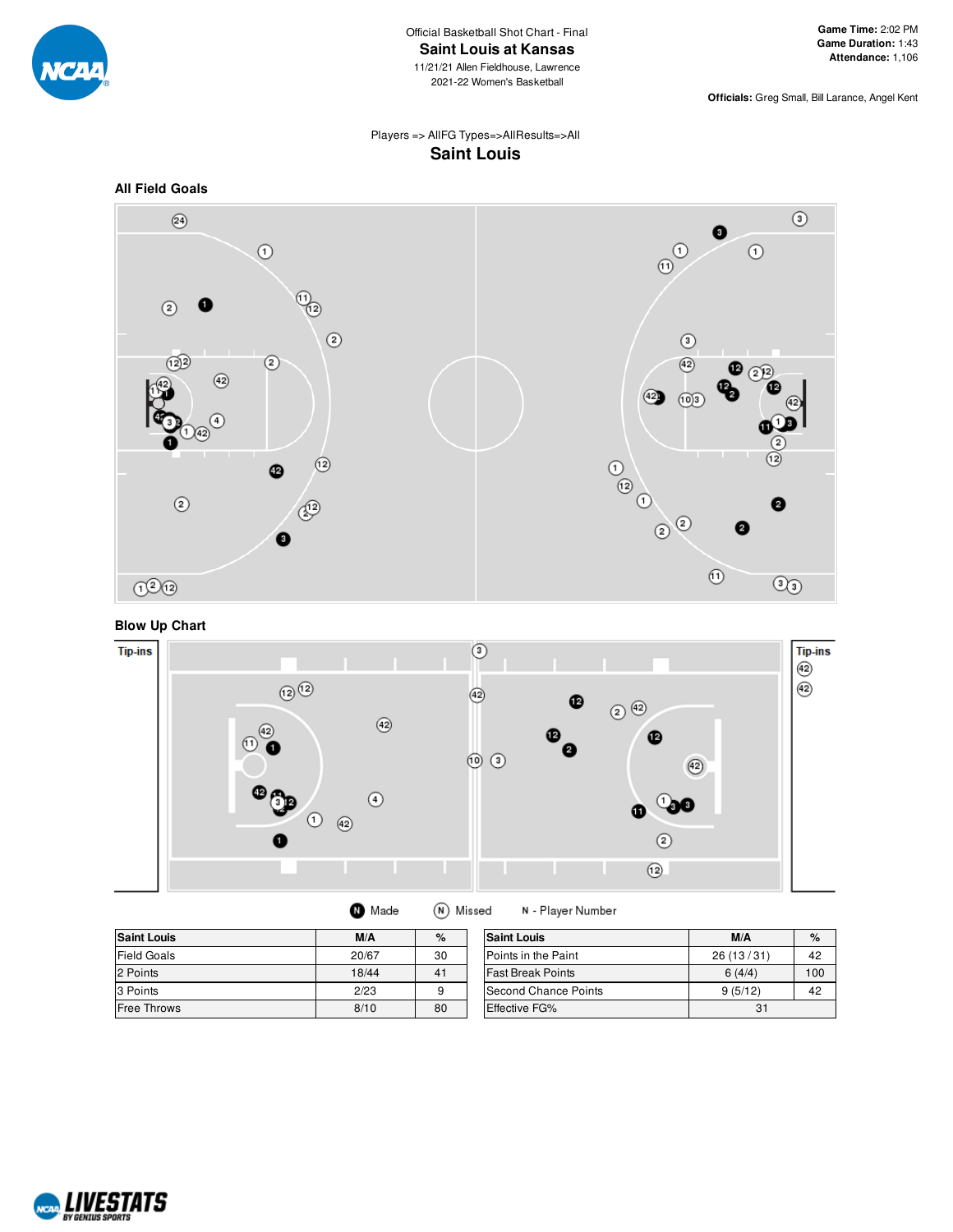

**Officials:** Greg Small, Bill Larance, Angel Kent

# Players => AllFG Types=>AllResults=>All **Saint Louis**



**Blow Up Chart**



| <b>Saint Louis</b> | M/A   | %  | <b>Saint Louis</b>       | M/A       | $\%$ |
|--------------------|-------|----|--------------------------|-----------|------|
| <b>Field Goals</b> | 20/67 | 30 | Points in the Paint      | 26(13/31) | 42   |
| 2 Points           | 18/44 | 41 | <b>Fast Break Points</b> | 6(4/4)    | 100  |
| 3 Points           | 2/23  | 9  | Second Chance Points     | 9(5/12)   | 42   |
| Free Throws        | 8/10  | 80 | <b>Effective FG%</b>     | 31        |      |

(N) Missed

N - Player Number

**O** Made

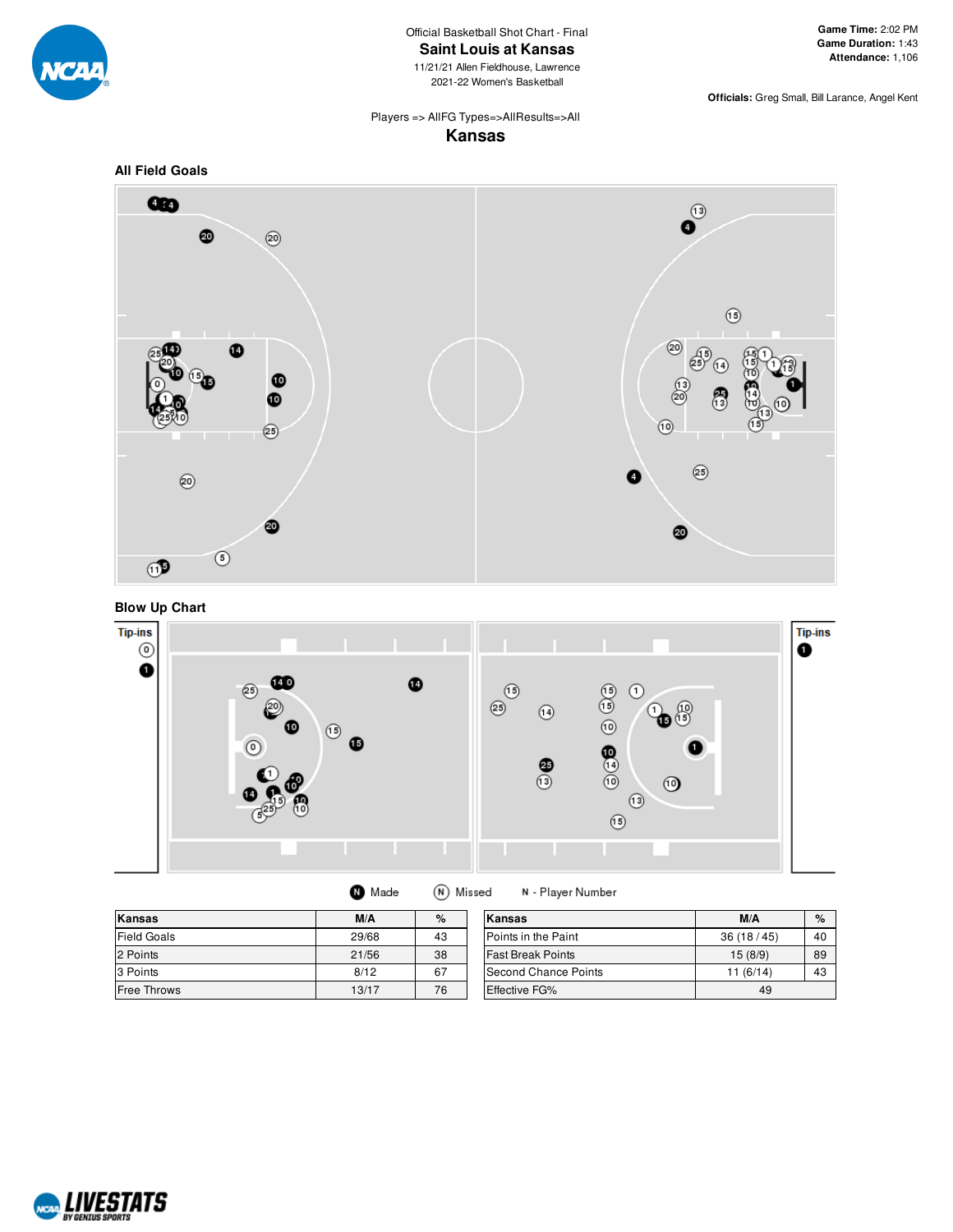

Official Basketball Shot Chart - Final **Saint Louis at Kansas**

11/21/21 Allen Fieldhouse, Lawrence 2021-22 Women's Basketball

**Officials:** Greg Small, Bill Larance, Angel Kent

#### Players => AllFG Types=>AllResults=>All **Kansas**

**All Field Goals**







(N) Missed **O** Made

N - Player Number

| Kansas             | M/A   | $\%$ | Kansas                   | M/A       | $\%$ |
|--------------------|-------|------|--------------------------|-----------|------|
| <b>Field Goals</b> | 29/68 | 43   | Points in the Paint      | 36(18/45) | 40   |
| 2 Points           | 21/56 | 38   | <b>Fast Break Points</b> | 15(8/9)   | 89   |
| 3 Points           | 8/12  | 67   | Second Chance Points     | 11(6/14)  | 43   |
| <b>Free Throws</b> | 13/17 | 76   | <b>Effective FG%</b>     | 49        |      |

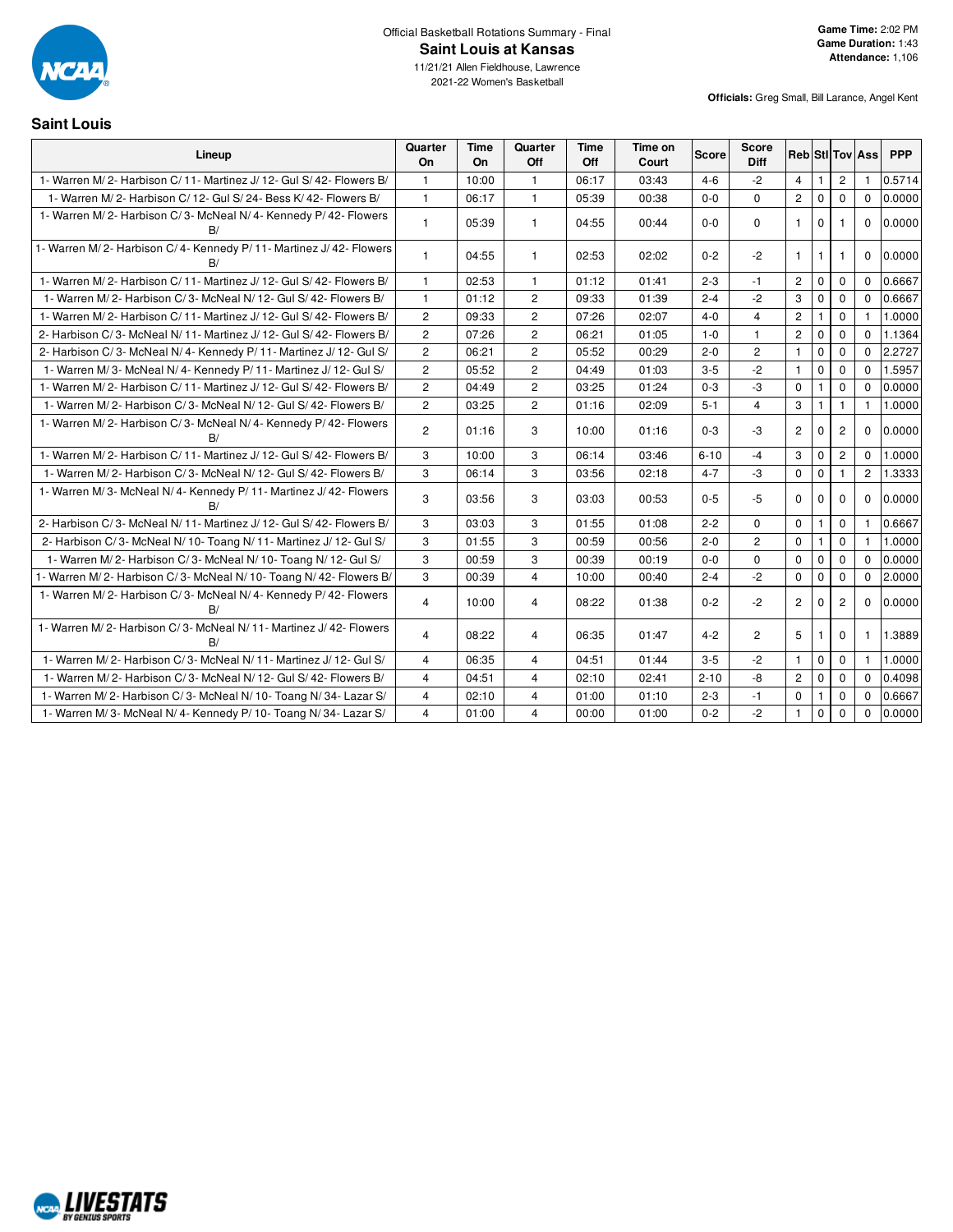

11/21/21 Allen Fieldhouse, Lawrence 2021-22 Women's Basketball

**Officials:** Greg Small, Bill Larance, Angel Kent

#### **Saint Louis**

| Lineup                                                                  | Quarter<br>On  | Time<br>On | Quarter<br>Off          | <b>Time</b><br>Off | Time on<br>Court | <b>Score</b> | <b>Score</b><br>Diff |                |              |                | <b>Reb</b> StI Tov Ass | <b>PPP</b> |
|-------------------------------------------------------------------------|----------------|------------|-------------------------|--------------------|------------------|--------------|----------------------|----------------|--------------|----------------|------------------------|------------|
| 1- Warren M/2- Harbison C/11- Martinez J/12- Gul S/42- Flowers B/       | $\mathbf{1}$   | 10:00      | $\mathbf{1}$            | 06:17              | 03:43            | $4 - 6$      | $-2$                 | $\overline{4}$ | $\mathbf{1}$ | $\overline{c}$ | $\mathbf{1}$           | 0.5714     |
| 1- Warren M/2- Harbison C/12- Gul S/24- Bess K/42- Flowers B/           | $\mathbf{1}$   | 06:17      | $\mathbf{1}$            | 05:39              | 00:38            | $0 - 0$      | $\Omega$             | $\overline{2}$ | $\Omega$     | $\Omega$       | $\Omega$               | 0.0000     |
| 1- Warren M/2- Harbison C/3- McNeal N/4- Kennedy P/42- Flowers<br>B/    | $\mathbf{1}$   | 05:39      | $\mathbf{1}$            | 04:55              | 00:44            | $0-0$        | $\mathbf 0$          | $\mathbf{1}$   | $\Omega$     |                | $\Omega$               | 0.0000     |
| 1- Warren M/2- Harbison C/4- Kennedy P/11- Martinez J/42- Flowers<br>B/ | $\mathbf{1}$   | 04:55      | 1                       | 02:53              | 02:02            | $0 - 2$      | $-2$                 | $\mathbf{1}$   | 1            | 1              | $\mathbf 0$            | 0.0000     |
| 1- Warren M/2- Harbison C/11- Martinez J/12- Gul S/42- Flowers B/       | $\mathbf{1}$   | 02:53      | $\mathbf{1}$            | 01:12              | 01:41            | $2 - 3$      | -1                   | $\overline{2}$ | $\mathbf 0$  | $\mathbf 0$    | $\Omega$               | 0.6667     |
| 1- Warren M/2- Harbison C/3- McNeal N/12- Gul S/42- Flowers B/          | $\mathbf{1}$   | 01:12      | $\overline{c}$          | 09:33              | 01:39            | $2 - 4$      | $-2$                 | 3              | $\mathbf 0$  | $\mathbf 0$    | $\Omega$               | 0.6667     |
| 1- Warren M/2- Harbison C/11- Martinez J/12- Gul S/42- Flowers B/       | $\overline{c}$ | 09:33      | $\overline{\mathbf{c}}$ | 07:26              | 02:07            | $4 - 0$      | $\overline{4}$       | $\overline{c}$ |              | $\mathbf 0$    | 1                      | 1.0000     |
| 2- Harbison C/3- McNeal N/11- Martinez J/12- Gul S/42- Flowers B/       | $\overline{c}$ | 07:26      | $\overline{c}$          | 06:21              | 01:05            | $1 - 0$      | $\mathbf{1}$         | $\overline{c}$ | $\mathbf 0$  | $\mathbf 0$    | $\Omega$               | 1.1364     |
| 2- Harbison C/3- McNeal N/4- Kennedy P/11- Martinez J/12- Gul S/        | $\overline{c}$ | 06:21      | $\overline{2}$          | 05:52              | 00:29            | $2 - 0$      | $\overline{c}$       | $\mathbf{1}$   | $\mathbf 0$  | $\mathbf 0$    | $\Omega$               | 2.2727     |
| 1- Warren M/3- McNeal N/4- Kennedy P/11- Martinez J/12- Gul S/          | $\overline{c}$ | 05:52      | $\mathbf{2}$            | 04:49              | 01:03            | $3 - 5$      | $-2$                 | $\mathbf{1}$   | $\mathbf 0$  | $\mathbf 0$    | $\Omega$               | 1.5957     |
| 1- Warren M/2- Harbison C/11- Martinez J/12- Gul S/42- Flowers B/       | $\overline{c}$ | 04:49      | $\overline{c}$          | 03:25              | 01:24            | $0 - 3$      | $-3$                 | $\mathbf 0$    | $\mathbf{1}$ | $\mathbf 0$    | $\Omega$               | 0.0000     |
| 1- Warren M/2- Harbison C/3- McNeal N/12- Gul S/42- Flowers B/          | $\overline{2}$ | 03:25      | $\overline{2}$          | 01:16              | 02:09            | $5 - 1$      | $\overline{4}$       | 3              | $\mathbf{1}$ | $\mathbf{1}$   | $\mathbf{1}$           | 1.0000     |
| 1- Warren M/2- Harbison C/3- McNeal N/4- Kennedy P/42- Flowers<br>B/    | $\overline{2}$ | 01:16      | 3                       | 10:00              | 01:16            | $0 - 3$      | $-3$                 | $\overline{2}$ | $\mathbf 0$  | $\overline{2}$ | $\mathbf 0$            | 0.0000     |
| 1- Warren M/2- Harbison C/11- Martinez J/12- Gul S/42- Flowers B/       | 3              | 10:00      | 3                       | 06:14              | 03:46            | $6 - 10$     | $-4$                 | 3              | $\mathbf 0$  | $\mathbf{2}$   | $\Omega$               | 1.0000     |
| 1- Warren M/2- Harbison C/3- McNeal N/12- Gul S/42- Flowers B/          | 3              | 06:14      | 3                       | 03:56              | 02:18            | $4 - 7$      | $-3$                 | 0              | $\mathbf 0$  | $\mathbf{1}$   | $\overline{2}$         | 1.3333     |
| 1- Warren M/3- McNeal N/4- Kennedy P/11- Martinez J/42- Flowers<br>B/   | 3              | 03:56      | 3                       | 03:03              | 00:53            | $0 - 5$      | $-5$                 | $\Omega$       | $\mathbf 0$  | $\Omega$       | $\Omega$               | 0.0000     |
| 2- Harbison C/3- McNeal N/11- Martinez J/12- Gul S/42- Flowers B/       | 3              | 03:03      | 3                       | 01:55              | 01:08            | $2 - 2$      | $\mathbf 0$          | $\mathbf 0$    | $\mathbf{1}$ | $\mathbf 0$    | $\mathbf{1}$           | 0.6667     |
| 2- Harbison C/3- McNeal N/10- Toang N/11- Martinez J/12- Gul S/         | 3              | 01:55      | 3                       | 00:59              | 00:56            | $2 - 0$      | $\mathbf{2}$         | $\mathbf 0$    |              | $\mathbf 0$    |                        | 1.0000     |
| 1- Warren M/2- Harbison C/3- McNeal N/10- Toang N/12- Gul S/            | 3              | 00:59      | 3                       | 00:39              | 00:19            | $0 - 0$      | $\mathbf 0$          | $\mathbf 0$    | $\mathbf 0$  | $\mathbf 0$    | $\Omega$               | 0.0000     |
| 1- Warren M/2- Harbison C/3- McNeal N/10- Toang N/42- Flowers B/        | 3              | 00:39      | $\overline{4}$          | 10:00              | 00:40            | $2 - 4$      | $-2$                 | 0              | $\mathsf 0$  | 0              | $\mathbf 0$            | 2.0000     |
| 1- Warren M/2- Harbison C/3- McNeal N/4- Kennedy P/42- Flowers<br>B/    | $\overline{4}$ | 10:00      | 4                       | 08:22              | 01:38            | $0 - 2$      | $-2$                 | $\mathbf{2}$   | $\mathbf 0$  | $\overline{2}$ | $\Omega$               | 0.0000     |
| 1- Warren M/2- Harbison C/3- McNeal N/11- Martinez J/42- Flowers<br>B/  | $\overline{4}$ | 08:22      | 4                       | 06:35              | 01:47            | $4 - 2$      | $\mathbf{2}$         | 5 <sup>5</sup> | 1            | 0              | $\mathbf{1}$           | 1.3889     |
| 1- Warren M/2- Harbison C/3- McNeal N/11- Martinez J/12- Gul S/         | $\overline{4}$ | 06:35      | $\overline{4}$          | 04:51              | 01:44            | $3-5$        | $-2$                 | $\mathbf{1}$   | $\mathbf 0$  | $\mathbf 0$    | $\mathbf{1}$           | 1.0000     |
| 1- Warren M/2- Harbison C/3- McNeal N/12- Gul S/42- Flowers B/          | $\overline{4}$ | 04:51      | 4                       | 02:10              | 02:41            | $2 - 10$     | -8                   | $\mathbf{2}$   | $\mathbf 0$  | 0              | $\mathbf 0$            | 0.4098     |
| 1- Warren M/2- Harbison C/3- McNeal N/10- Toang N/34- Lazar S/          | $\overline{4}$ | 02:10      | $\overline{4}$          | 01:00              | 01:10            | $2 - 3$      | $-1$                 | 0              | $\mathbf{1}$ | $\mathbf 0$    | $\Omega$               | 0.6667     |
| 1- Warren M/3- McNeal N/4- Kennedy P/10- Toang N/34- Lazar S/           | 4              | 01:00      | 4                       | 00:00              | 01:00            | $0 - 2$      | $-2$                 | $\mathbf{1}$   | $\mathbf{0}$ | $\mathbf 0$    | $\Omega$               | 0.0000     |

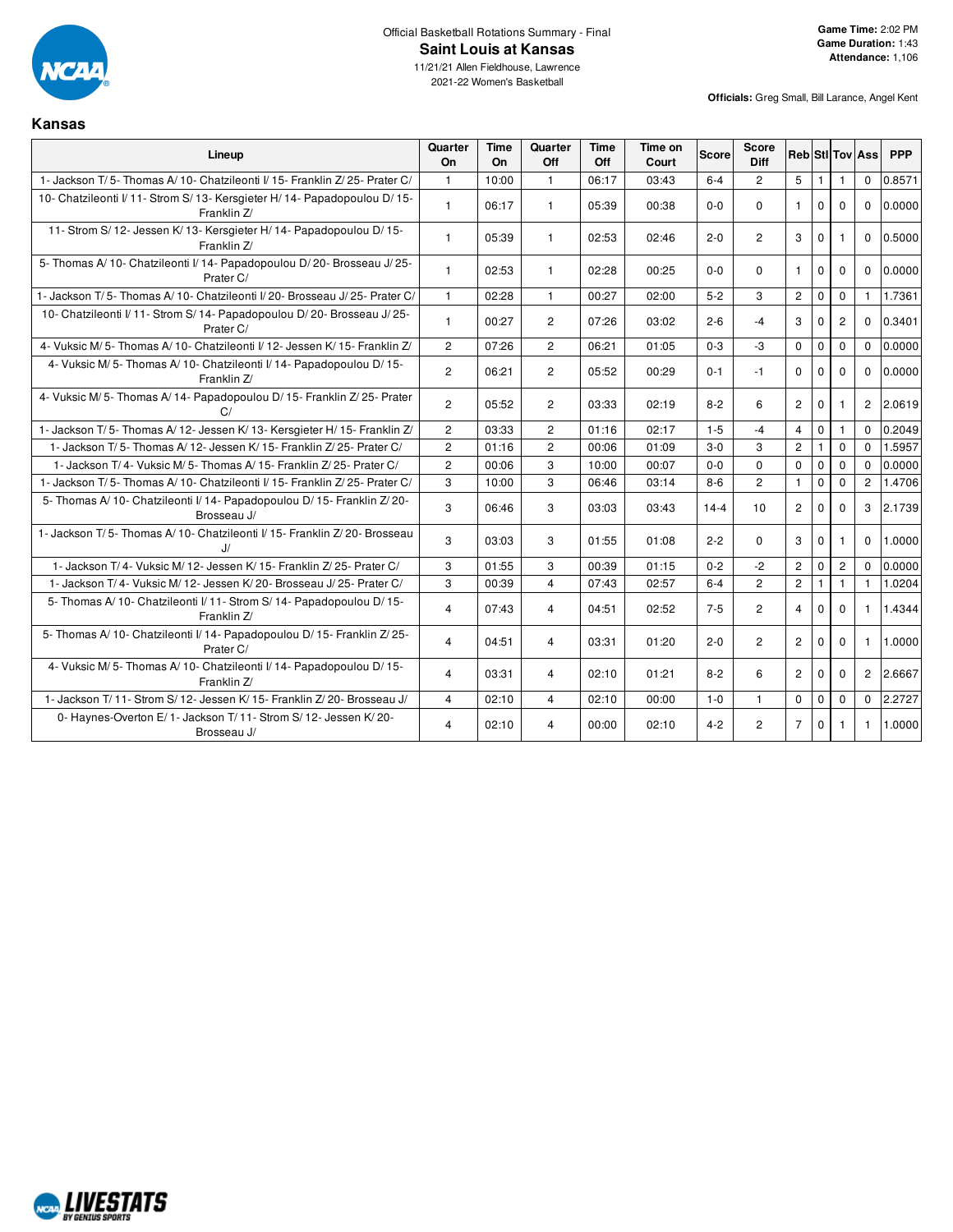

**Kansas**

11/21/21 Allen Fieldhouse, Lawrence 2021-22 Women's Basketball

| Lineup                                                                                    | Quarter<br><b>On</b> | Time<br>On | Quarter<br>Off | Time<br>Off | Time on<br>Court | Score    | Score<br><b>Diff</b> |                      |                |                | <b>Reb StilTov Ass</b> | <b>PPP</b> |
|-------------------------------------------------------------------------------------------|----------------------|------------|----------------|-------------|------------------|----------|----------------------|----------------------|----------------|----------------|------------------------|------------|
| 1- Jackson T/5- Thomas A/10- Chatzileonti I/15- Franklin Z/25- Prater C/                  | $\mathbf{1}$         | 10:00      | $\mathbf{1}$   | 06:17       | 03:43            | $6-4$    | $\overline{2}$       | 5                    | $\overline{1}$ | $\mathbf{1}$   | $\mathbf 0$            | 0.8571     |
| 10- Chatzileonti I/ 11- Strom S/ 13- Kersgieter H/ 14- Papadopoulou D/ 15-<br>Franklin Z/ | $\mathbf{1}$         | 06:17      | $\mathbf{1}$   | 05:39       | 00:38            | $0-0$    | $\Omega$             | $\mathbf{1}$         | $\Omega$       | $\Omega$       | $\Omega$               | 0.0000     |
| 11- Strom S/ 12- Jessen K/ 13- Kersgieter H/ 14- Papadopoulou D/ 15-<br>Franklin Z/       | $\mathbf{1}$         | 05:39      | $\mathbf{1}$   | 02:53       | 02:46            | $2 - 0$  | $\overline{2}$       | 3                    | $\Omega$       | $\mathbf{1}$   | $\Omega$               | 0.5000     |
| 5- Thomas A/10- Chatzileonti I/14- Papadopoulou D/20- Brosseau J/25-<br>Prater C/         | $\mathbf{1}$         | 02:53      | $\mathbf{1}$   | 02:28       | 00:25            | $0 - 0$  | $\Omega$             | $\mathbf{1}$         | $\Omega$       | $\Omega$       | $\Omega$               | 0.0000     |
| 1- Jackson T/5- Thomas A/10- Chatzileonti I/20- Brosseau J/25- Prater C/                  | $\mathbf{1}$         | 02:28      | $\mathbf{1}$   | 00:27       | 02:00            | $5 - 2$  | 3                    | $\mathbf{2}$         | $\mathbf 0$    | $\mathbf 0$    | $\mathbf{1}$           | 1.7361     |
| 10- Chatzileonti I/ 11- Strom S/ 14- Papadopoulou D/ 20- Brosseau J/ 25-<br>Prater C/     | $\mathbf{1}$         | 00:27      | $\overline{2}$ | 07:26       | 03:02            | $2 - 6$  | $-4$                 | 3                    | $\Omega$       | $\overline{2}$ | $\Omega$               | 0.3401     |
| 4- Vuksic M/ 5- Thomas A/ 10- Chatzileonti I/ 12- Jessen K/ 15- Franklin Z/               | $\overline{2}$       | 07:26      | $\overline{2}$ | 06:21       | 01:05            | $0 - 3$  | $-3$                 | $\mathbf 0$          | $\mathbf 0$    | $\mathbf 0$    | $\mathbf{0}$           | 0.0000     |
| 4- Vuksic M/5- Thomas A/10- Chatzileonti I/14- Papadopoulou D/15-<br>Franklin Z/          | $\overline{2}$       | 06:21      | $\overline{2}$ | 05:52       | 00:29            | $0 - 1$  | $-1$                 | $\Omega$             | $\Omega$       | $\Omega$       | $\Omega$               | 0.0000     |
| 4- Vuksic M/5- Thomas A/14- Papadopoulou D/15- Franklin Z/25- Prater<br>C/                | $\overline{2}$       | 05:52      | $\overline{2}$ | 03:33       | 02:19            | $8 - 2$  | 6                    | $\overline{2}$       | $\Omega$       | 1              | $\overline{2}$         | 2.0619     |
| 1- Jackson T/5- Thomas A/12- Jessen K/13- Kersgieter H/15- Franklin Z/                    | $\overline{c}$       | 03:33      | $\overline{2}$ | 01:16       | 02:17            | $1 - 5$  | $-4$                 | $\overline{4}$       | $\mathbf 0$    | 1              | $\Omega$               | 0.2049     |
| 1- Jackson T/5- Thomas A/12- Jessen K/15- Franklin Z/25- Prater C/                        | $\overline{c}$       | 01:16      | $\overline{c}$ | 00:06       | 01:09            | $3-0$    | 3                    | $\overline{c}$       | 1              | $\mathbf 0$    | $\Omega$               | 1.5957     |
| 1- Jackson T/4- Vuksic M/5- Thomas A/15- Franklin Z/25- Prater C/                         | $\overline{c}$       | 00:06      | 3              | 10:00       | 00:07            | $0-0$    | $\mathbf 0$          | $\mathbf 0$          | $\mathbf 0$    | $\mathbf 0$    | $\Omega$               | 0.0000     |
| 1- Jackson T/5- Thomas A/10- Chatzileonti I/15- Franklin Z/25- Prater C/                  | 3                    | 10:00      | 3              | 06:46       | 03:14            | $8 - 6$  | $\overline{c}$       | $\mathbf{1}$         | $\Omega$       | $\Omega$       | $\overline{2}$         | 1.4706     |
| 5- Thomas A/ 10- Chatzileonti I/ 14- Papadopoulou D/ 15- Franklin Z/ 20-<br>Brosseau J/   | 3                    | 06:46      | 3              | 03:03       | 03:43            | $14 - 4$ | 10                   | $\overline{2}$       | $\Omega$       | $\Omega$       | 3                      | 2.1739     |
| 1- Jackson T/5- Thomas A/10- Chatzileonti I/15- Franklin Z/20- Brosseau<br>IJ             | 3                    | 03:03      | 3              | 01:55       | 01:08            | $2 - 2$  | $\Omega$             | 3                    | $\mathbf{0}$   | $\mathbf{1}$   | $\mathbf 0$            | 1.0000     |
| 1- Jackson T/4- Vuksic M/12- Jessen K/15- Franklin Z/25- Prater C/                        | 3                    | 01:55      | 3              | 00:39       | 01:15            | $0 - 2$  | $-2$                 | $\overline{2}$       | $\mathbf 0$    | $\overline{c}$ | $\Omega$               | 0.0000     |
| 1- Jackson T/4- Vuksic M/12- Jessen K/20- Brosseau J/25- Prater C/                        | 3                    | 00:39      | $\overline{4}$ | 07:43       | 02:57            | $6 - 4$  | $\overline{2}$       | $\overline{2}$       |                | 1              | $\mathbf{1}$           | 1.0204     |
| 5- Thomas A/ 10- Chatzileonti I/ 11- Strom S/ 14- Papadopoulou D/ 15-<br>Franklin Z/      | 4                    | 07:43      | $\overline{4}$ | 04:51       | 02:52            | $7 - 5$  | $\overline{2}$       | $\overline{4}$       | $\Omega$       | $\Omega$       | $\mathbf{1}$           | 1.4344     |
| 5- Thomas A/10- Chatzileonti I/14- Papadopoulou D/15- Franklin Z/25-<br>Prater C/         | 4                    | 04:51      | $\overline{4}$ | 03:31       | 01:20            | $2 - 0$  | $\overline{2}$       | $\overline{2}$       | $\mathbf{0}$   | $\mathbf 0$    | $\mathbf{1}$           | 1.0000     |
| 4- Vuksic M/5- Thomas A/10- Chatzileonti I/14- Papadopoulou D/15-<br>Franklin Z/          | 4                    | 03:31      | 4              | 02:10       | 01:21            | $8 - 2$  | 6                    | $\mathbf{2}^{\circ}$ | $\mathbf{0}$   | 0              | $\overline{c}$         | 2.6667     |
| 1- Jackson T/ 11- Strom S/ 12- Jessen K/ 15- Franklin Z/ 20- Brosseau J/                  | 4                    | 02:10      | 4              | 02:10       | 00:00            | $1 - 0$  | $\mathbf{1}$         | $\mathbf 0$          | $\mathbf 0$    | $\mathbf 0$    | $\Omega$               | 2.2727     |
| 0- Haynes-Overton E/1- Jackson T/11- Strom S/12- Jessen K/20-<br>Brosseau J/              | 4                    | 02:10      | 4              | 00:00       | 02:10            | $4 - 2$  | $\overline{2}$       | $\overline{7}$       | $\mathbf{0}$   |                | 1                      | 1.0000     |

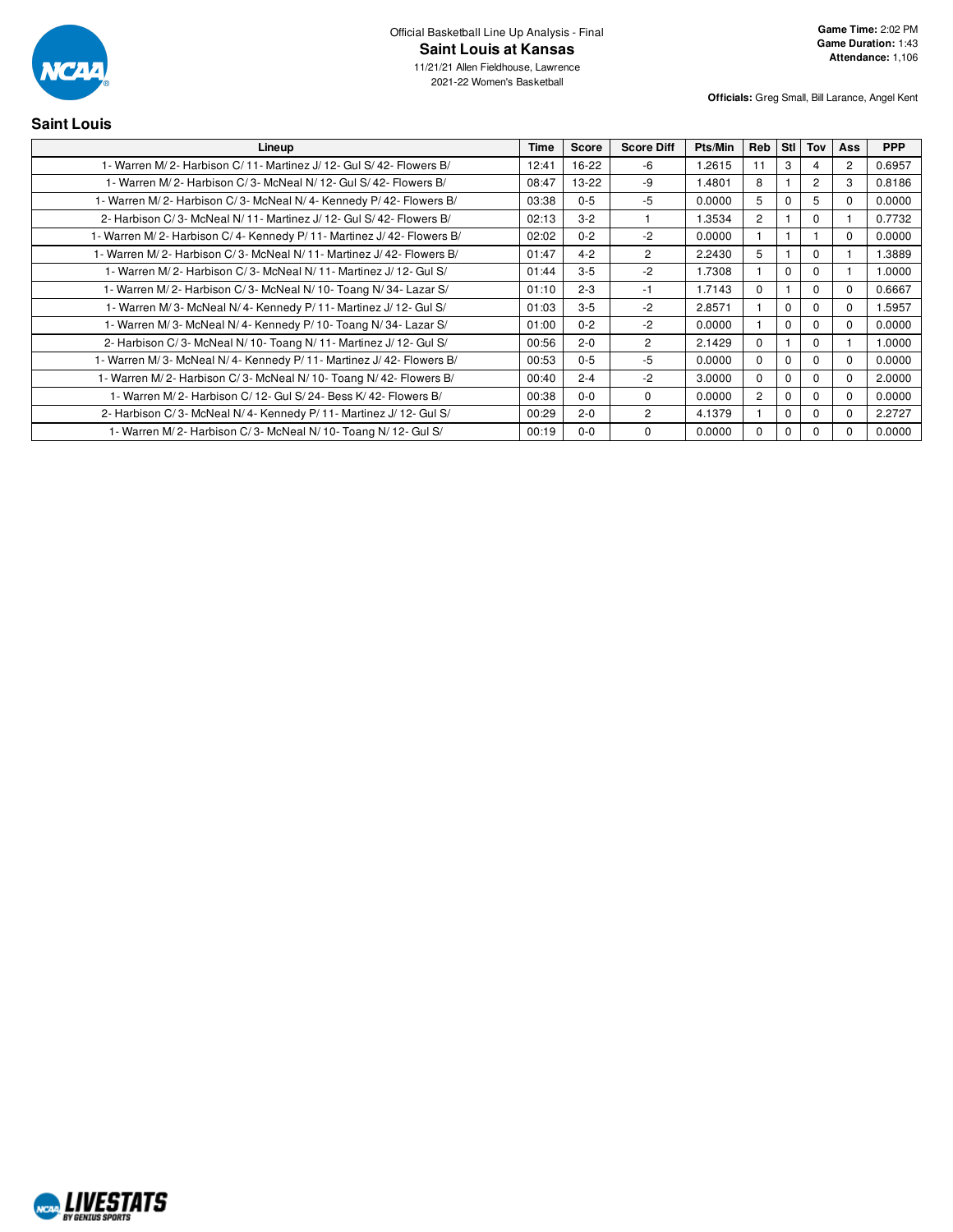

11/21/21 Allen Fieldhouse, Lawrence 2021-22 Women's Basketball

| <b>Saint Louis</b>                                                   |             |         |                   |         |                |              |          |                |            |
|----------------------------------------------------------------------|-------------|---------|-------------------|---------|----------------|--------------|----------|----------------|------------|
| Lineup                                                               | <b>Time</b> | Score   | <b>Score Diff</b> | Pts/Min | Reb            | Stl l        | Tov      | <b>Ass</b>     | <b>PPP</b> |
| 1- Warren M/2- Harbison C/11- Martinez J/12- Gul S/42- Flowers B/    | 12:41       | 16-22   | -6                | 1.2615  | 11             | 3            |          | $\overline{2}$ | 0.6957     |
| 1- Warren M/2- Harbison C/3- McNeal N/12- Gul S/42- Flowers B/       | 08:47       | $13-22$ | -9                | 1.4801  | 8              |              | 2        | 3              | 0.8186     |
| 1- Warren M/2- Harbison C/3- McNeal N/4- Kennedy P/42- Flowers B/    | 03:38       | $0 - 5$ | $-5$              | 0.0000  | 5              |              | 5        | $\Omega$       | 0.0000     |
| 2- Harbison C/3- McNeal N/11- Martinez J/12- Gul S/42- Flowers B/    | 02:13       | $3 - 2$ |                   | 1.3534  | $\overline{2}$ |              | $\Omega$ |                | 0.7732     |
| 1- Warren M/2- Harbison C/4- Kennedy P/11- Martinez J/42- Flowers B/ | 02:02       | $0 - 2$ | $-2$              | 0.0000  |                |              |          | $\Omega$       | 0.0000     |
| 1- Warren M/2- Harbison C/3- McNeal N/11- Martinez J/42- Flowers B/  | 01:47       | $4 - 2$ | $\overline{2}$    | 2.2430  | 5              |              | $\Omega$ |                | 1.3889     |
| 1- Warren M/2- Harbison C/3- McNeal N/11- Martinez J/12- Gul S/      | 01:44       | $3-5$   | $-2$              | 1.7308  |                | $\Omega$     | $\Omega$ |                | 1.0000     |
| 1- Warren M/2- Harbison C/3- McNeal N/10- Toang N/34- Lazar S/       | 01:10       | $2 - 3$ | $-1$              | 1.7143  | $\Omega$       |              | $\Omega$ | $\Omega$       | 0.6667     |
| 1- Warren M/3- McNeal N/4- Kennedy P/11- Martinez J/12- Gul S/       | 01:03       | $3-5$   | $-2$              | 2.8571  |                | <sup>0</sup> | $\Omega$ | $\Omega$       | 1.5957     |
| 1- Warren M/3- McNeal N/4- Kennedy P/10- Toang N/34- Lazar S/        | 01:00       | $0 - 2$ | $-2$              | 0.0000  |                | $\Omega$     | 0        | $\Omega$       | 0.0000     |
| 2- Harbison C/3- McNeal N/10- Toang N/11- Martinez J/12- Gul S/      | 00:56       | $2 - 0$ | $\overline{2}$    | 2.1429  | $\Omega$       |              | $\Omega$ |                | 1.0000     |
| 1- Warren M/3- McNeal N/4- Kennedy P/11- Martinez J/42- Flowers B/   | 00:53       | $0-5$   | -5                | 0.0000  | $\Omega$       | O            | $\Omega$ | $\Omega$       | 0.0000     |
| 1- Warren M/2- Harbison C/3- McNeal N/10- Toang N/42- Flowers B/     | 00:40       | $2 - 4$ | $-2$              | 3.0000  | $\Omega$       | 0            | $\Omega$ | $\Omega$       | 2.0000     |
| 1- Warren M/2- Harbison C/12- Gul S/24- Bess K/42- Flowers B/        | 00:38       | $0 - 0$ | $\Omega$          | 0.0000  | 2              | O            | 0        | $\Omega$       | 0.0000     |
| 2- Harbison C/3- McNeal N/4- Kennedy P/11- Martinez J/12- Gul S/     | 00:29       | $2 - 0$ | $\overline{2}$    | 4.1379  |                | $\Omega$     | 0        | $\Omega$       | 2.2727     |
| 1- Warren M/2- Harbison C/3- McNeal N/10- Toang N/12- Gul S/         | 00:19       | $0 - 0$ | $\Omega$          | 0.0000  | 0              | 0            | 0        | $\Omega$       | 0.0000     |